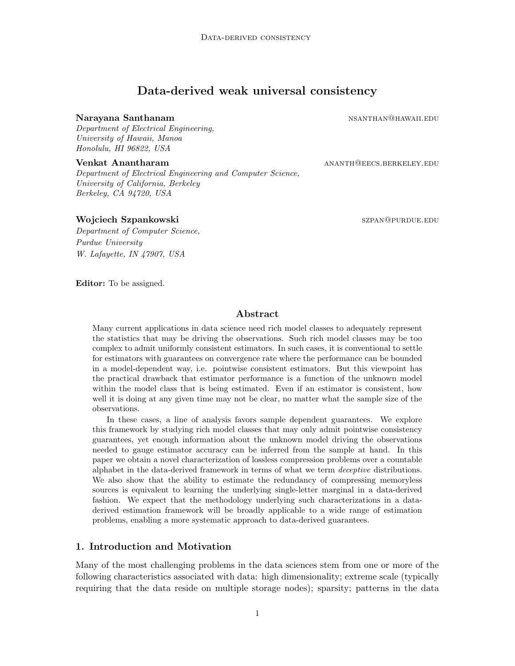# Data-derived weak universal consistency

# Narayana Santhanam namana na kata sa sa santhanam na kata sa santhanan na kata sa santa na kata sa sa sa sa sa

Department of Electrical Engineering, University of Hawaii, Manoa Honolulu, HI 96822, USA

# Venkat Anantharam and anantharam anantharam anantharam anantharam anantharam anantharam anantharam anantharam an

Department of Electrical Engineering and Computer Science, University of California, Berkeley Berkeley, CA 94720, USA

# Wojciech Szpankowski szpaniele szpaniele szpaniele szpaniele szpaniele szpaniele szpaniele szpaniele szpaniele szpaniele szpaniele szpaniele szpaniele szpaniele szpaniele szpaniele szpaniele szpaniele szpaniele szpaniele s

Department of Computer Science, Purdue University W. Lafayette, IN 47907, USA

Editor: To be assigned.

# Abstract

Many current applications in data science need rich model classes to adequately represent the statistics that may be driving the observations. Such rich model classes may be too complex to admit uniformly consistent estimators. In such cases, it is conventional to settle for estimators with guarantees on convergence rate where the performance can be bounded in a model-dependent way, i.e. pointwise consistent estimators. But this viewpoint has the practical drawback that estimator performance is a function of the unknown model within the model class that is being estimated. Even if an estimator is consistent, how well it is doing at any given time may not be clear, no matter what the sample size of the observations.

In these cases, a line of analysis favors sample dependent guarantees. We explore this framework by studying rich model classes that may only admit pointwise consistency guarantees, yet enough information about the unknown model driving the observations needed to gauge estimator accuracy can be inferred from the sample at hand. In this paper we obtain a novel characterization of lossless compression problems over a countable alphabet in the data-derived framework in terms of what we term *deceptive* distributions. We also show that the ability to estimate the redundancy of compressing memoryless sources is equivalent to learning the underlying single-letter marginal in a data-derived fashion. We expect that the methodology underlying such characterizations in a dataderived estimation framework will be broadly applicable to a wide range of estimation problems, enabling a more systematic approach to data-derived guarantees.

# <span id="page-0-0"></span>1. Introduction and Motivation

Many of the most challenging problems in the data sciences stem from one or more of the following characteristics associated with data: high dimensionality; extreme scale (typically requiring that the data reside on multiple storage nodes); sparsity; patterns in the data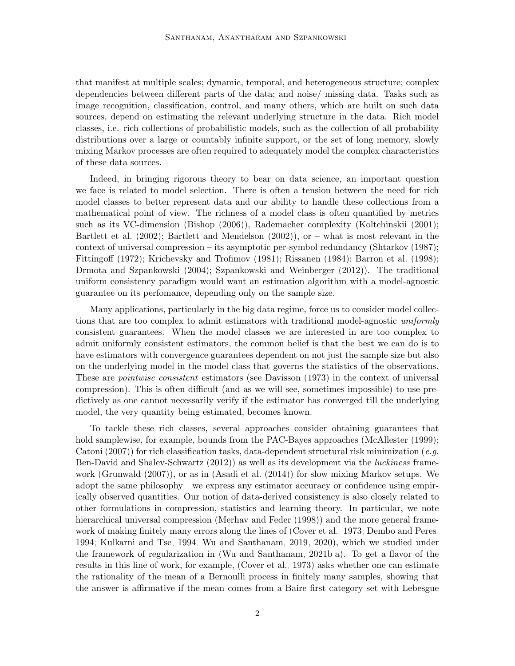that manifest at multiple scales; dynamic, temporal, and heterogeneous structure; complex dependencies between different parts of the data; and noise/ missing data. Tasks such as image recognition, classification, control, and many others, which are built on such data sources, depend on estimating the relevant underlying structure in the data. Rich model classes, i.e. rich collections of probabilistic models, such as the collection of all probability distributions over a large or countably infinite support, or the set of long memory, slowly mixing Markov processes are often required to adequately model the complex characteristics of these data sources.

Indeed, in bringing rigorous theory to bear on data science, an important question we face is related to model selection. There is often a tension between the need for rich model classes to better represent data and our ability to handle these collections from a mathematical point of view. The richness of a model class is often quantified by metrics such as its VC-dimension [\(Bishop](#page-36-0) [\(2006\)](#page-36-0)), Rademacher complexity [\(Koltchinskii](#page-37-0) [\(2001\)](#page-37-0); [Bartlett et al.](#page-36-1) [\(2002\)](#page-36-1); [Bartlett and Mendelson](#page-36-2) [\(2002\)](#page-36-2)), or – what is most relevant in the context of universal compression – its asymptotic per-symbol redundancy [\(Shtarkov](#page-37-1) [\(1987\)](#page-37-1); [Fittingoff](#page-36-3) [\(1972\)](#page-36-3); [Krichevsky and Trofimov](#page-37-2) [\(1981\)](#page-37-2); [Rissanen](#page-37-3) [\(1984\)](#page-37-3); [Barron et al.](#page-36-4) [\(1998\)](#page-36-4); [Drmota and Szpankowski](#page-36-5) [\(2004\)](#page-36-5); [Szpankowski and Weinberger](#page-37-4) [\(2012\)](#page-37-4)). The traditional uniform consistency paradigm would want an estimation algorithm with a model-agnostic guarantee on its perfomance, depending only on the sample size.

Many applications, particularly in the big data regime, force us to consider model collections that are too complex to admit estimators with traditional model-agnostic uniformly consistent guarantees. When the model classes we are interested in are too complex to admit uniformly consistent estimators, the common belief is that the best we can do is to have estimators with convergence guarantees dependent on not just the sample size but also on the underlying model in the model class that governs the statistics of the observations. These are pointwise consistent estimators (see [Davisson](#page-36-6) [\(1973\)](#page-36-6) in the context of universal compression). This is often difficult (and as we will see, sometimes impossible) to use predictively as one cannot necessarily verify if the estimator has converged till the underlying model, the very quantity being estimated, becomes known.

To tackle these rich classes, several approaches consider obtaining guarantees that hold samplewise, for example, bounds from the PAC-Bayes approaches [\(McAllester](#page-37-5) [\(1999\)](#page-37-5); [Catoni](#page-36-7) [\(2007\)](#page-36-7)) for rich classification tasks, data-dependent structural risk minimization (e.g. [Ben-David and Shalev-Schwartz](#page-36-8) [\(2012\)](#page-36-8)) as well as its development via the luckiness framework [\(Grunwald](#page-36-9) [\(2007\)](#page-36-9)), or as in [\(Asadi et al.](#page-36-10) [\(2014\)](#page-36-10)) for slow mixing Markov setups. We adopt the same philosophy—we express any estimator accuracy or confidence using empirically observed quantities. Our notion of data-derived consistency is also closely related to other formulations in compression, statistics and learning theory. In particular, we note hierarchical universal compression [\(Merhav and Feder](#page-37-6) [\(1998\)](#page-37-6)) and the more general framework of making finitely many errors along the lines of [\(Cover et al., 1973;](#page-36-11) [Dembo and Peres,](#page-36-12) [1994;](#page-36-12) [Kulkarni and Tse, 1994;](#page-37-7) [Wu and Santhanam, 2019,](#page-38-0) [2020\)](#page-38-1), which we studied under the framework of regularization in [\(Wu and Santhanam, 2021b](#page-38-2)[,a\)](#page-38-3). To get a flavor of the results in this line of work, for example, [\(Cover et al., 1973\)](#page-36-11) asks whether one can estimate the rationality of the mean of a Bernoulli process in finitely many samples, showing that the answer is affirmative if the mean comes from a Baire first category set with Lebesgue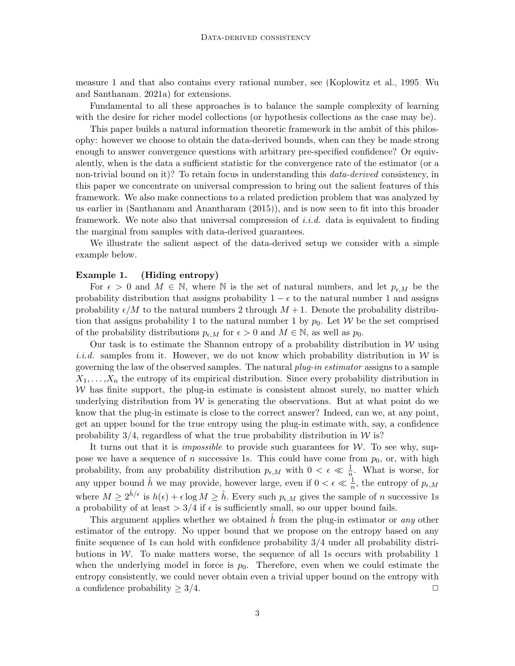measure 1 and that also contains every rational number, see [\(Koplowitz et al., 1995;](#page-37-8) [Wu](#page-38-3) [and Santhanam, 2021a\)](#page-38-3) for extensions.

Fundamental to all these approaches is to balance the sample complexity of learning with the desire for richer model collections (or hypothesis collections as the case may be).

This paper builds a natural information theoretic framework in the ambit of this philosophy: however we choose to obtain the data-derived bounds, when can they be made strong enough to answer convergence questions with arbitrary pre-specified confidence? Or equivalently, when is the data a sufficient statistic for the convergence rate of the estimator (or a non-trivial bound on it)? To retain focus in understanding this *data-derived* consistency, in this paper we concentrate on universal compression to bring out the salient features of this framework. We also make connections to a related prediction problem that was analyzed by us earlier in [\(Santhanam and Anantharam](#page-37-9) [\(2015\)](#page-37-9)), and is now seen to fit into this broader framework. We note also that universal compression of *i.i.d.* data is equivalent to finding the marginal from samples with data-derived guarantees.

We illustrate the salient aspect of the data-derived setup we consider with a simple example below.

## Example 1. (Hiding entropy)

For  $\epsilon > 0$  and  $M \in \mathbb{N}$ , where  $\mathbb N$  is the set of natural numbers, and let  $p_{\epsilon,M}$  be the probability distribution that assigns probability  $1 - \epsilon$  to the natural number 1 and assigns probability  $\epsilon/M$  to the natural numbers 2 through  $M+1$ . Denote the probability distribution that assigns probability 1 to the natural number 1 by  $p_0$ . Let W be the set comprised of the probability distributions  $p_{\epsilon,M}$  for  $\epsilon > 0$  and  $M \in \mathbb{N}$ , as well as  $p_0$ .

Our task is to estimate the Shannon entropy of a probability distribution in  $W$  using *i.i.d.* samples from it. However, we do not know which probability distribution in  $W$  is governing the law of the observed samples. The natural plug-in estimator assigns to a sample  $X_1, \ldots, X_n$  the entropy of its empirical distribution. Since every probability distribution in  $W$  has finite support, the plug-in estimate is consistent almost surely, no matter which underlying distribution from  $W$  is generating the observations. But at what point do we know that the plug-in estimate is close to the correct answer? Indeed, can we, at any point, get an upper bound for the true entropy using the plug-in estimate with, say, a confidence probability 3/4, regardless of what the true probability distribution in  $W$  is?

It turns out that it is *impossible* to provide such guarantees for  $W$ . To see why, suppose we have a sequence of n successive 1s. This could have come from  $p_0$ , or, with high probability, from any probability distribution  $p_{\epsilon,M}$  with  $0 < \epsilon \ll \frac{1}{n}$ . What is worse, for any upper bound  $\hat{h}$  we may provide, however large, even if  $0 < \epsilon \ll \frac{1}{n}$ , the entropy of  $p_{\epsilon,M}$ where  $M \geq 2^{\hat{h}/\epsilon}$  is  $h(\epsilon) + \epsilon \log M \geq \hat{h}$ . Every such  $p_{\epsilon,M}$  gives the sample of n successive 1s a probability of at least  $> 3/4$  if  $\epsilon$  is sufficiently small, so our upper bound fails.

This argument applies whether we obtained h from the plug-in estimator or any other estimator of the entropy. No upper bound that we propose on the entropy based on any finite sequence of 1s can hold with confidence probability 3/4 under all probability distributions in  $W$ . To make matters worse, the sequence of all 1s occurs with probability 1 when the underlying model in force is  $p_0$ . Therefore, even when we could estimate the entropy consistently, we could never obtain even a trivial upper bound on the entropy with a confidence probability  $> 3/4$ .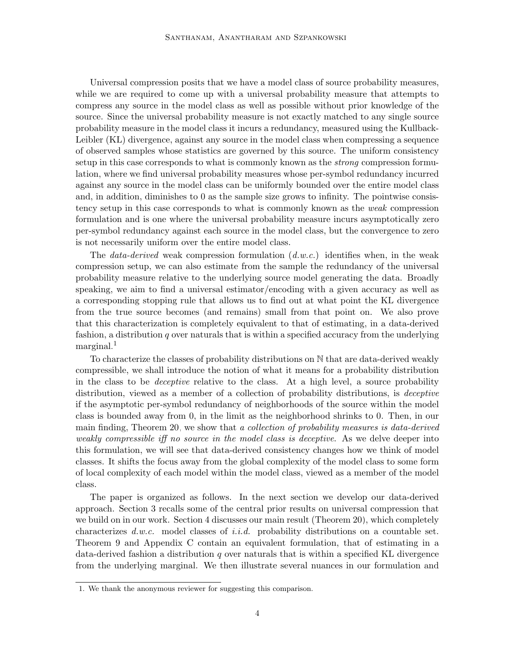Universal compression posits that we have a model class of source probability measures, while we are required to come up with a universal probability measure that attempts to compress any source in the model class as well as possible without prior knowledge of the source. Since the universal probability measure is not exactly matched to any single source probability measure in the model class it incurs a redundancy, measured using the Kullback-Leibler (KL) divergence, against any source in the model class when compressing a sequence of observed samples whose statistics are governed by this source. The uniform consistency setup in this case corresponds to what is commonly known as the *strong* compression formulation, where we find universal probability measures whose per-symbol redundancy incurred against any source in the model class can be uniformly bounded over the entire model class and, in addition, diminishes to 0 as the sample size grows to infinity. The pointwise consistency setup in this case corresponds to what is commonly known as the weak compression formulation and is one where the universal probability measure incurs asymptotically zero per-symbol redundancy against each source in the model class, but the convergence to zero is not necessarily uniform over the entire model class.

The data-derived weak compression formulation  $(d.w.c.)$  identifies when, in the weak compression setup, we can also estimate from the sample the redundancy of the universal probability measure relative to the underlying source model generating the data. Broadly speaking, we aim to find a universal estimator/encoding with a given accuracy as well as a corresponding stopping rule that allows us to find out at what point the KL divergence from the true source becomes (and remains) small from that point on. We also prove that this characterization is completely equivalent to that of estimating, in a data-derived fashion, a distribution q over naturals that is within a specified accuracy from the underlying marginal.<sup>[1](#page-3-0)</sup>

To characterize the classes of probability distributions on N that are data-derived weakly compressible, we shall introduce the notion of what it means for a probability distribution in the class to be deceptive relative to the class. At a high level, a source probability distribution, viewed as a member of a collection of probability distributions, is *deceptive* if the asymptotic per-symbol redundancy of neighborhoods of the source within the model class is bounded away from 0, in the limit as the neighborhood shrinks to 0. Then, in our main finding, Theorem [20,](#page-16-0) we show that a collection of probability measures is data-derived weakly compressible iff no source in the model class is deceptive. As we delve deeper into this formulation, we will see that data-derived consistency changes how we think of model classes. It shifts the focus away from the global complexity of the model class to some form of local complexity of each model within the model class, viewed as a member of the model class.

The paper is organized as follows. In the next section we develop our data-derived approach. Section [3](#page-12-0) recalls some of the central prior results on universal compression that we build on in our work. Section [4](#page-16-1) discusses our main result (Theorem [20\)](#page-16-0), which completely characterizes  $d.w.c.$  model classes of i.i.d. probability distributions on a countable set. Theorem [9](#page-11-0) and Appendix [C](#page-12-0) contain an equivalent formulation, that of estimating in a data-derived fashion a distribution  $q$  over naturals that is within a specified KL divergence from the underlying marginal. We then illustrate several nuances in our formulation and

<span id="page-3-0"></span><sup>1.</sup> We thank the anonymous reviewer for suggesting this comparison.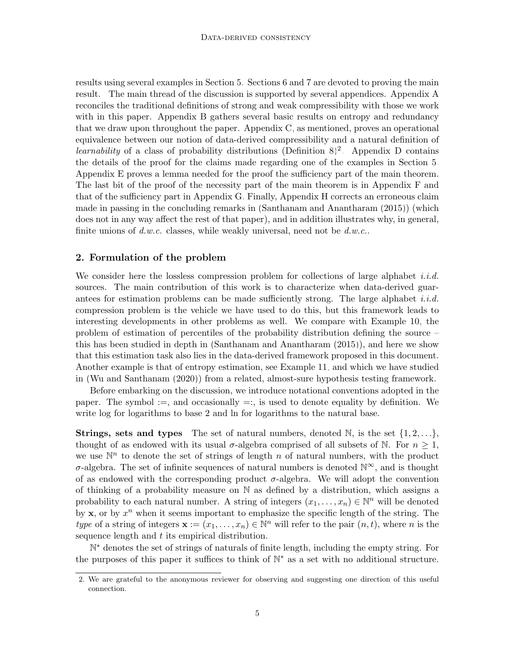results using several examples in Section [5.](#page-18-0) Sections [6](#page-29-0) and [7](#page-30-0) are devoted to proving the main result. The main thread of the discussion is supported by several appendices. Appendix [A](#page-0-0) reconciles the traditional definitions of strong and weak compressibility with those we work with in this paper. Appendix [B](#page-4-0) gathers several basic results on entropy and redundancy that we draw upon throughout the paper. Appendix [C,](#page-12-0) as mentioned, proves an operational equivalence between our notion of data-derived compressibility and a natural definition of *learnability* of a class of probability distributions (Definition [8\)](#page-11-1)<sup>[2](#page-4-1)</sup>. Appendix [D](#page-16-1) contains the details of the proof for the claims made regarding one of the examples in Section [5.](#page-18-0) Appendix [E](#page-18-0) proves a lemma needed for the proof the sufficiency part of the main theorem. The last bit of the proof of the necessity part of the main theorem is in Appendix [F](#page-29-0) and that of the sufficiency part in Appendix [G.](#page-30-0) Finally, Appendix [H](#page-54-0) corrects an erroneous claim made in passing in the concluding remarks in [\(Santhanam and Anantharam](#page-37-9) [\(2015\)](#page-37-9)) (which does not in any way affect the rest of that paper), and in addition illustrates why, in general, finite unions of  $d.w.c.$  classes, while weakly universal, need not be  $d.w.c.$ .

## <span id="page-4-0"></span>2. Formulation of the problem

We consider here the lossless compression problem for collections of large alphabet *i.i.d.* sources. The main contribution of this work is to characterize when data-derived guarantees for estimation problems can be made sufficiently strong. The large alphabet *i.i.d.* compression problem is the vehicle we have used to do this, but this framework leads to interesting developments in other problems as well. We compare with Example [10,](#page-12-1) the problem of estimation of percentiles of the probability distribution defining the source – this has been studied in depth in [\(Santhanam and Anantharam](#page-37-9) [\(2015\)](#page-37-9)), and here we show that this estimation task also lies in the data-derived framework proposed in this document. Another example is that of entropy estimation, see Example [11,](#page-12-2) and which we have studied in [\(Wu and Santhanam](#page-38-1) [\(2020\)](#page-38-1)) from a related, almost-sure hypothesis testing framework.

Before embarking on the discussion, we introduce notational conventions adopted in the paper. The symbol :=, and occasionally =:, is used to denote equality by definition. We write log for logarithms to base 2 and ln for logarithms to the natural base.

**Strings, sets and types** The set of natural numbers, denoted N, is the set  $\{1, 2, \ldots\}$ , thought of as endowed with its usual  $\sigma$ -algebra comprised of all subsets of N. For  $n \geq 1$ , we use  $\mathbb{N}^n$  to denote the set of strings of length n of natural numbers, with the product  $\sigma$ -algebra. The set of infinite sequences of natural numbers is denoted  $\mathbb{N}^{\infty}$ , and is thought of as endowed with the corresponding product  $\sigma$ -algebra. We will adopt the convention of thinking of a probability measure on  $\mathbb N$  as defined by a distribution, which assigns a probability to each natural number. A string of integers  $(x_1, \ldots, x_n) \in \mathbb{N}^n$  will be denoted by  $x$ , or by  $x^n$  when it seems important to emphasize the specific length of the string. The type of a string of integers  $\mathbf{x} := (x_1, \dots, x_n) \in \mathbb{N}^n$  will refer to the pair  $(n, t)$ , where n is the sequence length and t its empirical distribution.

N <sup>∗</sup> denotes the set of strings of naturals of finite length, including the empty string. For the purposes of this paper it suffices to think of  $\mathbb{N}^*$  as a set with no additional structure.

<span id="page-4-1"></span><sup>2.</sup> We are grateful to the anonymous reviewer for observing and suggesting one direction of this useful connection.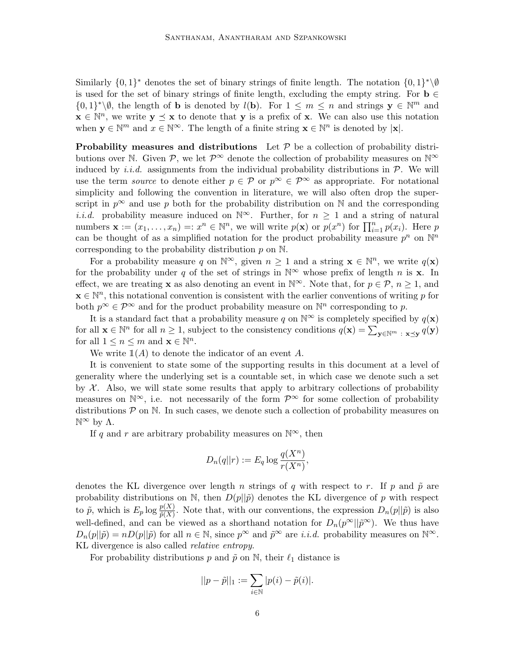Similarly  $\{0,1\}^*$  denotes the set of binary strings of finite length. The notation  $\{0,1\}^*\backslash\emptyset$ is used for the set of binary strings of finite length, excluding the empty string. For  $\mathbf{b} \in$  $\{0,1\}^*\backslash\emptyset$ , the length of **b** is denoted by  $l(\mathbf{b})$ . For  $1 \leq m \leq n$  and strings  $\mathbf{y} \in \mathbb{N}^m$  and  $\mathbf{x} \in \mathbb{N}^n$ , we write  $\mathbf{y} \preceq \mathbf{x}$  to denote that  $\mathbf{y}$  is a prefix of  $\mathbf{x}$ . We can also use this notation when  $\mathbf{y} \in \mathbb{N}^m$  and  $x \in \mathbb{N}^\infty$ . The length of a finite string  $\mathbf{x} \in \mathbb{N}^n$  is denoted by  $|\mathbf{x}|$ .

**Probability measures and distributions** Let  $P$  be a collection of probability distributions over N. Given P, we let  $\mathcal{P}^{\infty}$  denote the collection of probability measures on  $\mathbb{N}^{\infty}$ induced by *i.i.d.* assignments from the individual probability distributions in  $P$ . We will use the term *source* to denote either  $p \in \mathcal{P}$  or  $p^{\infty} \in \mathcal{P}^{\infty}$  as appropriate. For notational simplicity and following the convention in literature, we will also often drop the superscript in  $p^{\infty}$  and use p both for the probability distribution on N and the corresponding *i.i.d.* probability measure induced on  $\mathbb{N}^{\infty}$ . Further, for  $n \geq 1$  and a string of natural numbers  $\mathbf{x} := (x_1, \ldots, x_n) =: x^n \in \mathbb{N}^n$ , we will write  $p(\mathbf{x})$  or  $p(x^n)$  for  $\prod_{i=1}^n p(x_i)$ . Here p can be thought of as a simplified notation for the product probability measure  $p^n$  on  $\mathbb{N}^n$ corresponding to the probability distribution  $p$  on  $\mathbb N$ .

For a probability measure q on  $\mathbb{N}^{\infty}$ , given  $n \geq 1$  and a string  $\mathbf{x} \in \mathbb{N}^{n}$ , we write  $q(\mathbf{x})$ for the probability under q of the set of strings in  $\mathbb{N}^{\infty}$  whose prefix of length n is x. In effect, we are treating **x** as also denoting an event in  $\mathbb{N}^{\infty}$ . Note that, for  $p \in \mathcal{P}$ ,  $n \geq 1$ , and  $\mathbf{x} \in \mathbb{N}^n$ , this notational convention is consistent with the earlier conventions of writing p for both  $p^{\infty} \in \mathcal{P}^{\infty}$  and for the product probability measure on  $\mathbb{N}^n$  corresponding to p.

It is a standard fact that a probability measure q on  $\mathbb{N}^{\infty}$  is completely specified by  $q(\mathbf{x})$ for all  $\mathbf{x} \in \mathbb{N}^n$  for all  $n \geq 1$ , subject to the consistency conditions  $q(\mathbf{x}) = \sum_{\mathbf{y} \in \mathbb{N}^m} \mathbb{I}_{\mathbf{x} \preceq \mathbf{y}} q(\mathbf{y})$ for all  $1 \leq n \leq m$  and  $\mathbf{x} \in \mathbb{N}^n$ .

We write  $\mathbb{1}(A)$  to denote the indicator of an event A.

It is convenient to state some of the supporting results in this document at a level of generality where the underlying set is a countable set, in which case we denote such a set by  $X$ . Also, we will state some results that apply to arbitrary collections of probability measures on  $\mathbb{N}^{\infty}$ , i.e. not necessarily of the form  $\mathcal{P}^{\infty}$  for some collection of probability distributions  $P$  on  $N$ . In such cases, we denote such a collection of probability measures on  $\mathbb{N}^{\infty}$  by Λ.

If q and r are arbitrary probability measures on  $\mathbb{N}^{\infty}$ , then

$$
D_n(q||r) := E_q \log \frac{q(X^n)}{r(X^n)},
$$

denotes the KL divergence over length n strings of q with respect to r. If p and  $\tilde{p}$  are probability distributions on N, then  $D(p||\tilde{p})$  denotes the KL divergence of p with respect to  $\tilde{p}$ , which is  $E_p \log \frac{p(X)}{\tilde{p}(X)}$ . Note that, with our conventions, the expression  $D_n(p||\tilde{p})$  is also well-defined, and can be viewed as a shorthand notation for  $D_n(p^{\infty}||\tilde{p}^{\infty})$ . We thus have  $D_n(p||\tilde{p}) = nD(p||\tilde{p})$  for all  $n \in \mathbb{N}$ , since  $p^{\infty}$  and  $\tilde{p}^{\infty}$  are *i.i.d.* probability measures on  $\mathbb{N}^{\infty}$ . KL divergence is also called relative entropy.

For probability distributions p and  $\tilde{p}$  on N, their  $\ell_1$  distance is

$$
||p-\tilde{p}||_1:=\sum_{i\in\mathbb{N}}|p(i)-\tilde{p}(i)|.
$$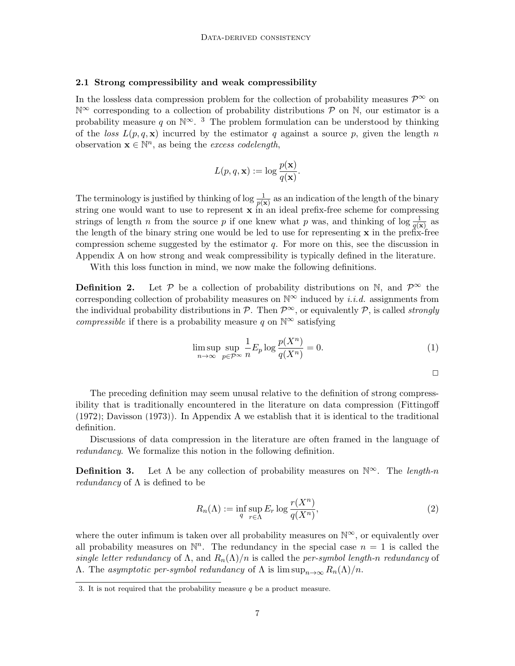## 2.1 Strong compressibility and weak compressibility

In the lossless data compression problem for the collection of probability measures  $\mathcal{P}^{\infty}$  on  $\mathbb{N}^{\infty}$  corresponding to a collection of probability distributions  $\mathcal{P}$  on  $\mathbb{N}$ , our estimator is a probability measure q on  $\mathbb{N}^{\infty}$ . <sup>[3](#page-6-0)</sup> The problem formulation can be understood by thinking of the loss  $L(p,q,\mathbf{x})$  incurred by the estimator q against a source p, given the length n observation  $\mathbf{x} \in \mathbb{N}^n$ , as being the excess codelength,

$$
L(p,q,\mathbf{x}) := \log \frac{p(\mathbf{x})}{q(\mathbf{x})}.
$$

The terminology is justified by thinking of log  $\frac{1}{p(x)}$  as an indication of the length of the binary string one would want to use to represent  $x$  in an ideal prefix-free scheme for compressing strings of length n from the source p if one knew what p was, and thinking of  $\log \frac{1}{q(x)}$  as the length of the binary string one would be led to use for representing  $x$  in the prefix-free compression scheme suggested by the estimator  $q$ . For more on this, see the discussion in Appendix [A](#page-0-0) on how strong and weak compressibility is typically defined in the literature.

With this loss function in mind, we now make the following definitions.

<span id="page-6-2"></span>**Definition 2.** Let P be a collection of probability distributions on N, and  $\mathcal{P}^{\infty}$  the corresponding collection of probability measures on  $\mathbb{N}^{\infty}$  induced by *i.i.d.* assignments from the individual probability distributions in  $\mathcal{P}$ . Then  $\mathcal{P}^{\infty}$ , or equivalently  $\mathcal{P}$ , is called *strongly compressible* if there is a probability measure q on  $\mathbb{N}^{\infty}$  satisfying

<span id="page-6-1"></span>
$$
\limsup_{n \to \infty} \sup_{p \in \mathcal{P}^{\infty}} \frac{1}{n} E_p \log \frac{p(X^n)}{q(X^n)} = 0.
$$
\n(1)

The preceding definition may seem unusal relative to the definition of strong compressibility that is traditionally encountered in the literature on data compression [\(Fittingoff](#page-36-3) [\(1972\)](#page-36-3); [Davisson](#page-36-6) [\(1973\)](#page-36-6)). In Appendix [A](#page-0-0) we establish that it is identical to the traditional definition.

Discussions of data compression in the literature are often framed in the language of redundancy. We formalize this notion in the following definition.

<span id="page-6-4"></span>**Definition 3.** Let  $\Lambda$  be any collection of probability measures on  $\mathbb{N}^{\infty}$ . The length-n *redundancy* of  $\Lambda$  is defined to be

<span id="page-6-3"></span>
$$
R_n(\Lambda) := \inf_{q} \sup_{r \in \Lambda} E_r \log \frac{r(X^n)}{q(X^n)},\tag{2}
$$

where the outer infimum is taken over all probability measures on  $\mathbb{N}^{\infty}$ , or equivalently over all probability measures on  $\mathbb{N}^n$ . The redundancy in the special case  $n = 1$  is called the single letter redundancy of  $\Lambda$ , and  $R_n(\Lambda)/n$  is called the per-symbol length-n redundancy of Λ. The asymptotic per-symbol redundancy of  $\Lambda$  is  $\limsup_{n\to\infty} R_n(\Lambda)/n$ .

<span id="page-6-0"></span><sup>3.</sup> It is not required that the probability measure  $q$  be a product measure.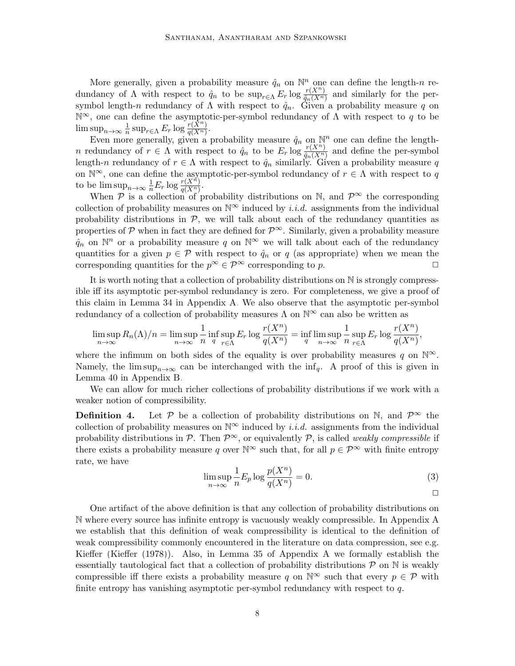More generally, given a probability measure  $\hat{q}_n$  on  $\mathbb{N}^n$  one can define the length-n redundancy of  $\Lambda$  with respect to  $\hat{q}_n$  to be  $\sup_{r \in \Lambda} E_r \log \frac{r(X^n)}{\hat{q}_n(X^n)}$  and similarly for the persymbol length-n redundancy of  $\Lambda$  with respect to  $\hat{q}_n$ . Given a probability measure q on  $\mathbb{N}^{\infty}$ , one can define the asymptotic-per-symbol redundancy of  $\Lambda$  with respect to q to be  $\limsup_{n\to\infty}\frac{1}{n}$  $\frac{1}{n}$  sup<sub>r∈Λ</sub>  $E_r$  log  $\frac{r(\overline{X}^n)}{q(X^n)}$ .

Even more generally, given a probability measure  $\hat{q}_n$  on  $\mathbb{N}^n$  one can define the lengthn redundancy of  $r \in \Lambda$  with respect to  $\hat{q}_n$  to be  $E_r \log \frac{r(X^n)}{\hat{q}_n(X^n)}$  and define the per-symbol length-n redundancy of  $r \in \Lambda$  with respect to  $\hat{q}_n$  similarly. Given a probability measure q on  $\mathbb{N}^{\infty}$ , one can define the asymptotic-per-symbol redundancy of  $r \in \Lambda$  with respect to q to be  $\limsup_{n\to\infty}\frac{1}{n}E_r\log\frac{r(X^n)}{q(X^n)}$ .

When  $\mathcal P$  is a collection of probability distributions on N, and  $\mathcal P^{\infty}$  the corresponding collection of probability measures on  $\mathbb{N}^{\infty}$  induced by *i.i.d.* assignments from the individual probability distributions in  $P$ , we will talk about each of the redundancy quantities as properties of  $P$  when in fact they are defined for  $\mathcal{P}^{\infty}$ . Similarly, given a probability measure  $\hat{q}_n$  on  $\mathbb{N}^n$  or a probability measure q on  $\mathbb{N}^\infty$  we will talk about each of the redundancy quantities for a given  $p \in \mathcal{P}$  with respect to  $\hat{q}_n$  or q (as appropriate) when we mean the corresponding quantities for the  $p^{\infty} \in \mathcal{P}^{\infty}$  corresponding to p.

It is worth noting that a collection of probability distributions on N is strongly compressible iff its asymptotic per-symbol redundancy is zero. For completeness, we give a proof of this claim in Lemma [34](#page-41-0) in Appendix [A.](#page-0-0) We also observe that the asymptotic per-symbol redundancy of a collection of probability measures  $\Lambda$  on  $\mathbb{N}^{\infty}$  can also be written as

$$
\limsup_{n \to \infty} R_n(\Lambda)/n = \limsup_{n \to \infty} \frac{1}{n} \inf_{q} \sup_{r \in \Lambda} E_r \log \frac{r(X^n)}{q(X^n)} = \inf_{q} \limsup_{n \to \infty} \frac{1}{n} \sup_{r \in \Lambda} E_r \log \frac{r(X^n)}{q(X^n)},
$$

where the infimum on both sides of the equality is over probability measures q on  $\mathbb{N}^{\infty}$ . Namely, the  $\limsup_{n\to\infty}$  can be interchanged with the  $\inf_q$ . A proof of this is given in Lemma [40](#page-43-0) in Appendix [B.](#page-4-0)

We can allow for much richer collections of probability distributions if we work with a weaker notion of compressibility.

<span id="page-7-1"></span>**Definition 4.** Let P be a collection of probability distributions on N, and  $\mathcal{P}^{\infty}$  the collection of probability measures on  $\mathbb{N}^{\infty}$  induced by *i.i.d.* assignments from the individual probability distributions in  $P$ . Then  $\mathcal{P}^{\infty}$ , or equivalently P, is called *weakly compressible* if there exists a probability measure q over  $\mathbb{N}^{\infty}$  such that, for all  $p \in \mathcal{P}^{\infty}$  with finite entropy rate, we have

<span id="page-7-0"></span>
$$
\limsup_{n \to \infty} \frac{1}{n} E_p \log \frac{p(X^n)}{q(X^n)} = 0.
$$
\n(3)

 $\Box$ 

One artifact of the above definition is that any collection of probability distributions on N where every source has infinite entropy is vacuously weakly compressible. In Appendix [A](#page-0-0) we establish that this definition of weak compressibility is identical to the definition of weak compressibility commonly encountered in the literature on data compression, see e.g. Kieffer [\(Kieffer](#page-37-10) [\(1978\)](#page-37-10)). Also, in Lemma [35](#page-41-1) of Appendix [A](#page-0-0) we formally establish the essentially tautological fact that a collection of probability distributions  $\mathcal P$  on N is weakly compressible iff there exists a probability measure q on  $\mathbb{N}^{\infty}$  such that every  $p \in \mathcal{P}$  with finite entropy has vanishing asymptotic per-symbol redundancy with respect to  $q$ .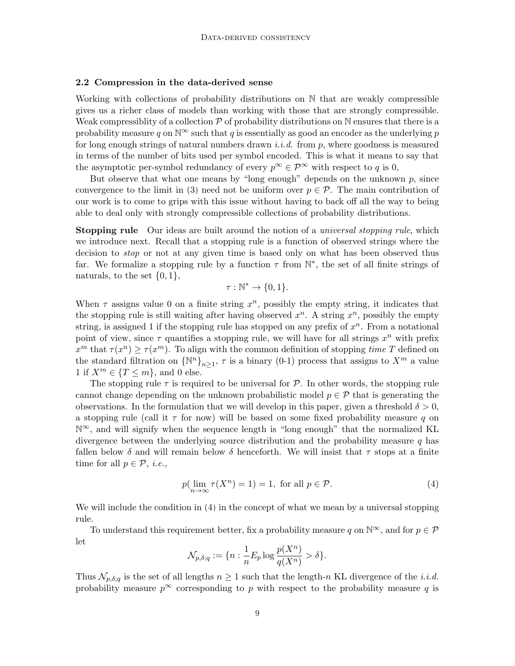#### 2.2 Compression in the data-derived sense

Working with collections of probability distributions on N that are weakly compressible gives us a richer class of models than working with those that are strongly compressible. Weak compressibility of a collection  $P$  of probability distributions on N ensures that there is a probability measure q on  $\mathbb{N}^{\infty}$  such that q is essentially as good an encoder as the underlying p for long enough strings of natural numbers drawn *i.i.d.* from  $p$ , where goodness is measured in terms of the number of bits used per symbol encoded. This is what it means to say that the asymptotic per-symbol redundancy of every  $p^{\infty} \in \mathcal{P}^{\infty}$  with respect to q is 0,

But observe that what one means by "long enough" depends on the unknown  $p$ , since convergence to the limit in [\(3\)](#page-7-0) need not be uniform over  $p \in \mathcal{P}$ . The main contribution of our work is to come to grips with this issue without having to back off all the way to being able to deal only with strongly compressible collections of probability distributions.

**Stopping rule** Our ideas are built around the notion of a *universal stopping rule*, which we introduce next. Recall that a stopping rule is a function of observed strings where the decision to *stop* or not at any given time is based only on what has been observed thus far. We formalize a stopping rule by a function  $\tau$  from  $\mathbb{N}^*$ , the set of all finite strings of naturals, to the set  $\{0, 1\},\$ 

$$
\tau : \mathbb{N}^* \to \{0, 1\}.
$$

When  $\tau$  assigns value 0 on a finite string  $x^n$ , possibly the empty string, it indicates that the stopping rule is still waiting after having observed  $x^n$ . A string  $x^n$ , possibly the empty string, is assigned 1 if the stopping rule has stopped on any prefix of  $x^n$ . From a notational point of view, since  $\tau$  quantifies a stopping rule, we will have for all strings  $x^n$  with prefix  $x^m$  that  $\tau(x^n) \geq \tau(x^m)$ . To align with the common definition of stopping time T defined on the standard filtration on  $\{\mathbb{N}^n\}_{n\geq 1}$ ,  $\tau$  is a binary (0-1) process that assigns to  $X^m$  a value 1 if  $X^m \in \{T \leq m\}$ , and 0 else.

The stopping rule  $\tau$  is required to be universal for  $\mathcal P$ . In other words, the stopping rule cannot change depending on the unknown probabilistic model  $p \in \mathcal{P}$  that is generating the observations. In the formulation that we will develop in this paper, given a threshold  $\delta > 0$ , a stopping rule (call it  $\tau$  for now) will be based on some fixed probability measure q on N∞, and will signify when the sequence length is "long enough" that the normalized KL divergence between the underlying source distribution and the probability measure q has fallen below δ and will remain below δ henceforth. We will insist that  $\tau$  stops at a finite time for all  $p \in \mathcal{P}$ , *i.e.*,

<span id="page-8-0"></span>
$$
p(\lim_{n \to \infty} \tau(X^n) = 1) = 1, \text{ for all } p \in \mathcal{P}.
$$
 (4)

We will include the condition in [\(4\)](#page-8-0) in the concept of what we mean by a universal stopping rule.

To understand this requirement better, fix a probability measure q on  $\mathbb{N}^{\infty}$ , and for  $p \in \mathcal{P}$ let

$$
\mathcal{N}_{p,\delta;q} := \{ n : \frac{1}{n} E_p \log \frac{p(X^n)}{q(X^n)} > \delta \}.
$$

Thus  $\mathcal{N}_{p,\delta;q}$  is the set of all lengths  $n \geq 1$  such that the length-n KL divergence of the *i.i.d.* probability measure  $p^{\infty}$  corresponding to p with respect to the probability measure q is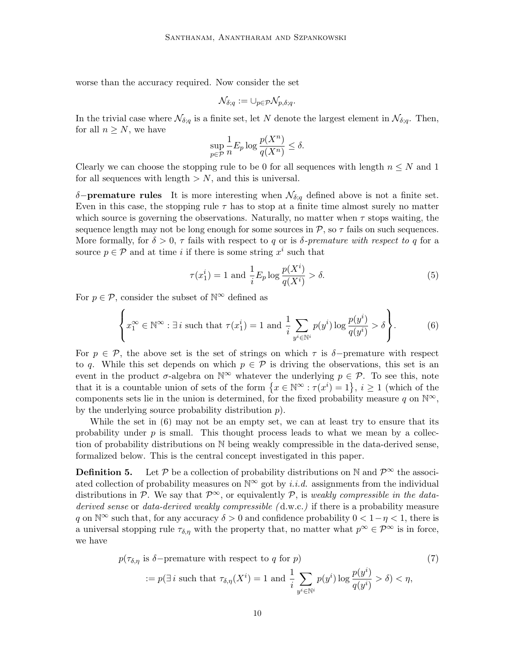worse than the accuracy required. Now consider the set

$$
\mathcal{N}_{\delta;q}:=\cup_{p\in\mathcal{P}}\mathcal{N}_{p,\delta;q}.
$$

In the trivial case where  $\mathcal{N}_{\delta;q}$  is a finite set, let N denote the largest element in  $\mathcal{N}_{\delta;q}$ . Then, for all  $n \geq N$ , we have

$$
\sup_{p \in \mathcal{P}} \frac{1}{n} E_p \log \frac{p(X^n)}{q(X^n)} \le \delta.
$$

Clearly we can choose the stopping rule to be 0 for all sequences with length  $n \leq N$  and 1 for all sequences with length  $> N$ , and this is universal.

δ−**premature rules** It is more interesting when  $\mathcal{N}_{\delta;q}$  defined above is not a finite set. Even in this case, the stopping rule  $\tau$  has to stop at a finite time almost surely no matter which source is governing the observations. Naturally, no matter when  $\tau$  stops waiting, the sequence length may not be long enough for some sources in  $P$ , so  $\tau$  fails on such sequences. More formally, for  $\delta > 0$ ,  $\tau$  fails with respect to q or is  $\delta$ -premature with respect to q for a source  $p \in \mathcal{P}$  and at time *i* if there is some string  $x^i$  such that

<span id="page-9-3"></span>
$$
\tau(x_1^i) = 1 \text{ and } \frac{1}{i} E_p \log \frac{p(X^i)}{q(X^i)} > \delta. \tag{5}
$$

For  $p \in \mathcal{P}$ , consider the subset of  $\mathbb{N}^{\infty}$  defined as

<span id="page-9-0"></span>
$$
\left\{ x_1^{\infty} \in \mathbb{N}^{\infty} : \exists i \text{ such that } \tau(x_1^i) = 1 \text{ and } \frac{1}{i} \sum_{y^i \in \mathbb{N}^i} p(y^i) \log \frac{p(y^i)}{q(y^i)} > \delta \right\}.
$$
 (6)

For  $p \in \mathcal{P}$ , the above set is the set of strings on which  $\tau$  is  $\delta$ -premature with respect to q. While this set depends on which  $p \in \mathcal{P}$  is driving the observations, this set is an event in the product  $\sigma$ -algebra on  $\mathbb{N}^{\infty}$  whatever the underlying  $p \in \mathcal{P}$ . To see this, note that it is a countable union of sets of the form  $\{x \in \mathbb{N}^{\infty} : \tau(x^i) = 1\}, i \geq 1$  (which of the components sets lie in the union is determined, for the fixed probability measure q on  $\mathbb{N}^{\infty}$ , by the underlying source probability distribution p).

While the set in [\(6\)](#page-9-0) may not be an empty set, we can at least try to ensure that its probability under  $p$  is small. This thought process leads to what we mean by a collection of probability distributions on N being weakly compressible in the data-derived sense, formalized below. This is the central concept investigated in this paper.

<span id="page-9-1"></span>**Definition 5.** Let P be a collection of probability distributions on N and  $\mathcal{P}^{\infty}$  the associated collection of probability measures on  $\mathbb{N}^{\infty}$  got by *i.i.d.* assignments from the individual distributions in P. We say that  $\mathcal{P}^{\infty}$ , or equivalently P, is weakly compressible in the dataderived sense or data-derived weakly compressible (d.w.c.) if there is a probability measure q on  $\mathbb{N}^{\infty}$  such that, for any accuracy  $\delta > 0$  and confidence probability  $0 < 1-\eta < 1$ , there is a universal stopping rule  $\tau_{\delta,\eta}$  with the property that, no matter what  $p^{\infty} \in \mathcal{P}^{\infty}$  is in force, we have

<span id="page-9-2"></span>
$$
p(\tau_{\delta,\eta} \text{ is } \delta-\text{premature with respect to } q \text{ for } p) := p(\exists i \text{ such that } \tau_{\delta,\eta}(X^i) = 1 \text{ and } \frac{1}{i} \sum_{y^i \in \mathbb{N}^i} p(y^i) \log \frac{p(y^i)}{q(y^i)} > \delta) < \eta,
$$
 (7)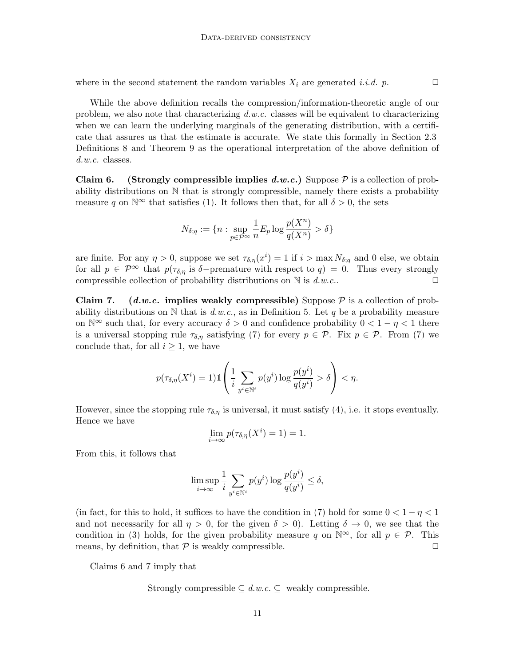where in the second statement the random variables  $X_i$  are generated *i.i.d.* p.  $\Box$ 

While the above definition recalls the compression/information-theoretic angle of our problem, we also note that characterizing  $d.w.c.$  classes will be equivalent to characterizing when we can learn the underlying marginals of the generating distribution, with a certificate that assures us that the estimate is accurate. We state this formally in Section [2.3,](#page-11-2) Definitions [8](#page-11-1) and Theorem [9](#page-11-0) as the operational interpretation of the above definition of d.w.c. classes.

<span id="page-10-0"></span>Claim 6. (Strongly compressible implies  $d.w.c.$ ) Suppose  $P$  is a collection of probability distributions on N that is strongly compressible, namely there exists a probability measure q on  $\mathbb{N}^{\infty}$  that satisfies [\(1\)](#page-6-1). It follows then that, for all  $\delta > 0$ , the sets

$$
N_{\delta;q}:=\{n: \sup_{p\in\mathcal{P}^\infty}\frac{1}{n}E_p\log\frac{p(X^n)}{q(X^n)}>\delta\}
$$

are finite. For any  $\eta > 0$ , suppose we set  $\tau_{\delta,\eta}(x^i) = 1$  if  $i > \max N_{\delta,q}$  and 0 else, we obtain for all  $p \in \mathcal{P}^{\infty}$  that  $p(\tau_{\delta,\eta})$  is  $\delta$ -premature with respect to  $q$ ) = 0. Thus every strongly compressible collection of probability distributions on  $\mathbb N$  is  $d.w.c.$ 

<span id="page-10-1"></span>Claim 7. (d.w.c. implies weakly compressible) Suppose  $P$  is a collection of probability distributions on  $\mathbb N$  that is d.w.c., as in Definition [5.](#page-9-1) Let q be a probability measure on  $\mathbb{N}^{\infty}$  such that, for every accuracy  $\delta > 0$  and confidence probability  $0 < 1 - \eta < 1$  there is a universal stopping rule  $\tau_{\delta,\eta}$  satisfying [\(7\)](#page-9-2) for every  $p \in \mathcal{P}$ . Fix  $p \in \mathcal{P}$ . From (7) we conclude that, for all  $i \geq 1$ , we have

$$
p(\tau_{\delta,\eta}(X^i) = 1) \mathbb{1}\left(\frac{1}{i} \sum_{y^i \in \mathbb{N}^i} p(y^i) \log \frac{p(y^i)}{q(y^i)} > \delta\right) < \eta.
$$

However, since the stopping rule  $\tau_{\delta,\eta}$  is universal, it must satisfy [\(4\)](#page-8-0), i.e. it stops eventually. Hence we have

$$
\lim_{i \to \infty} p(\tau_{\delta,\eta}(X^i) = 1) = 1.
$$

From this, it follows that

$$
\limsup_{i \to \infty} \frac{1}{i} \sum_{y^i \in \mathbb{N}^i} p(y^i) \log \frac{p(y^i)}{q(y^i)} \le \delta,
$$

(in fact, for this to hold, it suffices to have the condition in [\(7\)](#page-9-2) hold for some  $0 < 1 - \eta < 1$ and not necessarily for all  $\eta > 0$ , for the given  $\delta > 0$ . Letting  $\delta \to 0$ , we see that the condition in [\(3\)](#page-7-0) holds, for the given probability measure q on  $\mathbb{N}^{\infty}$ , for all  $p \in \mathcal{P}$ . This means, by definition, that  $P$  is weakly compressible.  $\Box$ 

Claims [6](#page-10-0) and [7](#page-10-1) imply that

Strongly compressible 
$$
\subseteq d.w.c.
$$
  $\subseteq$  weakly compressible.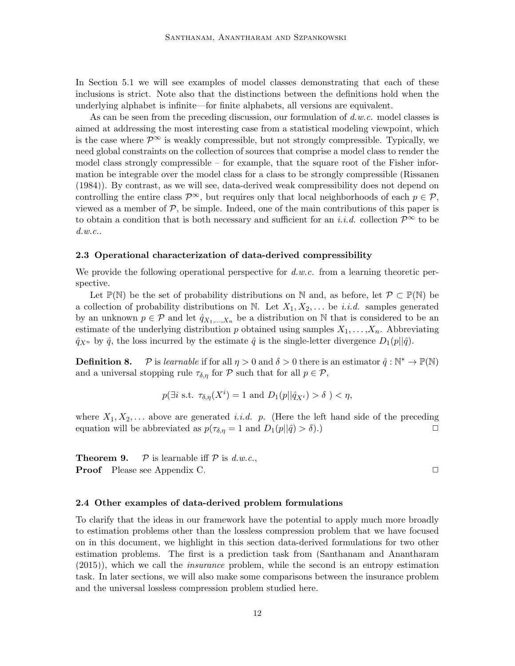In Section [5.1](#page-18-1) we will see examples of model classes demonstrating that each of these inclusions is strict. Note also that the distinctions between the definitions hold when the underlying alphabet is infinite—for finite alphabets, all versions are equivalent.

As can be seen from the preceding discussion, our formulation of  $d.w.c.$  model classes is aimed at addressing the most interesting case from a statistical modeling viewpoint, which is the case where  $\mathcal{P}^{\infty}$  is weakly compressible, but not strongly compressible. Typically, we need global constraints on the collection of sources that comprise a model class to render the model class strongly compressible – for example, that the square root of the Fisher information be integrable over the model class for a class to be strongly compressible [\(Rissanen](#page-37-3) [\(1984\)](#page-37-3)). By contrast, as we will see, data-derived weak compressibility does not depend on controlling the entire class  $\mathcal{P}^{\infty}$ , but requires only that local neighborhoods of each  $p \in \mathcal{P}$ , viewed as a member of  $P$ , be simple. Indeed, one of the main contributions of this paper is to obtain a condition that is both necessary and sufficient for an *i.i.d.* collection  $\mathcal{P}^{\infty}$  to be d.w.c..

#### <span id="page-11-2"></span>2.3 Operational characterization of data-derived compressibility

We provide the following operational perspective for  $d.w.c.$  from a learning theoretic perspective.

Let  $\mathbb{P}(\mathbb{N})$  be the set of probability distributions on N and, as before, let  $\mathcal{P} \subset \mathbb{P}(\mathbb{N})$  be a collection of probability distributions on N. Let  $X_1, X_2, \ldots$  be *i.i.d.* samples generated by an unknown  $p \in \mathcal{P}$  and let  $\hat{q}_{X_1,...,X_n}$  be a distribution on N that is considered to be an estimate of the underlying distribution p obtained using samples  $X_1, \ldots, X_n$ . Abbreviating  $\hat{q}_{X^n}$  by  $\hat{q}$ , the loss incurred by the estimate  $\hat{q}$  is the single-letter divergence  $D_1(p||\hat{q})$ .

<span id="page-11-1"></span>**Definition 8.** P is learnable if for all  $\eta > 0$  and  $\delta > 0$  there is an estimator  $\hat{q}: \mathbb{N}^* \to \mathbb{P}(\mathbb{N})$ and a universal stopping rule  $\tau_{\delta,\eta}$  for P such that for all  $p \in \mathcal{P}$ ,

$$
p(\exists i \text{ s.t. } \tau_{\delta,\eta}(X^i) = 1 \text{ and } D_1(p||\hat{q}_{X^i}) > \delta) < \eta,
$$

where  $X_1, X_2, \ldots$  above are generated *i.i.d.* p. (Here the left hand side of the preceding equation will be abbreviated as  $p(\tau_{\delta,\eta} = 1 \text{ and } D_1(p||\hat{q}) > \delta).$ 

<span id="page-11-0"></span>**Theorem 9.**  $\mathcal{P}$  is learnable iff  $\mathcal{P}$  is d.w.c., **Proof** Please see Appendix [C.](#page-12-0) ◯

# 2.4 Other examples of data-derived problem formulations

To clarify that the ideas in our framework have the potential to apply much more broadly to estimation problems other than the lossless compression problem that we have focused on in this document, we highlight in this section data-derived formulations for two other estimation problems. The first is a prediction task from [\(Santhanam and Anantharam](#page-37-9) [\(2015\)](#page-37-9)), which we call the insurance problem, while the second is an entropy estimation task. In later sections, we will also make some comparisons between the insurance problem and the universal lossless compression problem studied here.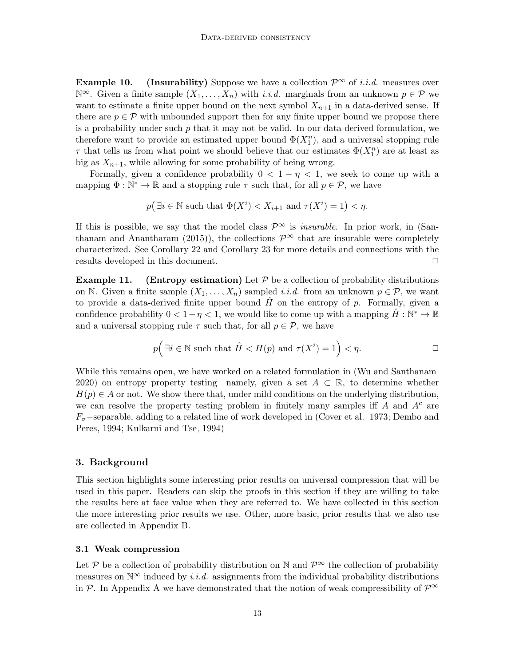<span id="page-12-1"></span>**Example 10.** (Insurability) Suppose we have a collection  $\mathcal{P}^{\infty}$  of *i.i.d.* measures over  $\mathbb{N}^{\infty}$ . Given a finite sample  $(X_1, \ldots, X_n)$  with i.i.d. marginals from an unknown  $p \in \mathcal{P}$  we want to estimate a finite upper bound on the next symbol  $X_{n+1}$  in a data-derived sense. If there are  $p \in \mathcal{P}$  with unbounded support then for any finite upper bound we propose there is a probability under such  $p$  that it may not be valid. In our data-derived formulation, we therefore want to provide an estimated upper bound  $\Phi(X_1^n)$ , and a universal stopping rule  $\tau$  that tells us from what point we should believe that our estimates  $\Phi(X_1^n)$  are at least as big as  $X_{n+1}$ , while allowing for some probability of being wrong.

Formally, given a confidence probability  $0 < 1 - \eta < 1$ , we seek to come up with a mapping  $\Phi : \mathbb{N}^* \to \mathbb{R}$  and a stopping rule  $\tau$  such that, for all  $p \in \mathcal{P}$ , we have

$$
p(\exists i \in \mathbb{N} \text{ such that } \Phi(X^i) < X_{i+1} \text{ and } \tau(X^i) = 1) < \eta.
$$

If this is possible, we say that the model class  $\mathcal{P}^{\infty}$  is *insurable*. In prior work, in [\(San](#page-37-9)[thanam and Anantharam](#page-37-9) [\(2015\)](#page-37-9)), the collections  $\mathcal{P}^{\infty}$  that are insurable were completely characterized. See Corollary [22](#page-18-2) and Corollary [23](#page-18-3) for more details and connections with the results developed in this document.

<span id="page-12-2"></span>**Example 11.** (Entropy estimation) Let  $\mathcal{P}$  be a collection of probability distributions on N. Given a finite sample  $(X_1, \ldots, X_n)$  sampled *i.i.d.* from an unknown  $p \in \mathcal{P}$ , we want to provide a data-derived finite upper bound  $\hat{H}$  on the entropy of p. Formally, given a confidence probability  $0 < 1 - \eta < 1$ , we would like to come up with a mapping  $\hat{H}: \mathbb{N}^* \to \mathbb{R}$ and a universal stopping rule  $\tau$  such that, for all  $p \in \mathcal{P}$ , we have

$$
p(\exists i \in \mathbb{N} \text{ such that } \hat{H} < H(p) \text{ and } \tau(X^i) = 1) < \eta.
$$

While this remains open, we have worked on a related formulation in [\(Wu and Santhanam,](#page-38-1) [2020\)](#page-38-1) on entropy property testing—namely, given a set  $A \subset \mathbb{R}$ , to determine whether  $H(p) \in A$  or not. We show there that, under mild conditions on the underlying distribution, we can resolve the property testing problem in finitely many samples iff A and  $A<sup>c</sup>$  are  $F_{\sigma}$ –separable, adding to a related line of work developed in [\(Cover et al., 1973;](#page-36-11) [Dembo and](#page-36-12) [Peres, 1994;](#page-36-12) [Kulkarni and Tse, 1994\)](#page-37-7)

# <span id="page-12-0"></span>3. Background

This section highlights some interesting prior results on universal compression that will be used in this paper. Readers can skip the proofs in this section if they are willing to take the results here at face value when they are referred to. We have collected in this section the more interesting prior results we use. Other, more basic, prior results that we also use are collected in Appendix [B.](#page-4-0)

#### 3.1 Weak compression

Let P be a collection of probability distribution on N and  $\mathcal{P}^{\infty}$  the collection of probability measures on  $\mathbb{N}^{\infty}$  induced by *i.i.d.* assignments from the individual probability distributions in P. In [A](#page-0-0)ppendix A we have demonstrated that the notion of weak compressibility of  $\mathcal{P}^{\infty}$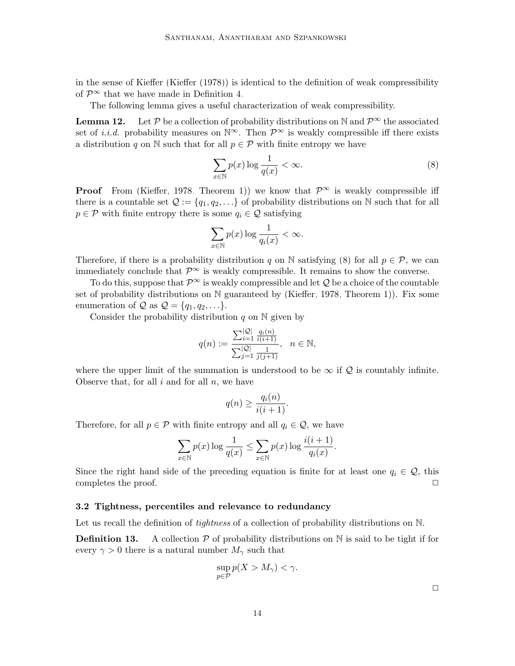in the sense of Kieffer [\(Kieffer](#page-37-10) [\(1978\)](#page-37-10)) is identical to the definition of weak compressibility of  $\mathcal{P}^{\infty}$  that we have made in Definition [4.](#page-7-1)

The following lemma gives a useful characterization of weak compressibility.

<span id="page-13-2"></span>**Lemma 12.** Let P be a collection of probability distributions on N and  $\mathcal{P}^{\infty}$  the associated set of *i.i.d.* probability measures on  $\mathbb{N}^{\infty}$ . Then  $\mathcal{P}^{\infty}$  is weakly compressible iff there exists a distribution q on N such that for all  $p \in \mathcal{P}$  with finite entropy we have

<span id="page-13-0"></span>
$$
\sum_{x \in \mathbb{N}} p(x) \log \frac{1}{q(x)} < \infty. \tag{8}
$$

**Proof** From [\(Kieffer, 1978,](#page-37-10) Theorem 1)) we know that  $\mathcal{P}^{\infty}$  is weakly compressible iff there is a countable set  $\mathcal{Q} := \{q_1, q_2, \ldots\}$  of probability distributions on N such that for all  $p \in \mathcal{P}$  with finite entropy there is some  $q_i \in \mathcal{Q}$  satisfying

$$
\sum_{x \in \mathbb{N}} p(x) \log \frac{1}{q_i(x)} < \infty.
$$

Therefore, if there is a probability distribution q on N satisfying [\(8\)](#page-13-0) for all  $p \in \mathcal{P}$ , we can immediately conclude that  $\mathcal{P}^{\infty}$  is weakly compressible. It remains to show the converse.

To do this, suppose that  $\mathcal{P}^{\infty}$  is weakly compressible and let Q be a choice of the countable set of probability distributions on N guaranteed by [\(Kieffer, 1978,](#page-37-10) Theorem 1)). Fix some enumeration of  $\mathcal{Q}$  as  $\mathcal{Q} = \{q_1, q_2, \ldots\}.$ 

Consider the probability distribution q on  $\mathbb N$  given by

$$
q(n) := \frac{\sum_{i=1}^{|{\mathcal Q}|} \frac{q_i(n)}{i(i+1)}}{\sum_{j=1}^{|{\mathcal Q}|} \frac{1}{j(j+1)}}, \ \ n \in {\mathbb N},
$$

where the upper limit of the summation is understood to be  $\infty$  if Q is countably infinite. Observe that, for all  $i$  and for all  $n$ , we have

$$
q(n) \ge \frac{q_i(n)}{i(i+1)}.
$$

Therefore, for all  $p \in \mathcal{P}$  with finite entropy and all  $q_i \in \mathcal{Q}$ , we have

$$
\sum_{x \in \mathbb{N}} p(x) \log \frac{1}{q(x)} \le \sum_{x \in \mathbb{N}} p(x) \log \frac{i(i+1)}{q_i(x)}.
$$

Since the right hand side of the preceding equation is finite for at least one  $q_i \in \mathcal{Q}$ , this completes the proof.

#### 3.2 Tightness, percentiles and relevance to redundancy

Let us recall the definition of *tightness* of a collection of probability distributions on N.

<span id="page-13-1"></span>**Definition 13.** A collection  $\mathcal{P}$  of probability distributions on  $\mathbb{N}$  is said to be tight if for every  $\gamma > 0$  there is a natural number  $M_{\gamma}$  such that

$$
\sup_{p \in \mathcal{P}} p(X > M_{\gamma}) < \gamma.
$$

 $\Box$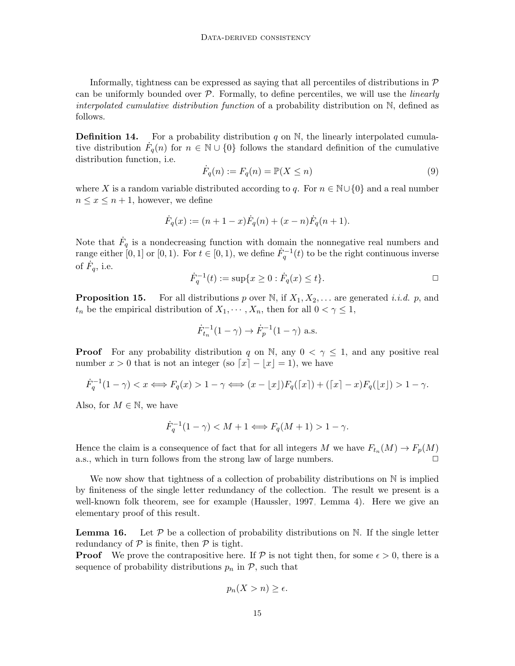Informally, tightness can be expressed as saying that all percentiles of distributions in  $\mathcal P$ can be uniformly bounded over  $P$ . Formally, to define percentiles, we will use the *linearly* interpolated cumulative distribution function of a probability distribution on N, defined as follows.

**Definition 14.** For a probability distribution q on N, the linearly interpolated cumulative distribution  $\dot{F}_q(n)$  for  $n \in \mathbb{N} \cup \{0\}$  follows the standard definition of the cumulative distribution function, i.e.

$$
\dot{F}_q(n) := F_q(n) = \mathbb{P}(X \le n)
$$
\n<sup>(9)</sup>

where X is a random variable distributed according to q. For  $n \in \mathbb{N} \cup \{0\}$  and a real number  $n \leq x \leq n+1$ , however, we define

$$
\dot{F}_q(x) := (n+1-x)\dot{F}_q(n) + (x-n)\dot{F}_q(n+1).
$$

Note that  $\dot{F}_q$  is a nondecreasing function with domain the nonnegative real numbers and range either [0, 1] or [0, 1). For  $t \in [0, 1)$ , we define  $\dot{F}_q^{-1}(t)$  to be the right continuous inverse of  $\dot{F}_q$ , i.e.

$$
\dot{F}_q^{-1}(t) := \sup\{x \ge 0 : \dot{F}_q(x) \le t\}.
$$

<span id="page-14-1"></span>**Proposition 15.** For all distributions p over N, if  $X_1, X_2, \ldots$  are generated i.i.d. p, and  $t_n$  be the empirical distribution of  $X_1, \dots, X_n$ , then for all  $0 < \gamma \leq 1$ ,

$$
\dot{F}_{t_n}^{-1}(1-\gamma) \to \dot{F}_p^{-1}(1-\gamma)
$$
 a.s.

**Proof** For any probability distribution q on N, any  $0 < \gamma \leq 1$ , and any positive real number  $x > 0$  that is not an integer (so  $\lceil x \rceil - |x| = 1$ ), we have

$$
\dot{F}_q^{-1}(1-\gamma) < x \Longleftrightarrow F_q(x) > 1-\gamma \Longleftrightarrow (x - \lfloor x \rfloor)F_q(\lceil x \rceil) + \left(\lceil x \rceil - x\right)F_q(\lfloor x \rfloor) > 1-\gamma.
$$

Also, for  $M \in \mathbb{N}$ , we have

$$
\dot{F}_q^{-1}(1-\gamma) < M+1 \Longleftrightarrow F_q(M+1) > 1-\gamma.
$$

Hence the claim is a consequence of fact that for all integers M we have  $F_{t_n}(M) \to F_p(M)$ a.s., which in turn follows from the strong law of large numbers.

We now show that tightness of a collection of probability distributions on  $\mathbb N$  is implied by finiteness of the single letter redundancy of the collection. The result we present is a well-known folk theorem, see for example [\(Haussler, 1997,](#page-37-11) Lemma 4). Here we give an elementary proof of this result.

<span id="page-14-0"></span>**Lemma 16.** Let  $\mathcal{P}$  be a collection of probability distributions on N. If the single letter redundancy of  $P$  is finite, then  $P$  is tight.

**Proof** We prove the contrapositive here. If P is not tight then, for some  $\epsilon > 0$ , there is a sequence of probability distributions  $p_n$  in  $P$ , such that

$$
p_n(X > n) \ge \epsilon.
$$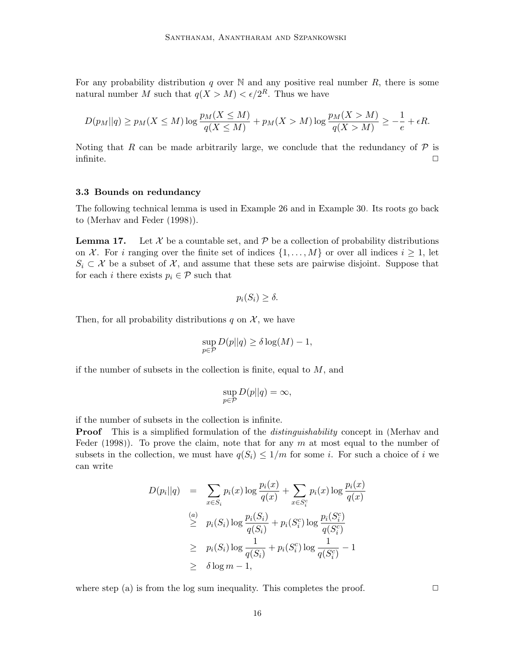For any probability distribution q over  $\mathbb N$  and any positive real number R, there is some natural number M such that  $q(X > M) < \epsilon/2^R$ . Thus we have

$$
D(p_M||q) \ge p_M(X \le M) \log \frac{p_M(X \le M)}{q(X \le M)} + p_M(X > M) \log \frac{p_M(X > M)}{q(X > M)} \ge -\frac{1}{e} + \epsilon R.
$$

Noting that R can be made arbitrarily large, we conclude that the redundancy of  $P$  is infinite.  $\Box$ 

#### 3.3 Bounds on redundancy

The following technical lemma is used in Example [26](#page-21-0) and in Example [30.](#page-27-0) Its roots go back to [\(Merhav and Feder](#page-37-6) [\(1998\)](#page-37-6)).

<span id="page-15-0"></span>**Lemma 17.** Let X be a countable set, and P be a collection of probability distributions on X. For i ranging over the finite set of indices  $\{1, \ldots, M\}$  or over all indices  $i \geq 1$ , let  $S_i \subset \mathcal{X}$  be a subset of  $\mathcal{X}$ , and assume that these sets are pairwise disjoint. Suppose that for each i there exists  $p_i \in \mathcal{P}$  such that

$$
p_i(S_i) \geq \delta.
$$

Then, for all probability distributions q on  $\mathcal{X}$ , we have

$$
\sup_{p \in \mathcal{P}} D(p||q) \ge \delta \log(M) - 1,
$$

if the number of subsets in the collection is finite, equal to  $M$ , and

$$
\sup_{p \in \mathcal{P}} D(p||q) = \infty,
$$

if the number of subsets in the collection is infinite.

**Proof** This is a simplified formulation of the *distinguishability* concept in [\(Merhav and](#page-37-6) [Feder](#page-37-6) [\(1998\)](#page-37-6)). To prove the claim, note that for any  $m$  at most equal to the number of subsets in the collection, we must have  $q(S_i) \leq 1/m$  for some i. For such a choice of i we can write

$$
D(p_i||q) = \sum_{x \in S_i} p_i(x) \log \frac{p_i(x)}{q(x)} + \sum_{x \in S_i^c} p_i(x) \log \frac{p_i(x)}{q(x)}
$$
  
\n
$$
\geq p_i(S_i) \log \frac{p_i(S_i)}{q(S_i)} + p_i(S_i^c) \log \frac{p_i(S_i^c)}{q(S_i^c)}
$$
  
\n
$$
\geq p_i(S_i) \log \frac{1}{q(S_i)} + p_i(S_i^c) \log \frac{1}{q(S_i^c)} - 1
$$
  
\n
$$
\geq \delta \log m - 1,
$$

where step (a) is from the log sum inequality. This completes the proof.  $\Box$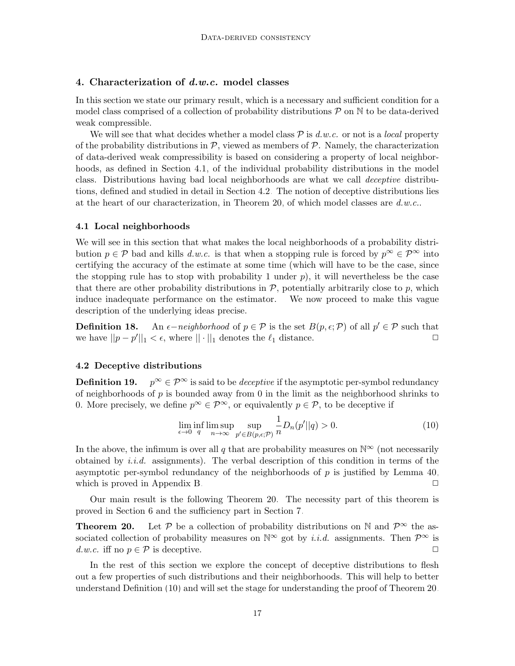# <span id="page-16-1"></span>4. Characterization of  $d.w.c.$  model classes

In this section we state our primary result, which is a necessary and sufficient condition for a model class comprised of a collection of probability distributions  $P$  on  $N$  to be data-derived weak compressible.

We will see that what decides whether a model class  $P$  is  $d.w.c.$  or not is a *local* property of the probability distributions in  $\mathcal{P}$ , viewed as members of  $\mathcal{P}$ . Namely, the characterization of data-derived weak compressibility is based on considering a property of local neighborhoods, as defined in Section [4.1,](#page-16-2) of the individual probability distributions in the model class. Distributions having bad local neighborhoods are what we call deceptive distributions, defined and studied in detail in Section [4.2.](#page-16-3) The notion of deceptive distributions lies at the heart of our characterization, in Theorem [20,](#page-16-0) of which model classes are  $d.w.c..$ 

#### <span id="page-16-2"></span>4.1 Local neighborhoods

We will see in this section that what makes the local neighborhoods of a probability distribution  $p \in \mathcal{P}$  bad and kills d.w.c. is that when a stopping rule is forced by  $p^{\infty} \in \mathcal{P}^{\infty}$  into certifying the accuracy of the estimate at some time (which will have to be the case, since the stopping rule has to stop with probability 1 under  $p$ ), it will nevertheless be the case that there are other probability distributions in  $P$ , potentially arbitrarily close to p, which induce inadequate performance on the estimator. We now proceed to make this vague description of the underlying ideas precise.

<span id="page-16-5"></span>**Definition 18.** An  $\epsilon$ -neighborhood of  $p \in \mathcal{P}$  is the set  $B(p, \epsilon; \mathcal{P})$  of all  $p' \in \mathcal{P}$  such that we have  $||p - p'||_1 < \epsilon$ , where  $|| \cdot ||_1$  denotes the  $\ell_1$  distance.

# <span id="page-16-3"></span>4.2 Deceptive distributions

<span id="page-16-6"></span>**Definition 19.**  $p^{\infty} \in \mathcal{P}^{\infty}$  is said to be *deceptive* if the asymptotic per-symbol redundancy of neighborhoods of  $p$  is bounded away from 0 in the limit as the neighborhood shrinks to 0. More precisely, we define  $p^{\infty} \in \mathcal{P}^{\infty}$ , or equivalently  $p \in \mathcal{P}$ , to be deceptive if

<span id="page-16-4"></span>
$$
\lim_{\epsilon \to 0} \inf_{q} \limsup_{n \to \infty} \sup_{p' \in B(p,\epsilon;\mathcal{P})} \frac{1}{n} D_n(p'||q) > 0.
$$
\n(10)

In the above, the infimum is over all q that are probability measures on  $\mathbb{N}^{\infty}$  (not necessarily obtained by *i.i.d.* assignments). The verbal description of this condition in terms of the asymptotic per-symbol redundancy of the neighborhoods of  $p$  is justified by Lemma [40,](#page-43-0) which is proved in Appendix [B.](#page-4-0)  $\Box$ 

Our main result is the following Theorem [20.](#page-16-0) The necessity part of this theorem is proved in Section [6](#page-29-0) and the sufficiency part in Section [7.](#page-30-0)

<span id="page-16-0"></span>**Theorem 20.** Let P be a collection of probability distributions on N and  $\mathcal{P}^{\infty}$  the associated collection of probability measures on  $\mathbb{N}^{\infty}$  got by *i.i.d.* assignments. Then  $\mathcal{P}^{\infty}$  is d.w.c. iff no  $p \in \mathcal{P}$  is deceptive.

In the rest of this section we explore the concept of deceptive distributions to flesh out a few properties of such distributions and their neighborhoods. This will help to better understand Definition [\(10\)](#page-16-4) and will set the stage for understanding the proof of Theorem [20.](#page-16-0)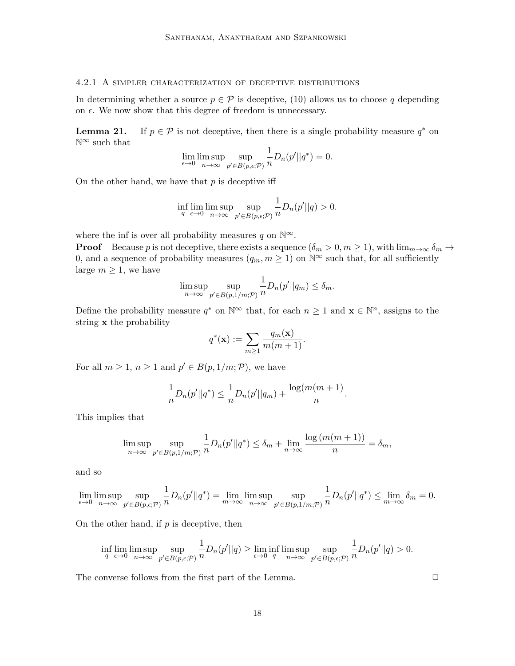# 4.2.1 A simpler characterization of deceptive distributions

In determining whether a source  $p \in \mathcal{P}$  is deceptive, [\(10\)](#page-16-4) allows us to choose q depending on  $\epsilon$ . We now show that this degree of freedom is unnecessary.

<span id="page-17-0"></span>**Lemma 21.** If  $p \in \mathcal{P}$  is not deceptive, then there is a single probability measure  $q^*$  on  $\mathbb{N}^\infty$  such that

$$
\lim_{\epsilon \to 0} \limsup_{n \to \infty} \sup_{p' \in B(p,\epsilon;\mathcal{P})} \frac{1}{n} D_n(p' || q^*) = 0.
$$

On the other hand, we have that  $p$  is deceptive iff

$$
\inf_q \lim_{\epsilon \to 0} \limsup_{n \to \infty} \sup_{p' \in B(p,\epsilon;\mathcal{P})} \frac{1}{n} D_n(p'||q) > 0.
$$

where the inf is over all probability measures q on  $\mathbb{N}^{\infty}$ .

**Proof** Because p is not deceptive, there exists a sequence  $(\delta_m > 0, m \ge 1)$ , with  $\lim_{m\to\infty} \delta_m \to$ 0, and a sequence of probability measures  $(q_m, m \ge 1)$  on  $\mathbb{N}^{\infty}$  such that, for all sufficiently large  $m \geq 1$ , we have

$$
\limsup_{n\to\infty}\sup_{p'\in B(p,1/m;\mathcal{P})}\frac{1}{n}D_n(p'||q_m)\leq \delta_m.
$$

Define the probability measure  $q^*$  on  $\mathbb{N}^{\infty}$  that, for each  $n \geq 1$  and  $\mathbf{x} \in \mathbb{N}^n$ , assigns to the string x the probability

$$
q^*(\mathbf{x}) := \sum_{m \geq 1} \frac{q_m(\mathbf{x})}{m(m+1)}.
$$

For all  $m \geq 1$ ,  $n \geq 1$  and  $p' \in B(p, 1/m; \mathcal{P})$ , we have

$$
\frac{1}{n}D_n(p'||q^*) \le \frac{1}{n}D_n(p'||q_m) + \frac{\log(m(m+1))}{n}.
$$

This implies that

$$
\limsup_{n \to \infty} \sup_{p' \in B(p, 1/m; \mathcal{P})} \frac{1}{n} D_n(p' || q^*) \le \delta_m + \lim_{n \to \infty} \frac{\log (m(m+1))}{n} = \delta_m,
$$

and so

$$
\lim_{\epsilon \to 0} \limsup_{n \to \infty} \sup_{p' \in B(p,\epsilon;\mathcal{P})} \frac{1}{n} D_n(p' || q^*) = \lim_{m \to \infty} \limsup_{n \to \infty} \sup_{p' \in B(p,1/m;\mathcal{P})} \frac{1}{n} D_n(p' || q^*) \leq \lim_{m \to \infty} \delta_m = 0.
$$

On the other hand, if  $p$  is deceptive, then

$$
\inf_q \lim_{\epsilon \to 0} \limsup_{n \to \infty} \sup_{p' \in B(p,\epsilon;\mathcal{P})} \frac{1}{n} D_n(p'||q) \ge \lim_{\epsilon \to 0} \inf_q \limsup_{n \to \infty} \sup_{p' \in B(p,\epsilon;\mathcal{P})} \frac{1}{n} D_n(p'||q) > 0.
$$

The converse follows from the first part of the Lemma.  $\Box$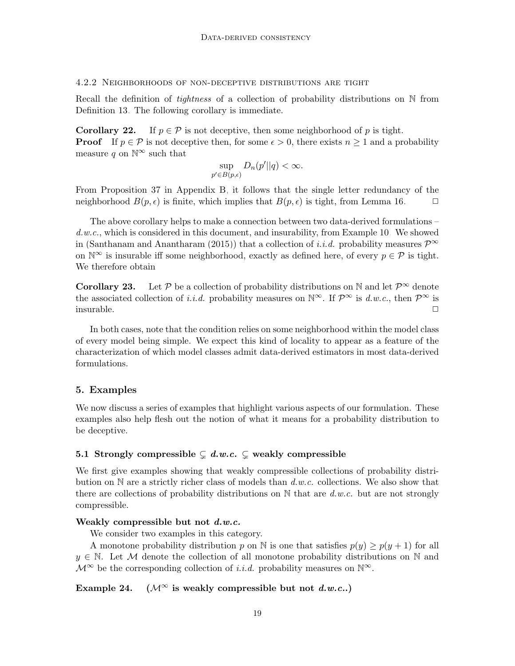4.2.2 Neighborhoods of non-deceptive distributions are tight

Recall the definition of *tightness* of a collection of probability distributions on  $\mathbb N$  from Definition [13.](#page-13-1) The following corollary is immediate.

<span id="page-18-2"></span>**Corollary 22.** If  $p \in \mathcal{P}$  is not deceptive, then some neighborhood of p is tight. **Proof** If  $p \in \mathcal{P}$  is not deceptive then, for some  $\epsilon > 0$ , there exists  $n \geq 1$  and a probability measure  $q$  on  $\mathbb{N}^\infty$  such that

$$
\sup_{p' \in B(p,\epsilon)} D_n(p'||q) < \infty.
$$

From Proposition [37](#page-42-0) in Appendix [B,](#page-4-0) it follows that the single letter redundancy of the neighborhood  $B(p, \epsilon)$  is finite, which implies that  $B(p, \epsilon)$  is tight, from Lemma [16.](#page-14-0)  $\Box$ 

The above corollary helps to make a connection between two data-derived formulations –  $d.w.c.,$  which is considered in this document, and insurability, from Example [10.](#page-12-1) We showed in [\(Santhanam and Anantharam](#page-37-9) [\(2015\)](#page-37-9)) that a collection of *i.i.d.* probability measures  $\mathcal{P}^{\infty}$ on  $\mathbb{N}^{\infty}$  is insurable iff some neighborhood, exactly as defined here, of every  $p \in \mathcal{P}$  is tight. We therefore obtain

<span id="page-18-3"></span>**Corollary 23.** Let P be a collection of probability distributions on N and let  $\mathcal{P}^{\infty}$  denote the associated collection of *i.i.d.* probability measures on  $\mathbb{N}^{\infty}$ . If  $\mathcal{P}^{\infty}$  is d.w.c., then  $\mathcal{P}^{\infty}$  is  $\Box$ insurable.  $\Box$ 

In both cases, note that the condition relies on some neighborhood within the model class of every model being simple. We expect this kind of locality to appear as a feature of the characterization of which model classes admit data-derived estimators in most data-derived formulations.

# <span id="page-18-0"></span>5. Examples

We now discuss a series of examples that highlight various aspects of our formulation. These examples also help flesh out the notion of what it means for a probability distribution to be deceptive.

# <span id="page-18-1"></span>5.1 Strongly compressible  $\subsetneq d.w.c.$   $\subsetneq$  weakly compressible

We first give examples showing that weakly compressible collections of probability distribution on  $\mathbb N$  are a strictly richer class of models than  $d.w.c.$  collections. We also show that there are collections of probability distributions on  $\mathbb N$  that are d.w.c. but are not strongly compressible.

# Weakly compressible but not  $d.w.c.$

We consider two examples in this category.

A monotone probability distribution p on N is one that satisfies  $p(y) \ge p(y+1)$  for all  $y \in \mathbb{N}$ . Let M denote the collection of all monotone probability distributions on N and  $\mathcal{M}^{\infty}$  be the corresponding collection of *i.i.d.* probability measures on  $\mathbb{N}^{\infty}$ .

# <span id="page-18-4"></span>Example 24. ( $\mathcal{M}^{\infty}$  is weakly compressible but not  $d.w.c..$ )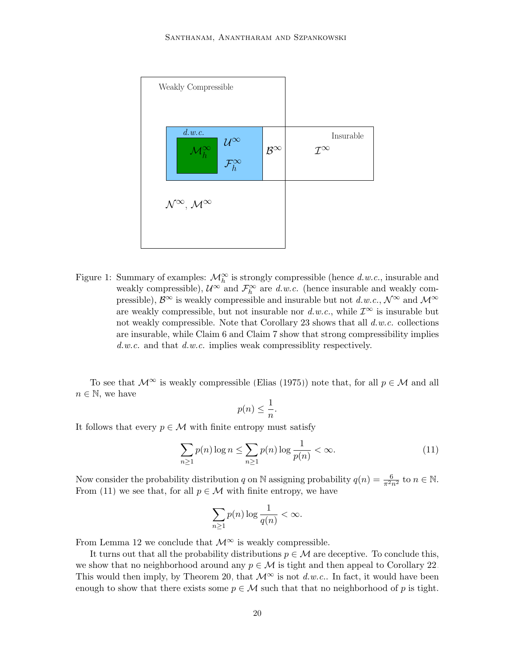

Figure 1: Summary of examples:  $\mathcal{M}_h^{\infty}$  is strongly compressible (hence d.w.c., insurable and weakly compressible),  $\mathcal{U}^{\infty}$  and  $\mathcal{F}_{h}^{\infty}$  are d.w.c. (hence insurable and weakly compressible),  $\mathcal{B}^{\infty}$  is weakly compressible and insurable but not  $d.w.c., \mathcal{N}^{\infty}$  and  $\mathcal{M}^{\infty}$ are weakly compressible, but not insurable nor  $d.w.c.,$  while  $\mathcal{I}^{\infty}$  is insurable but not weakly compressible. Note that Corollary [23](#page-18-3) shows that all  $d.w.c.$  collections are insurable, while Claim [6](#page-10-0) and Claim [7](#page-10-1) show that strong compressibility implies  $d.w.c.$  and that  $d.w.c.$  implies weak compressiblity respectively.

To see that  $\mathcal{M}^{\infty}$  is weakly compressible [\(Elias](#page-36-13) [\(1975\)](#page-36-13)) note that, for all  $p \in \mathcal{M}$  and all  $n \in \mathbb{N}$ , we have

$$
p(n) \le \frac{1}{n}.
$$

It follows that every  $p \in \mathcal{M}$  with finite entropy must satisfy

<span id="page-19-0"></span>
$$
\sum_{n\geq 1} p(n) \log n \leq \sum_{n\geq 1} p(n) \log \frac{1}{p(n)} < \infty. \tag{11}
$$

Now consider the probability distribution q on N assigning probability  $q(n) = \frac{6}{\pi^2 n^2}$  to  $n \in \mathbb{N}$ . From [\(11\)](#page-19-0) we see that, for all  $p \in \mathcal{M}$  with finite entropy, we have

$$
\sum_{n\geq 1} p(n)\log\frac{1}{q(n)} < \infty.
$$

From Lemma [12](#page-13-2) we conclude that  $\mathcal{M}^{\infty}$  is weakly compressible.

It turns out that all the probability distributions  $p \in \mathcal{M}$  are deceptive. To conclude this, we show that no neighborhood around any  $p \in \mathcal{M}$  is tight and then appeal to Corollary [22.](#page-18-2) This would then imply, by Theorem [20,](#page-16-0) that  $\mathcal{M}^{\infty}$  is not d.w.c.. In fact, it would have been enough to show that there exists some  $p \in \mathcal{M}$  such that that no neighborhood of p is tight.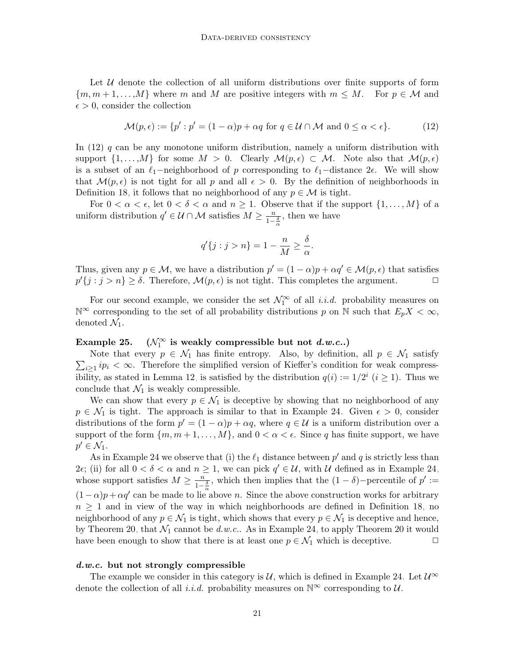Let  $U$  denote the collection of all uniform distributions over finite supports of form  ${m, m+1, \ldots, M}$  where m and M are positive integers with  $m \leq M$ . For  $p \in \mathcal{M}$  and  $\epsilon > 0$ , consider the collection

<span id="page-20-0"></span>
$$
\mathcal{M}(p,\epsilon) := \{ p' : p' = (1-\alpha)p + \alpha q \text{ for } q \in \mathcal{U} \cap \mathcal{M} \text{ and } 0 \le \alpha < \epsilon \}. \tag{12}
$$

In [\(12\)](#page-20-0) q can be any monotone uniform distribution, namely a uniform distribution with support  $\{1, \ldots, M\}$  for some  $M > 0$ . Clearly  $\mathcal{M}(p, \epsilon) \subset \mathcal{M}$ . Note also that  $\mathcal{M}(p, \epsilon)$ is a subset of an  $\ell_1$ -neighborhood of p corresponding to  $\ell_1$ -distance  $2\epsilon$ . We will show that  $\mathcal{M}(p,\epsilon)$  is not tight for all p and all  $\epsilon > 0$ . By the definition of neighborhoods in Definition [18,](#page-16-5) it follows that no neighborhood of any  $p \in \mathcal{M}$  is tight.

For  $0 < \alpha < \epsilon$ , let  $0 < \delta < \alpha$  and  $n \geq 1$ . Observe that if the support  $\{1, \ldots, M\}$  of a uniform distribution  $q' \in \mathcal{U} \cap \mathcal{M}$  satisfies  $M \ge \frac{n}{1-\frac{\delta}{\alpha}}$ , then we have

$$
q'\{j : j > n\} = 1 - \frac{n}{M} \ge \frac{\delta}{\alpha}.
$$

Thus, given any  $p \in \mathcal{M}$ , we have a distribution  $p' = (1 - \alpha)p + \alpha q' \in \mathcal{M}(p, \epsilon)$  that satisfies  $p'\{j : j > n\} \geq \delta$ . Therefore,  $\mathcal{M}(p, \epsilon)$  is not tight. This completes the argument.

For our second example, we consider the set  $\mathcal{N}_1^{\infty}$  of all *i.i.d.* probability measures on  $\mathbb{N}^{\infty}$  corresponding to the set of all probability distributions p on N such that  $E_pX < \infty$ , denoted  $\mathcal{N}_1$ .

#### Example 25.  $\widetilde{C}_1^{\infty}$  is weakly compressible but not  $d.w.c..)$

 $\sum_{i\geq 1} ip_i < \infty$ . Therefore the simplified version of Kieffer's condition for weak compress-Note that every  $p \in \mathcal{N}_1$  has finite entropy. Also, by definition, all  $p \in \mathcal{N}_1$  satisfy ibility, as stated in Lemma [12,](#page-13-2) is satisfied by the distribution  $q(i) := 1/2^i$   $(i \geq 1)$ . Thus we conclude that  $\mathcal{N}_1$  is weakly compressible.

We can show that every  $p \in \mathcal{N}_1$  is deceptive by showing that no neighborhood of any  $p \in \mathcal{N}_1$  is tight. The approach is similar to that in Example [24.](#page-18-4) Given  $\epsilon > 0$ , consider distributions of the form  $p' = (1 - \alpha)p + \alpha q$ , where  $q \in \mathcal{U}$  is a uniform distribution over a support of the form  $\{m, m+1, \ldots, M\}$ , and  $0 < \alpha < \epsilon$ . Since q has finite support, we have  $p' \in \mathcal{N}_1$ .

As in Example [24](#page-18-4) we observe that (i) the  $\ell_1$  distance between  $p'$  and  $q$  is strictly less than 2 $\epsilon$ ; (ii) for all  $0 < \delta < \alpha$  and  $n \geq 1$ , we can pick  $q' \in \mathcal{U}$ , with  $\mathcal{U}$  defined as in Example [24,](#page-18-4) whose support satisfies  $M \ge \frac{n}{1-\frac{\delta}{\alpha}}$ , which then implies that the  $(1-\delta)$ -percentile of  $p' :=$  $(1-\alpha)p+\alpha q'$  can be made to lie above n. Since the above construction works for arbitrary  $n \geq 1$  and in view of the way in which neighborhoods are defined in Definition [18,](#page-16-5) no neighborhood of any  $p \in \mathcal{N}_1$  is tight, which shows that every  $p \in \mathcal{N}_1$  is deceptive and hence, by Theorem [20,](#page-16-0) that  $\mathcal{N}_1$  cannot be d.w.c.. As in Example [24,](#page-18-4) to apply Theorem [20](#page-16-0) it would have been enough to show that there is at least one  $p \in \mathcal{N}_1$  which is deceptive.  $\Box$ 

#### d.w.c. but not strongly compressible

The example we consider in this category is  $\mathcal{U}$ , which is defined in Example [24.](#page-18-4) Let  $\mathcal{U}^{\infty}$ denote the collection of all *i.i.d.* probability measures on  $\mathbb{N}^{\infty}$  corresponding to U.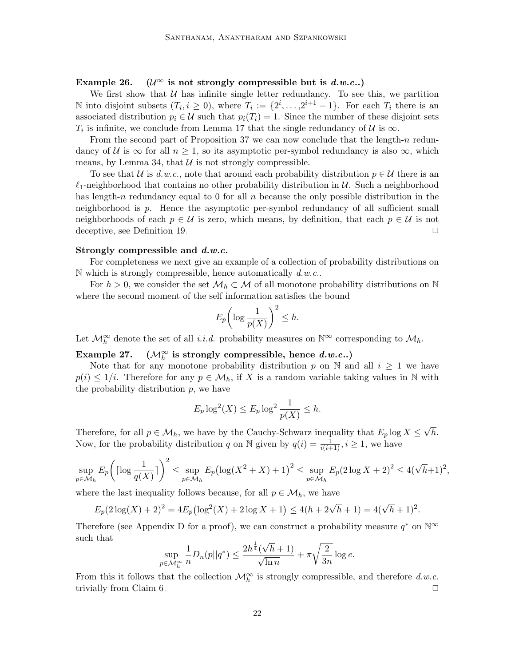# <span id="page-21-0"></span>Example 26.  $(\mathcal{U}^{\infty})$  is not strongly compressible but is  $d.w.c..$

We first show that  $U$  has infinite single letter redundancy. To see this, we partition N into disjoint subsets  $(T_i, i \geq 0)$ , where  $T_i := \{2^i, \ldots, 2^{i+1} - 1\}$ . For each  $T_i$  there is an associated distribution  $p_i \in \mathcal{U}$  such that  $p_i(T_i) = 1$ . Since the number of these disjoint sets  $T_i$  is infinite, we conclude from Lemma [17](#page-15-0) that the single redundancy of  $\mathcal{U}$  is  $\infty$ .

From the second part of Proposition [37](#page-42-0) we can now conclude that the length-n redundancy of U is  $\infty$  for all  $n \geq 1$ , so its asymptotic per-symbol redundancy is also  $\infty$ , which means, by Lemma [34,](#page-41-0) that  $\mathcal U$  is not strongly compressible.

To see that U is d.w.c., note that around each probability distribution  $p \in U$  there is an  $\ell_1$ -neighborhood that contains no other probability distribution in  $\mathcal U$ . Such a neighborhood has length-n redundancy equal to 0 for all n because the only possible distribution in the neighborhood is  $p$ . Hence the asymptotic per-symbol redundancy of all sufficient small neighborhoods of each  $p \in \mathcal{U}$  is zero, which means, by definition, that each  $p \in \mathcal{U}$  is not deceptive, see Definition [19.](#page-16-6)

#### Strongly compressible and d.w.c.

For completeness we next give an example of a collection of probability distributions on  $\mathbb N$  which is strongly compressible, hence automatically  $d.w.c..$ 

For  $h > 0$ , we consider the set  $\mathcal{M}_h \subset \mathcal{M}$  of all monotone probability distributions on N where the second moment of the self information satisfies the bound

$$
E_p\bigg(\log\frac{1}{p(X)}\bigg)^2\leq h.
$$

Let  $\mathcal{M}_h^{\infty}$  denote the set of all *i.i.d.* probability measures on  $\mathbb{N}^{\infty}$  corresponding to  $\mathcal{M}_h$ .

<span id="page-21-1"></span>Example 27.  $\frac{\infty}{h}$  is strongly compressible, hence  $d.w.c.,$ 

Note that for any monotone probability distribution p on N and all  $i \geq 1$  we have  $p(i) \leq 1/i$ . Therefore for any  $p \in \mathcal{M}_h$ , if X is a random variable taking values in N with the probability distribution  $p$ , we have

$$
E_p \log^2(X) \le E_p \log^2 \frac{1}{p(X)} \le h.
$$

Therefore, for all  $p \in \mathcal{M}_h$ , we have by the Cauchy-Schwarz inequality that  $E_p \log X \leq$ √ h. Now, for the probability distribution q on N given by  $q(i) = \frac{1}{i(i+1)}, i \geq 1$ , we have

$$
\sup_{p\in\mathcal{M}_h} E_p \bigg(\lceil \log \frac{1}{q(X)} \rceil \bigg)^2 \le \sup_{p\in\mathcal{M}_h} E_p \big(\log(X^2 + X) + 1\big)^2 \le \sup_{p\in\mathcal{M}_h} E_p (2\log X + 2)^2 \le 4(\sqrt{h} + 1)^2,
$$

where the last inequality follows because, for all  $p \in \mathcal{M}_h$ , we have

$$
E_p(2\log(X) + 2)^2 = 4E_p(\log^2(X) + 2\log X + 1) \le 4(h + 2\sqrt{h} + 1) = 4(\sqrt{h} + 1)^2.
$$

Therefore (see Appendix [D](#page-16-1) for a proof), we can construct a probability measure  $q^*$  on  $\mathbb{N}^{\infty}$ such that √

$$
\sup_{p\in\mathcal{M}_h^\infty} \frac{1}{n} D_n(p||q^*) \le \frac{2h^{\frac{1}{4}}(\sqrt{h}+1)}{\sqrt{\ln n}} + \pi \sqrt{\frac{2}{3n}} \log e.
$$

From this it follows that the collection  $\mathcal{M}_h^{\infty}$  is strongly compressible, and therefore d.w.c. trivially from Claim [6.](#page-10-0)  $\Box$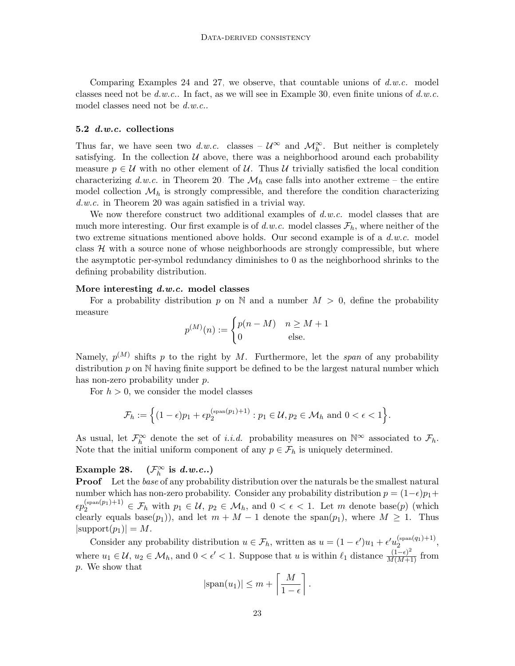Comparing Examples [24](#page-18-4) and [27,](#page-21-1) we observe, that countable unions of  $d.w.c.$  model classes need not be  $d.w.c.$  In fact, as we will see in Example [30,](#page-27-0) even finite unions of  $d.w.c.$ model classes need not be  $d.w.c..$ 

# 5.2 d.w.c. collections

Thus far, we have seen two d.w.c. classes –  $\mathcal{U}^{\infty}$  and  $\mathcal{M}_{h}^{\infty}$ . But neither is completely satisfying. In the collection  $U$  above, there was a neighborhood around each probability measure  $p \in \mathcal{U}$  with no other element of  $\mathcal{U}$ . Thus  $\mathcal{U}$  trivially satisfied the local condition characterizing d.w.c. in Theorem [20.](#page-16-0) The  $\mathcal{M}_h$  case falls into another extreme – the entire model collection  $\mathcal{M}_h$  is strongly compressible, and therefore the condition characterizing d.w.c. in Theorem [20](#page-16-0) was again satisfied in a trivial way.

We now therefore construct two additional examples of  $d.w.c.$  model classes that are much more interesting. Our first example is of d.w.c. model classes  $\mathcal{F}_h$ , where neither of the two extreme situations mentioned above holds. Our second example is of a  $d.w.c.$  model class  $H$  with a source none of whose neighborhoods are strongly compressible, but where the asymptotic per-symbol redundancy diminishes to 0 as the neighborhood shrinks to the defining probability distribution.

### More interesting d.w.c. model classes

For a probability distribution p on N and a number  $M > 0$ , define the probability measure

$$
p^{(M)}(n) := \begin{cases} p(n-M) & n \ge M+1 \\ 0 & \text{else.} \end{cases}
$$

Namely,  $p^{(M)}$  shifts p to the right by M. Furthermore, let the span of any probability distribution  $p$  on  $\mathbb N$  having finite support be defined to be the largest natural number which has non-zero probability under p.

For  $h > 0$ , we consider the model classes

$$
\mathcal{F}_h := \Big\{ (1-\epsilon)p_1 + \epsilon p_2^{(\text{span}(p_1)+1)} : p_1 \in \mathcal{U}, p_2 \in \mathcal{M}_h \text{ and } 0 < \epsilon < 1 \Big\}.
$$

As usual, let  $\mathcal{F}_h^{\infty}$  denote the set of *i.i.d.* probability measures on  $\mathbb{N}^{\infty}$  associated to  $\mathcal{F}_h$ . Note that the initial uniform component of any  $p \in \mathcal{F}_h$  is uniquely determined.

#### Example 28.  $\stackrel{\infty}{h}$  is d.w.c..)

Proof Let the base of any probability distribution over the naturals be the smallest natural number which has non-zero probability. Consider any probability distribution  $p = (1-\epsilon)p_1 +$  $\epsilon p_2^{(\text{span}(p_1)+1)} \in \mathcal{F}_h$  with  $p_1 \in \mathcal{U}, p_2 \in \mathcal{M}_h$ , and  $0 < \epsilon < 1$ . Let m denote base $(p)$  (which clearly equals base(p<sub>1</sub>)), and let  $m + M - 1$  denote the span(p<sub>1</sub>), where  $M \ge 1$ . Thus  $|\text{support}(p_1)| = M.$ 

Consider any probability distribution  $u \in \mathcal{F}_h$ , written as  $u = (1 - \epsilon')u_1 + \epsilon'u_2^{(\text{span}(q_1) + 1)}$  $\frac{2}{2}$ , where  $u_1 \in \mathcal{U}$ ,  $u_2 \in \mathcal{M}_h$ , and  $0 < \epsilon' < 1$ . Suppose that u is within  $\ell_1$  distance  $\frac{(1-\epsilon)^2}{M(M+1)}$  from p. We show that

$$
|\text{span}(u_1)| \leq m + \left\lceil \frac{M}{1-\epsilon} \right\rceil.
$$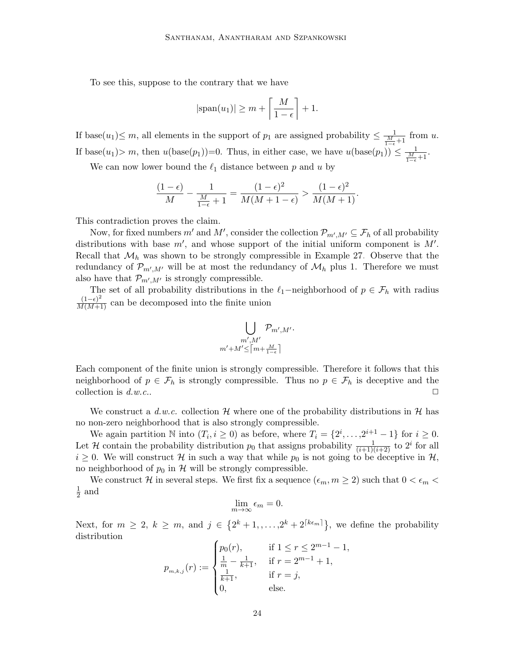To see this, suppose to the contrary that we have

$$
|\text{span}(u_1)| \ge m + \left\lceil \frac{M}{1 - \epsilon} \right\rceil + 1.
$$

If base $(u_1) \le m$ , all elements in the support of  $p_1$  are assigned probability  $\le \frac{1}{\frac{M}{1-\epsilon}+1}$  from u. If  $base(u_1) > m$ , then  $u(base(p_1))=0$ . Thus, in either case, we have  $u(base(p_1)) \leq \frac{1}{\frac{M}{1-\epsilon}+1}$ .

We can now lower bound the  $\ell_1$  distance between p and u by

$$
\frac{(1-\epsilon)}{M} - \frac{1}{\frac{M}{1-\epsilon}+1} = \frac{(1-\epsilon)^2}{M(M+1-\epsilon)} > \frac{(1-\epsilon)^2}{M(M+1)}.
$$

This contradiction proves the claim.

Now, for fixed numbers m' and M', consider the collection  $\mathcal{P}_{m',M'} \subseteq \mathcal{F}_h$  of all probability distributions with base  $m'$ , and whose support of the initial uniform component is  $M'$ . Recall that  $\mathcal{M}_h$  was shown to be strongly compressible in Example [27.](#page-21-1) Observe that the redundancy of  $\mathcal{P}_{m',M'}$  will be at most the redundancy of  $\mathcal{M}_h$  plus 1. Therefore we must also have that  $\mathcal{P}_{m',M'}$  is strongly compressible.

The set of all probability distributions in the  $\ell_1$ -neighborhood of  $p \in \mathcal{F}_h$  with radius  $\frac{(1-\epsilon)^2}{M(M+1)}$  can be decomposed into the finite union

$$
\bigcup_{\substack{m',M'\\m'+M'\leq \lceil m+\frac{M}{1-\epsilon}\rceil}}\mathcal{P}_{m',M'}.
$$

Each component of the finite union is strongly compressible. Therefore it follows that this neighborhood of  $p \in \mathcal{F}_h$  is strongly compressible. Thus no  $p \in \mathcal{F}_h$  is deceptive and the collection is  $d.w.c.$   $\Box$ 

We construct a d.w.c. collection H where one of the probability distributions in H has no non-zero neighborhood that is also strongly compressible.

We again partition  $\mathbb N$  into  $(T_i, i \geq 0)$  as before, where  $T_i = \{2^i, \ldots, 2^{i+1} - 1\}$  for  $i \geq 0$ . Let H contain the probability distribution  $p_0$  that assigns probability  $\frac{1}{(i+1)(i+2)}$  to  $2^i$  for all  $i \geq 0$ . We will construct H in such a way that while  $p_0$  is not going to be deceptive in H, no neighborhood of  $p_0$  in H will be strongly compressible.

We construct H in several steps. We first fix a sequence  $(\epsilon_m, m \geq 2)$  such that  $0 < \epsilon_m <$ 1  $\frac{1}{2}$  and

$$
\lim_{m \to \infty} \epsilon_m = 0.
$$

Next, for  $m \geq 2$ ,  $k \geq m$ , and  $j \in \{2^k+1, \ldots, 2^k+2^{\lceil k\epsilon_m \rceil}\}\$ , we define the probability distribution

$$
p_{m,k,j}(r) := \begin{cases} p_0(r), & \text{if } 1 \le r \le 2^{m-1} - 1, \\ \frac{1}{m} - \frac{1}{k+1}, & \text{if } r = 2^{m-1} + 1, \\ \frac{1}{k+1}, & \text{if } r = j, \\ 0, & \text{else.} \end{cases}
$$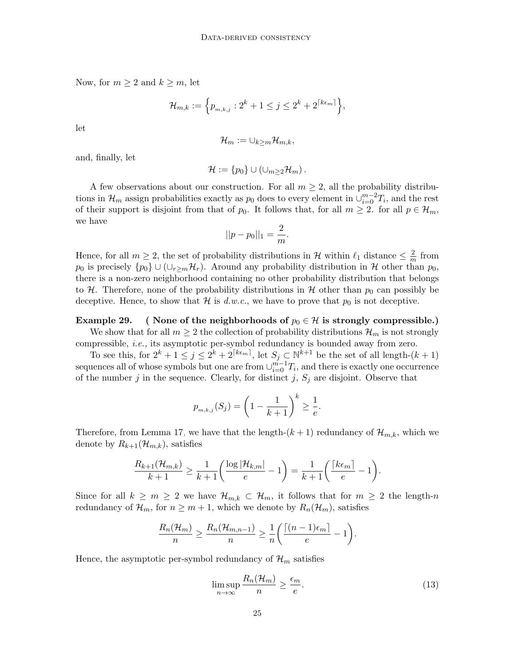Now, for  $m \geq 2$  and  $k \geq m$ , let

$$
\mathcal{H}_{m,k} := \left\{ p_{m,k,j} : 2^k + 1 \le j \le 2^k + 2^{\lceil k \epsilon_m \rceil} \right\},\
$$

let

$$
\mathcal{H}_m:=\cup_{k\geq m} \mathcal{H}_{m,k},
$$

and, finally, let

$$
\mathcal{H} := \{p_0\} \cup (\cup_{m \geq 2} \mathcal{H}_m).
$$

A few observations about our construction. For all  $m \geq 2$ , all the probability distributions in  $\mathcal{H}_m$  assign probabilities exactly as  $p_0$  does to every element in  $\cup_{i=0}^{m-2}T_i$ , and the rest of their support is disjoint from that of  $p_0$ . It follows that, for all  $m \geq 2$ . for all  $p \in \mathcal{H}_m$ , we have

$$
||p - p_0||_1 = \frac{2}{m}.
$$

Hence, for all  $m \geq 2$ , the set of probability distributions in H within  $\ell_1$  distance  $\leq \frac{2}{m}$  $\frac{2}{m}$  from p<sub>0</sub> is precisely  $\{p_0\} \cup (\cup_{r>m} \mathcal{H}_r)$ . Around any probability distribution in H other than  $p_0$ , there is a non-zero neighborhood containing no other probability distribution that belongs to H. Therefore, none of the probability distributions in H other than  $p_0$  can possibly be deceptive. Hence, to show that H is  $d.w.c.,$  we have to prove that  $p_0$  is not deceptive.

Example 29. ( None of the neighborhoods of  $p_0 \in \mathcal{H}$  is strongly compressible.) We show that for all  $m \geq 2$  the collection of probability distributions  $\mathcal{H}_m$  is not strongly

compressible, i.e., its asymptotic per-symbol redundancy is bounded away from zero. To see this, for  $2^k + 1 \leq j \leq 2^k + 2^{\lceil k \epsilon_m \rceil}$ , let  $S_j \subset \mathbb{N}^{k+1}$  be the set of all length- $(k+1)$ sequences all of whose symbols but one are from  $\cup_{i=0}^{m-1}T_i$ , and there is exactly one occurrence of the number j in the sequence. Clearly, for distinct j,  $S_j$  are disjoint. Observe that

$$
p_{m,k,j}(S_j) = \left(1 - \frac{1}{k+1}\right)^k \ge \frac{1}{e}.
$$

Therefore, from Lemma [17,](#page-15-0) we have that the length- $(k+1)$  redundancy of  $\mathcal{H}_{m,k}$ , which we denote by  $R_{k+1}(\mathcal{H}_{m,k})$ , satisfies

$$
\frac{R_{k+1}(\mathcal{H}_{m,k})}{k+1} \ge \frac{1}{k+1} \left( \frac{\log |\mathcal{H}_{k,m}|}{e} - 1 \right) = \frac{1}{k+1} \left( \frac{\lceil k \epsilon_m \rceil}{e} - 1 \right).
$$

Since for all  $k \geq m \geq 2$  we have  $\mathcal{H}_{m,k} \subset \mathcal{H}_m$ , it follows that for  $m \geq 2$  the length-n redundancy of  $\mathcal{H}_m$ , for  $n \geq m+1$ , which we denote by  $R_n(\mathcal{H}_m)$ , satisfies

$$
\frac{R_n(\mathcal{H}_m)}{n} \ge \frac{R_n(\mathcal{H}_{m,n-1})}{n} \ge \frac{1}{n} \left( \frac{\lceil (n-1)\epsilon_m \rceil}{e} - 1 \right).
$$

Hence, the asymptotic per-symbol redundancy of  $\mathcal{H}_m$  satisfies

<span id="page-24-0"></span>
$$
\limsup_{n \to \infty} \frac{R_n(\mathcal{H}_m)}{n} \ge \frac{\epsilon_m}{e}.\tag{13}
$$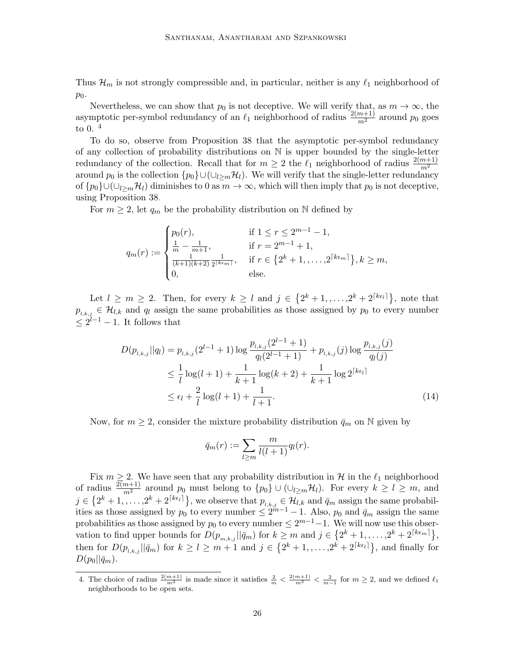Thus  $\mathcal{H}_m$  is not strongly compressible and, in particular, neither is any  $\ell_1$  neighborhood of  $p_0$ .

Nevertheless, we can show that  $p_0$  is not deceptive. We will verify that, as  $m \to \infty$ , the asymptotic per-symbol redundancy of an  $\ell_1$  neighborhood of radius  $\frac{2(m+1)}{m^2}$  around  $p_0$  goes to 0. [4](#page-25-0)

To do so, observe from Proposition [38](#page-43-1) that the asymptotic per-symbol redundancy of any collection of probability distributions on N is upper bounded by the single-letter redundancy of the collection. Recall that for  $m \geq 2$  the  $\ell_1$  neighborhood of radius  $\frac{2(m+1)}{m^2}$ around  $p_0$  is the collection  $\{p_0\} \cup (\cup_{l\geq m} \mathcal{H}_l)$ . We will verify that the single-letter redundancy of  $\{p_0\}\cup(\cup_{l\geq m}\mathcal{H}_l)$  diminishes to 0 as  $m\to\infty$ , which will then imply that  $p_0$  is not deceptive, using Proposition [38.](#page-43-1)

For  $m \geq 2$ , let  $q_m$  be the probability distribution on N defined by

$$
q_m(r) := \begin{cases} p_0(r), & \text{if } 1 \le r \le 2^{m-1} - 1, \\ \frac{1}{m} - \frac{1}{m+1}, & \text{if } r = 2^{m-1} + 1, \\ \frac{1}{(k+1)(k+2)} \frac{1}{2^{\lceil k \epsilon_m \rceil}}, & \text{if } r \in \{2^k + 1, \dots, 2^{\lceil k \epsilon_m \rceil}\}, k \ge m, \\ 0, & \text{else.} \end{cases}
$$

Let  $l \geq m \geq 2$ . Then, for every  $k \geq l$  and  $j \in \{2^k + 1, \ldots, 2^k + 2^{\lceil k \epsilon_l \rceil}\}\$ , note that  $p_{l,k,j} \in \mathcal{H}_{l,k}$  and  $q_l$  assign the same probabilities as those assigned by  $p_0$  to every number  $\leq 2^{l-1} - 1$ . It follows that

$$
D(p_{l,k,j}||q_l) = p_{l,k,j}(2^{l-1} + 1) \log \frac{p_{l,k,j}(2^{l-1} + 1)}{q_l(2^{l-1} + 1)} + p_{l,k,j}(j) \log \frac{p_{l,k,j}(j)}{q_l(j)}
$$
  
\n
$$
\leq \frac{1}{l} \log(l+1) + \frac{1}{k+1} \log(k+2) + \frac{1}{k+1} \log 2^{\lceil k\epsilon_l \rceil}
$$
  
\n
$$
\leq \epsilon_l + \frac{2}{l} \log(l+1) + \frac{1}{l+1}.
$$
\n(14)

Now, for  $m \geq 2$ , consider the mixture probability distribution  $\bar{q}_m$  on N given by

<span id="page-25-1"></span>
$$
\bar{q}_m(r) := \sum_{l \ge m} \frac{m}{l(l+1)} q_l(r).
$$

Fix  $m \geq 2$ . We have seen that any probability distribution in H in the  $\ell_1$  neighborhood of radius  $\frac{2(m+1)}{m^2}$  around  $p_0$  must belong to  $\{p_0\} \cup (\cup_{l\geq m} \mathcal{H}_l)$ . For every  $k \geq l \geq m$ , and  $j \in \{2^k+1, \ldots, 2^k+2^{\lceil k\epsilon_l \rceil}\}\,$ , we observe that  $p_{l,k,j} \in \mathcal{H}_{l,k}$  and  $\bar{q}_m$  assign the same probabilities as those assigned by  $p_0$  to every number  $\leq 2^{m-1} - 1$ . Also,  $p_0$  and  $\bar{q}_m$  assign the same probabilities as those assigned by  $p_0$  to every number  $\leq 2^{m-1}-1$ . We will now use this observation to find upper bounds for  $D(p_{m,k,j}||\bar{q}_m)$  for  $k \geq m$  and  $j \in \{2^k+1, \ldots, 2^k+2^{\lceil \log m \rceil}\},$ then for  $D(p_{l,k,j}||\bar{q}_m)$  for  $k \geq l \geq m+1$  and  $j \in \{2^k+1, \ldots, 2^k+2^{\lceil k\epsilon_l \rceil}\}\$ , and finally for  $D(p_0||\bar{q}_m).$ 

<span id="page-25-0"></span><sup>4.</sup> The choice of radius  $\frac{2(m+1)}{m^2}$  is made since it satisfies  $\frac{2}{m} < \frac{2(m+1)}{m^2} < \frac{2}{m-1}$  for  $m \ge 2$ , and we defined  $\ell_1$ neighborhoods to be open sets.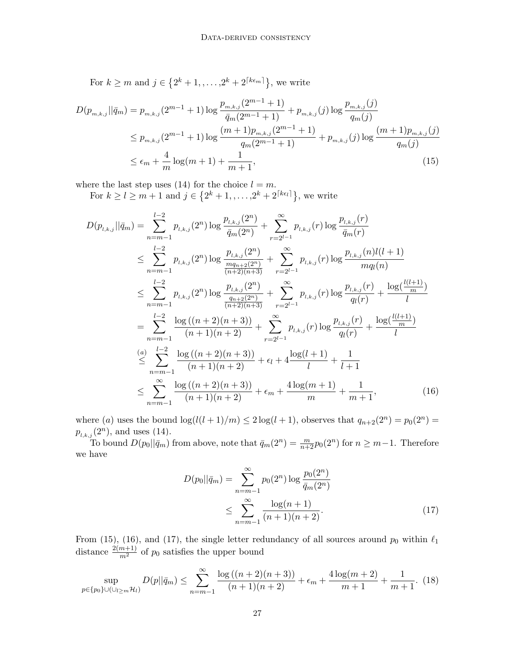For  $k \geq m$  and  $j \in \{2^k + 1, \ldots, 2^k + 2^{\lceil k \epsilon_m \rceil} \}$ , we write

$$
D(p_{m,k,j}||\bar{q}_m) = p_{m,k,j}(2^{m-1}+1)\log\frac{p_{m,k,j}(2^{m-1}+1)}{\bar{q}_m(2^{m-1}+1)} + p_{m,k,j}(j)\log\frac{p_{m,k,j}(j)}{q_m(j)}
$$
  
\n
$$
\leq p_{m,k,j}(2^{m-1}+1)\log\frac{(m+1)p_{m,k,j}(2^{m-1}+1)}{q_m(2^{m-1}+1)} + p_{m,k,j}(j)\log\frac{(m+1)p_{m,k,j}(j)}{q_m(j)}
$$
  
\n
$$
\leq \epsilon_m + \frac{4}{m}\log(m+1) + \frac{1}{m+1},
$$
\n(15)

where the last step uses [\(14\)](#page-25-1) for the choice  $l = m$ .

<span id="page-26-0"></span>For  $k \geq l \geq m+1$  and  $j \in \{2^k+1, \ldots, 2^k+2^{\lceil k \epsilon_l \rceil}\}\)$ , we write

$$
D(p_{l,k,j}||\bar{q}_m) = \sum_{n=m-1}^{l-2} p_{l,k,j}(2^n) \log \frac{p_{l,k,j}(2^n)}{\bar{q}_m(2^n)} + \sum_{r=2^{l-1}}^{\infty} p_{l,k,j}(r) \log \frac{p_{l,k,j}(r)}{\bar{q}_m(r)}
$$
  
\n
$$
\leq \sum_{n=m-1}^{l-2} p_{l,k,j}(2^n) \log \frac{p_{l,k,j}(2^n)}{\frac{mq_{n+2}(2^n)}{(n+2)(n+3)}} + \sum_{r=2^{l-1}}^{\infty} p_{l,k,j}(r) \log \frac{p_{l,k,j}(n)l(l+1)}{mq(n)}
$$
  
\n
$$
\leq \sum_{n=m-1}^{l-2} p_{l,k,j}(2^n) \log \frac{p_{l,k,j}(2^n)}{\frac{q_{n+2}(2^n)}{(n+2)(n+3)}} + \sum_{r=2^{l-1}}^{\infty} p_{l,k,j}(r) \log \frac{p_{l,k,j}(r)}{q_l(r)} + \frac{\log(\frac{l(l+1)}{m})}{l}
$$
  
\n
$$
= \sum_{n=m-1}^{l-2} \frac{\log((n+2)(n+3))}{(n+1)(n+2)} + \sum_{r=2^{l-1}}^{\infty} p_{l,k,j}(r) \log \frac{p_{l,k,j}(r)}{q_l(r)} + \frac{\log(\frac{l(l+1)}{m})}{l}
$$
  
\n
$$
\leq \sum_{n=m-1}^{l-2} \frac{\log((n+2)(n+3))}{(n+1)(n+2)} + \epsilon_l + 4 \frac{\log(l+1)}{l} + \frac{1}{l+1}
$$
  
\n
$$
\leq \sum_{n=m-1}^{\infty} \frac{\log((n+2)(n+3))}{(n+1)(n+2)} + \epsilon_m + \frac{4 \log(m+1)}{m} + \frac{1}{m+1}, \qquad (16)
$$

where (a) uses the bound  $\log(l(l+1)/m) \leq 2 \log(l+1)$ , observes that  $q_{n+2}(2^n) = p_0(2^n) =$  $p_{l,k,j}(2^n)$ , and uses [\(14\)](#page-25-1).

To bound  $D(p_0||\bar{q}_m)$  from above, note that  $\bar{q}_m(2^n) = \frac{m}{n+2}p_0(2^n)$  for  $n \geq m-1$ . Therefore we have

<span id="page-26-2"></span><span id="page-26-1"></span>
$$
D(p_0||\bar{q}_m) = \sum_{n=m-1}^{\infty} p_0(2^n) \log \frac{p_0(2^n)}{\bar{q}_m(2^n)}
$$
  
 
$$
\leq \sum_{n=m-1}^{\infty} \frac{\log(n+1)}{(n+1)(n+2)}.
$$
 (17)

From [\(15\)](#page-26-0), [\(16\)](#page-26-1), and [\(17\)](#page-26-2), the single letter redundancy of all sources around  $p_0$  within  $\ell_1$ distance  $\frac{2(m+1)}{m^2}$  of  $p_0$  satisfies the upper bound

<span id="page-26-3"></span>
$$
\sup_{p \in \{p_0\} \cup (\cup_{l \ge m} \mathcal{H}_l)} D(p||\bar{q}_m) \le \sum_{n=m-1}^{\infty} \frac{\log((n+2)(n+3))}{(n+1)(n+2)} + \epsilon_m + \frac{4\log(m+2)}{m+1} + \frac{1}{m+1}.
$$
 (18)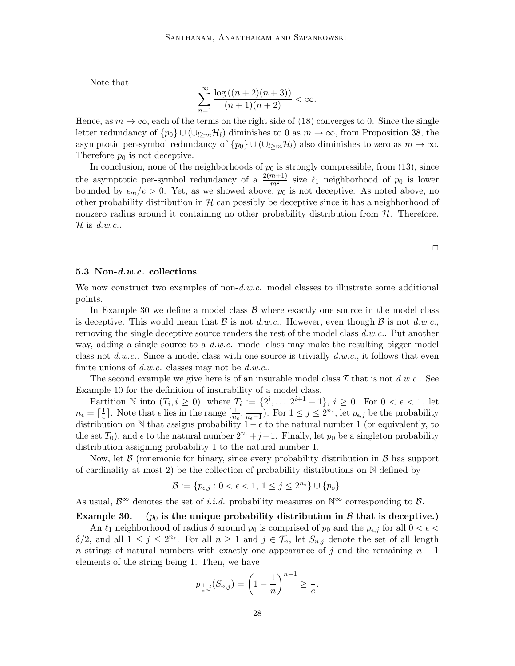Note that

$$
\sum_{n=1}^{\infty} \frac{\log ((n+2)(n+3))}{(n+1)(n+2)} < \infty.
$$

Hence, as  $m \to \infty$ , each of the terms on the right side of [\(18\)](#page-26-3) converges to 0. Since the single letter redundancy of  $\{p_0\} \cup (\cup_{l>m} \mathcal{H}_l)$  diminishes to 0 as  $m \to \infty$ , from Proposition [38,](#page-43-1) the asymptotic per-symbol redundancy of  $\{p_0\} \cup (\cup_{l\geq m} \mathcal{H}_l)$  also diminishes to zero as  $m \to \infty$ . Therefore  $p_0$  is not deceptive.

In conclusion, none of the neighborhoods of  $p_0$  is strongly compressible, from [\(13\)](#page-24-0), since the asymptotic per-symbol redundancy of a  $\frac{2(m+1)}{m^2}$  size  $\ell_1$  neighborhood of  $p_0$  is lower bounded by  $\epsilon_m/e > 0$ . Yet, as we showed above,  $p_0$  is not deceptive. As noted above, no other probability distribution in  $H$  can possibly be deceptive since it has a neighborhood of nonzero radius around it containing no other probability distribution from  $H$ . Therefore,  $\mathcal{H}$  is d.w.c..

 $\Box$ 

#### 5.3 Non-d.w.c. collections

We now construct two examples of non- $d.w.c.$  model classes to illustrate some additional points.

In Example [30](#page-27-0) we define a model class  $\beta$  where exactly one source in the model class is deceptive. This would mean that  $\mathcal{B}$  is not d.w.c.. However, even though  $\mathcal{B}$  is not d.w.c., removing the single deceptive source renders the rest of the model class  $d.w.c.$ . Put another way, adding a single source to a  $d.w.c.$  model class may make the resulting bigger model class not d.w.c.. Since a model class with one source is trivially  $d.w.c.,$  it follows that even finite unions of  $d.w.c.$  classes may not be  $d.w.c.$ .

The second example we give here is of an insurable model class  $\mathcal I$  that is not  $d.w.c.$ . See Example [10](#page-12-1) for the definition of insurability of a model class.

Partition N into  $(T_i, i \ge 0)$ , where  $T_i := \{2^i, \ldots, 2^{i+1} - 1\}$ ,  $i \ge 0$ . For  $0 < \epsilon < 1$ , let  $n_{\epsilon} = \lceil \frac{1}{\epsilon} \rceil$  $\frac{1}{\epsilon}$ . Note that  $\epsilon$  lies in the range  $[\frac{1}{n_{\epsilon}}, \frac{1}{n_{\epsilon}-1})$ . For  $1 \leq j \leq 2^{n_{\epsilon}}$ , let  $p_{\epsilon,j}$  be the probability distribution on N that assigns probability  $1 - \epsilon$  to the natural number 1 (or equivalently, to the set  $T_0$ ), and  $\epsilon$  to the natural number  $2^{n_{\epsilon}}+j-1$ . Finally, let  $p_0$  be a singleton probability distribution assigning probability 1 to the natural number 1.

Now, let  $\beta$  (mnemonic for binary, since every probability distribution in  $\beta$  has support of cardinality at most 2) be the collection of probability distributions on N defined by

$$
\mathcal{B} := \{p_{\epsilon,j} : 0 < \epsilon < 1, \, 1 \leq j \leq 2^{n_{\epsilon}}\} \cup \{p_o\}.
$$

As usual,  $\mathcal{B}^{\infty}$  denotes the set of *i.i.d.* probability measures on  $\mathbb{N}^{\infty}$  corresponding to  $\mathcal{B}$ .

<span id="page-27-0"></span>Example 30. ( $p_0$  is the unique probability distribution in  $\beta$  that is deceptive.) An  $\ell_1$  neighborhood of radius  $\delta$  around  $p_0$  is comprised of  $p_0$  and the  $p_{\epsilon,j}$  for all  $0 < \epsilon <$  $\delta/2$ , and all  $1 \leq j \leq 2^{n_{\epsilon}}$ . For all  $n \geq 1$  and  $j \in \mathcal{T}_n$ , let  $S_{n,j}$  denote the set of all length n strings of natural numbers with exactly one appearance of j and the remaining  $n-1$ elements of the string being 1. Then, we have

$$
p_{\frac{1}{n},j}(S_{n,j}) = \left(1 - \frac{1}{n}\right)^{n-1} \ge \frac{1}{e}.
$$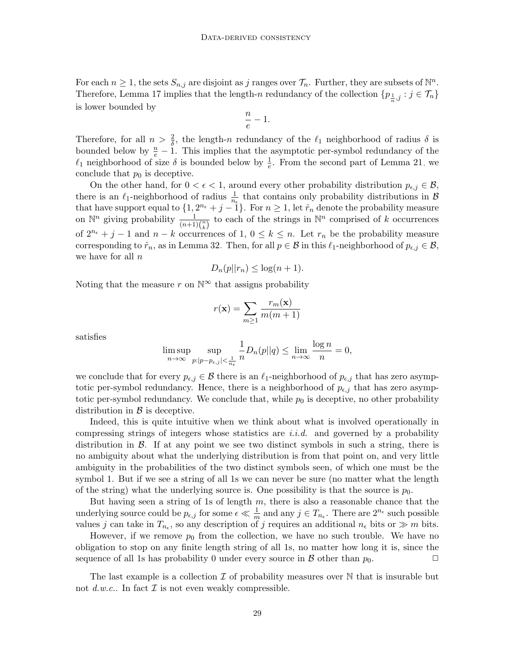For each  $n \geq 1$ , the sets  $S_{n,j}$  are disjoint as j ranges over  $\mathcal{T}_n$ . Further, they are subsets of  $\mathbb{N}^n$ . Therefore, Lemma [17](#page-15-0) implies that the length-n redundancy of the collection  $\{p_{\frac{1}{n},j} : j \in \mathcal{T}_n\}$ is lower bounded by

$$
\frac{n}{e} - 1.
$$

Therefore, for all  $n > \frac{2}{\delta}$ , the length-n redundancy of the  $\ell_1$  neighborhood of radius  $\delta$  is bounded below by  $\frac{n}{e} - 1$ . This implies that the asymptotic per-symbol redundancy of the  $\ell_1$  neighborhood of size  $\delta$  is bounded below by  $\frac{1}{e}$ . From the second part of Lemma [21,](#page-17-0) we conclude that  $p_0$  is deceptive.

On the other hand, for  $0 < \epsilon < 1$ , around every other probability distribution  $p_{\epsilon,j} \in \mathcal{B}$ , there is an  $\ell_1$ -neighborhood of radius  $\frac{1}{n_{\epsilon}}$  that contains only probability distributions in  $\beta$ that have support equal to  $\{1, 2^{n_{\epsilon}} + j - 1\}$ . For  $n \geq 1$ , let  $\hat{r}_n$  denote the probability measure on  $\mathbb{N}^n$  giving probability  $\frac{1}{(n+1)\binom{n}{k}}$  to each of the strings in  $\mathbb{N}^n$  comprised of k occurrences of  $2^{n_{\epsilon}} + j - 1$  and  $n - k$  occurrences of 1,  $0 \leq k \leq n$ . Let  $r_n$  be the probability measure corresponding to  $\hat{r}_n$ , as in Lemma [32.](#page-38-4) Then, for all  $p \in \mathcal{B}$  in this  $\ell_1$ -neighborhood of  $p_{\epsilon,j} \in \mathcal{B}$ , we have for all  $n$ 

$$
D_n(p||r_n) \le \log(n+1).
$$

Noting that the measure r on  $\mathbb{N}^{\infty}$  that assigns probability

$$
r(\mathbf{x}) = \sum_{m \ge 1} \frac{r_m(\mathbf{x})}{m(m+1)}
$$

satisfies

$$
\limsup_{n \to \infty} \sup_{p:|p-p_{\epsilon,j}| < \frac{1}{n_{\epsilon}}} \frac{1}{n} D_n(p||q) \le \lim_{n \to \infty} \frac{\log n}{n} = 0,
$$

we conclude that for every  $p_{\epsilon,j} \in \mathcal{B}$  there is an  $\ell_1$ -neighborhood of  $p_{\epsilon,j}$  that has zero asymptotic per-symbol redundancy. Hence, there is a neighborhood of  $p_{\epsilon,j}$  that has zero asymptotic per-symbol redundancy. We conclude that, while  $p_0$  is deceptive, no other probability distribution in  $\beta$  is deceptive.

Indeed, this is quite intuitive when we think about what is involved operationally in compressing strings of integers whose statistics are  $i.i.d.$  and governed by a probability distribution in  $\beta$ . If at any point we see two distinct symbols in such a string, there is no ambiguity about what the underlying distribution is from that point on, and very little ambiguity in the probabilities of the two distinct symbols seen, of which one must be the symbol 1. But if we see a string of all 1s we can never be sure (no matter what the length of the string) what the underlying source is. One possibility is that the source is  $p_0$ .

But having seen a string of 1s of length  $m$ , there is also a reasonable chance that the underlying source could be  $p_{\epsilon,j}$  for some  $\epsilon \ll \frac{1}{m}$  and any  $j \in T_{n_{\epsilon}}$ . There are  $2^{n_{\epsilon}}$  such possible values j can take in  $T_{n_{\epsilon}}$ , so any description of j requires an additional  $n_{\epsilon}$  bits or  $\gg m$  bits.

However, if we remove  $p_0$  from the collection, we have no such trouble. We have no obligation to stop on any finite length string of all 1s, no matter how long it is, since the sequence of all 1s has probability 0 under every source in  $\beta$  other than  $p_0$ .

The last example is a collection  $\mathcal I$  of probability measures over  $\mathbb N$  that is insurable but not d.w.c.. In fact  $\mathcal I$  is not even weakly compressible.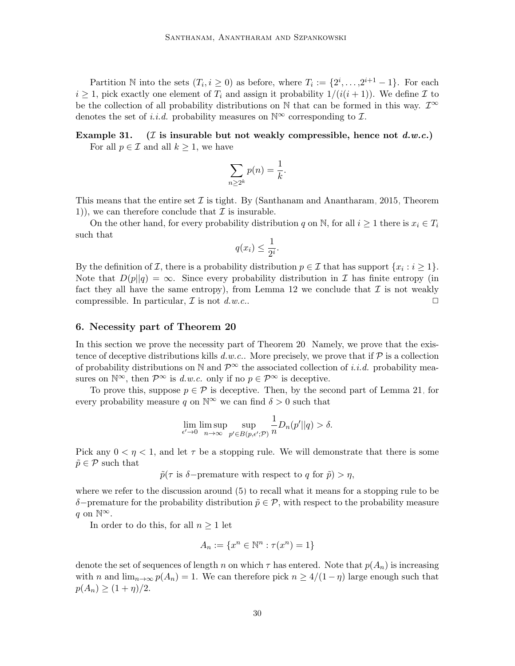Partition N into the sets  $(T_i, i \geq 0)$  as before, where  $T_i := \{2^i, \ldots, 2^{i+1} - 1\}$ . For each  $i \geq 1$ , pick exactly one element of  $T_i$  and assign it probability  $1/(i(i+1))$ . We define  $\mathcal I$  to be the collection of all probability distributions on N that can be formed in this way.  $\mathcal{I}^{\infty}$ denotes the set of *i.i.d.* probability measures on  $\mathbb{N}^{\infty}$  corresponding to  $\mathcal{I}$ .

Example 31. (*I* is insurable but not weakly compressible, hence not  $d.w.c.$ ) For all  $p \in \mathcal{I}$  and all  $k \geq 1$ , we have

$$
\sum_{n\geq 2^k} p(n) = \frac{1}{k}.
$$

This means that the entire set  $\mathcal I$  is tight. By [\(Santhanam and Anantharam, 2015,](#page-37-9) Theorem 1), we can therefore conclude that  $\mathcal I$  is insurable.

On the other hand, for every probability distribution q on N, for all  $i \geq 1$  there is  $x_i \in T_i$ such that

$$
q(x_i) \le \frac{1}{2^i}.
$$

By the definition of  $\mathcal{I}$ , there is a probability distribution  $p \in \mathcal{I}$  that has support  $\{x_i : i \geq 1\}$ . Note that  $D(p||q) = \infty$ . Since every probability distribution in T has finite entropy (in fact they all have the same entropy), from Lemma [12](#page-13-2) we conclude that  $\mathcal I$  is not weakly compressible. In particular,  $\mathcal I$  is not  $d.w.c.$   $\Box$ 

#### <span id="page-29-0"></span>6. Necessity part of Theorem [20](#page-16-0)

In this section we prove the necessity part of Theorem [20.](#page-16-0) Namely, we prove that the existence of deceptive distributions kills d.w.c.. More precisely, we prove that if  $\mathcal P$  is a collection of probability distributions on N and  $\mathcal{P}^{\infty}$  the associated collection of *i.i.d.* probability measures on  $\mathbb{N}^{\infty}$ , then  $\mathcal{P}^{\infty}$  is decessive. only if no  $p \in \mathcal{P}^{\infty}$  is deceptive.

To prove this, suppose  $p \in \mathcal{P}$  is deceptive. Then, by the second part of Lemma [21,](#page-17-0) for every probability measure q on  $\mathbb{N}^{\infty}$  we can find  $\delta > 0$  such that

$$
\lim_{\epsilon' \to 0} \limsup_{n \to \infty} \sup_{p' \in B(p,\epsilon';\mathcal{P})} \frac{1}{n} D_n(p' || q) > \delta.
$$

Pick any  $0 < \eta < 1$ , and let  $\tau$  be a stopping rule. We will demonstrate that there is some  $\tilde{p} \in \mathcal{P}$  such that

 $\tilde{p}(\tau \text{ is } \delta-\text{premature with respect to } q \text{ for } \tilde{p}) > \eta,$ 

where we refer to the discussion around  $(5)$  to recall what it means for a stopping rule to be δ−premature for the probability distribution  $\tilde{p} \in \mathcal{P}$ , with respect to the probability measure q on  $\mathbb{N}^{\infty}$ .

In order to do this, for all  $n \geq 1$  let

$$
A_n := \{x^n \in \mathbb{N}^n : \tau(x^n) = 1\}
$$

denote the set of sequences of length n on which  $\tau$  has entered. Note that  $p(A_n)$  is increasing with n and  $\lim_{n\to\infty} p(A_n) = 1$ . We can therefore pick  $n \geq 4/(1 - \eta)$  large enough such that  $p(A_n) \ge (1 + \eta)/2.$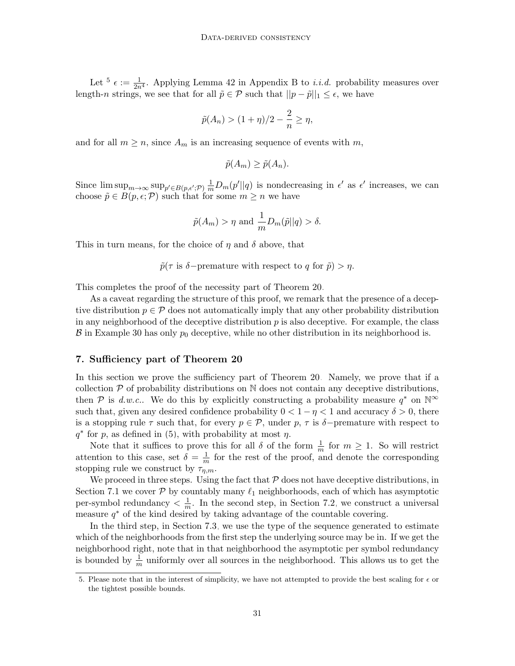Let  $5 \epsilon := \frac{1}{2n^4}$  $5 \epsilon := \frac{1}{2n^4}$ . Applying Lemma [42](#page-45-0) in Appendix [B](#page-4-0) to *i.i.d.* probability measures over length-n strings, we see that for all  $\tilde{p} \in \mathcal{P}$  such that  $||p - \tilde{p}||_1 \leq \epsilon$ , we have

$$
\tilde{p}(A_n) > (1+\eta)/2 - \frac{2}{n} \ge \eta,
$$

and for all  $m \geq n$ , since  $A_m$  is an increasing sequence of events with m,

$$
\tilde{p}(A_m) \geq \tilde{p}(A_n).
$$

Since  $\limsup_{m\to\infty} \sup_{p'\in B(p,\epsilon';\mathcal{P})} \frac{1}{m}D_m(p'||q)$  is nondecreasing in  $\epsilon'$  as  $\epsilon'$  increases, we can choose  $\tilde{p} \in B(p, \epsilon; \mathcal{P})$  such that for some  $m \geq n$  we have

$$
\tilde{p}(A_m) > \eta
$$
 and  $\frac{1}{m}D_m(\tilde{p}||q) > \delta$ .

This in turn means, for the choice of  $\eta$  and  $\delta$  above, that

 $\tilde{p}(\tau)$  is  $\delta$ -premature with respect to q for  $\tilde{p}$ ) >  $\eta$ .

This completes the proof of the necessity part of Theorem [20.](#page-16-0)

As a caveat regarding the structure of this proof, we remark that the presence of a deceptive distribution  $p \in \mathcal{P}$  does not automatically imply that any other probability distribution in any neighborhood of the deceptive distribution  $p$  is also deceptive. For example, the class  $\beta$  in Example [30](#page-27-0) has only  $p_0$  deceptive, while no other distribution in its neighborhood is.

## <span id="page-30-0"></span>7. Sufficiency part of Theorem [20](#page-16-0)

In this section we prove the sufficiency part of Theorem [20.](#page-16-0) Namely, we prove that if a collection  $P$  of probability distributions on  $\mathbb N$  does not contain any deceptive distributions, then P is d.w.c.. We do this by explicitly constructing a probability measure  $q^*$  on  $\mathbb{N}^{\infty}$ such that, given any desired confidence probability  $0 < 1 - \eta < 1$  and accuracy  $\delta > 0$ , there is a stopping rule  $\tau$  such that, for every  $p \in \mathcal{P}$ , under p,  $\tau$  is  $\delta$ -premature with respect to  $q^*$  for p, as defined in [\(5\)](#page-9-3), with probability at most  $\eta$ .

Note that it suffices to prove this for all  $\delta$  of the form  $\frac{1}{m}$  for  $m \geq 1$ . So will restrict attention to this case, set  $\delta = \frac{1}{n}$  $\frac{1}{m}$  for the rest of the proof, and denote the corresponding stopping rule we construct by  $\tau_{\eta,m}$ .

We proceed in three steps. Using the fact that  $P$  does not have deceptive distributions, in Section [7.1](#page-31-0) we cover  $P$  by countably many  $\ell_1$  neighborhoods, each of which has asymptotic per-symbol redundancy  $\langle \frac{1}{m} \rangle$  $\frac{1}{m}$ . In the second step, in Section [7.2,](#page-32-0) we construct a universal measure  $q^*$  of the kind desired by taking advantage of the countable covering.

In the third step, in Section [7.3,](#page-32-1) we use the type of the sequence generated to estimate which of the neighborhoods from the first step the underlying source may be in. If we get the neighborhood right, note that in that neighborhood the asymptotic per symbol redundancy is bounded by  $\frac{1}{m}$  uniformly over all sources in the neighborhood. This allows us to get the

<span id="page-30-1"></span><sup>5.</sup> Please note that in the interest of simplicity, we have not attempted to provide the best scaling for  $\epsilon$  or the tightest possible bounds.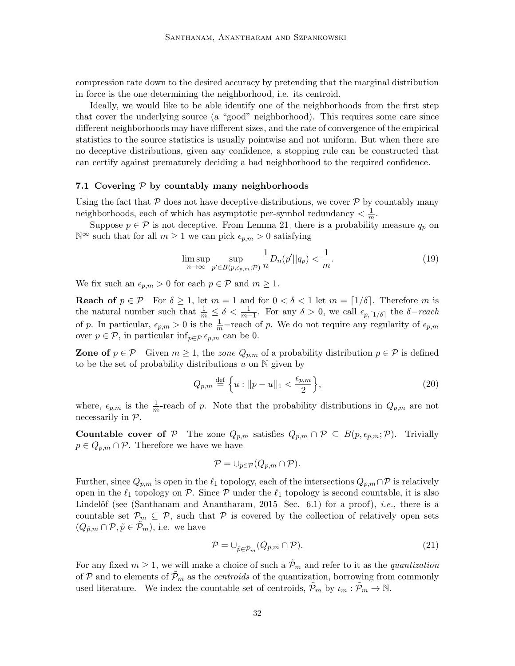compression rate down to the desired accuracy by pretending that the marginal distribution in force is the one determining the neighborhood, i.e. its centroid.

Ideally, we would like to be able identify one of the neighborhoods from the first step that cover the underlying source (a "good" neighborhood). This requires some care since different neighborhoods may have different sizes, and the rate of convergence of the empirical statistics to the source statistics is usually pointwise and not uniform. But when there are no deceptive distributions, given any confidence, a stopping rule can be constructed that can certify against prematurely deciding a bad neighborhood to the required confidence.

# <span id="page-31-0"></span>7.1 Covering  $P$  by countably many neighborhoods

Using the fact that  $P$  does not have deceptive distributions, we cover  $P$  by countably many neighborhoods, each of which has asymptotic per-symbol redundancy  $\langle \frac{1}{m} \rangle$  $\frac{1}{m}$ .

Suppose  $p \in \mathcal{P}$  is not deceptive. From Lemma [21,](#page-17-0) there is a probability measure  $q_p$  on  $\mathbb{N}^{\infty}$  such that for all  $m \geq 1$  we can pick  $\epsilon_{p,m} > 0$  satisfying

<span id="page-31-2"></span>
$$
\limsup_{n \to \infty} \sup_{p' \in B(p,\epsilon_{p,m};\mathcal{P})} \frac{1}{n} D_n(p' || q_p) < \frac{1}{m}.\tag{19}
$$

We fix such an  $\epsilon_{n,m} > 0$  for each  $p \in \mathcal{P}$  and  $m \geq 1$ .

**Reach of**  $p \in \mathcal{P}$  For  $\delta \geq 1$ , let  $m = 1$  and for  $0 < \delta < 1$  let  $m = \lfloor 1/\delta \rfloor$ . Therefore m is the natural number such that  $\frac{1}{m} \leq \delta < \frac{1}{m-1}$ . For any  $\delta > 0$ , we call  $\epsilon_{p,\lceil 1/\delta \rceil}$  the  $\delta$ -reach of p. In particular,  $\epsilon_{p,m} > 0$  is the  $\frac{1}{m}$ -reach of p. We do not require any regularity of  $\epsilon_{p,m}$ over  $p \in \mathcal{P}$ , in particular inf<sub>p∈</sub> $p \epsilon_{p,m}$  can be 0.

**Zone of**  $p \in \mathcal{P}$  Given  $m \geq 1$ , the *zone*  $Q_{p,m}$  of a probability distribution  $p \in \mathcal{P}$  is defined to be the set of probability distributions  $u$  on  $\mathbb N$  given by

<span id="page-31-3"></span>
$$
Q_{p,m} \stackrel{\text{def}}{=} \left\{ u : ||p - u||_1 < \frac{\epsilon_{p,m}}{2} \right\},\tag{20}
$$

where,  $\epsilon_{p,m}$  is the  $\frac{1}{m}$ -reach of p. Note that the probability distributions in  $Q_{p,m}$  are not necessarily in  $P$ .

**Countable cover of P** The zone  $Q_{p,m}$  satisfies  $Q_{p,m} \cap \mathcal{P} \subseteq B(p, \epsilon_{p,m}; \mathcal{P})$ . Trivially  $p \in Q_{p,m} \cap \mathcal{P}$ . Therefore we have we have

$$
\mathcal{P}=\cup_{p\in\mathcal{P}}(Q_{p,m}\cap\mathcal{P}).
$$

Further, since  $Q_{p,m}$  is open in the  $\ell_1$  topology, each of the intersections  $Q_{p,m} \cap \mathcal{P}$  is relatively open in the  $\ell_1$  topology on P. Since P under the  $\ell_1$  topology is second countable, it is also Lindelöf (see [\(Santhanam and Anantharam, 2015,](#page-37-9) Sec. 6.1) for a proof), *i.e.*, there is a countable set  $\mathcal{P}_m \subseteq \mathcal{P}$ , such that  $\mathcal P$  is covered by the collection of relatively open sets  $(Q_{\tilde{p},m}\cap\mathcal{P},\tilde{p}\in\tilde{\mathcal{P}}_m)$ , i.e. we have

<span id="page-31-1"></span>
$$
\mathcal{P} = \bigcup_{\tilde{p} \in \tilde{\mathcal{P}}_m} (Q_{\tilde{p},m} \cap \mathcal{P}).\tag{21}
$$

For any fixed  $m \geq 1$ , we will make a choice of such a  $\tilde{\mathcal{P}}_m$  and refer to it as the *quantization* of P and to elements of  $\tilde{\mathcal{P}}_m$  as the *centroids* of the quantization, borrowing from commonly used literature. We index the countable set of centroids,  $\tilde{\mathcal{P}}_m$  by  $\iota_m : \tilde{\mathcal{P}}_m \to \mathbb{N}$ .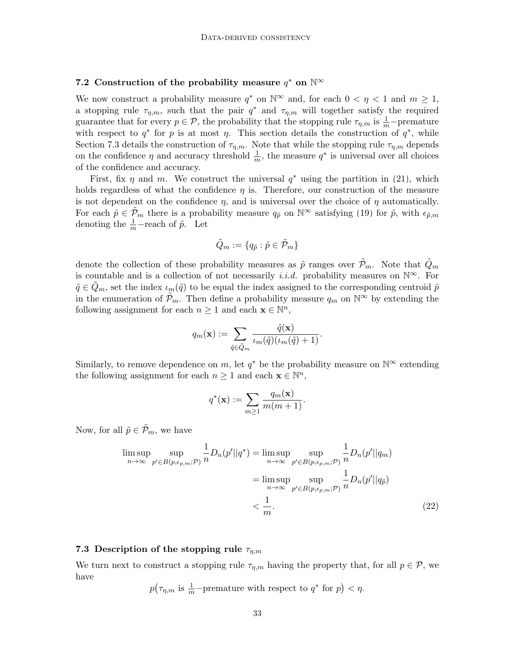# <span id="page-32-0"></span>7.2 Construction of the probability measure  $q^*$  on  $\mathbb{N}^{\infty}$

We now construct a probability measure  $q^*$  on  $\mathbb{N}^{\infty}$  and, for each  $0 < \eta < 1$  and  $m \geq 1$ , a stopping rule  $\tau_{\eta,m}$ , such that the pair  $q^*$  and  $\tau_{\eta,m}$  will together satisfy the required guarantee that for every  $p \in \mathcal{P}$ , the probability that the stopping rule  $\tau_{\eta,m}$  is  $\frac{1}{m}$ -premature with respect to  $q^*$  for p is at most  $\eta$ . This section details the construction of  $q^*$ , while Section [7.3](#page-32-1) details the construction of  $\tau_{\eta,m}$ . Note that while the stopping rule  $\tau_{\eta,m}$  depends on the confidence  $\eta$  and accuracy threshold  $\frac{1}{m}$ , the measure  $q^*$  is universal over all choices of the confidence and accuracy.

First, fix  $\eta$  and m. We construct the universal  $q^*$  using the partition in [\(21\)](#page-31-1), which holds regardless of what the confidence  $\eta$  is. Therefore, our construction of the measure is not dependent on the confidence  $\eta$ , and is universal over the choice of  $\eta$  automatically. For each  $\tilde{p} \in \mathcal{P}_m$  there is a probability measure  $q_{\tilde{p}}$  on  $\mathbb{N}^{\infty}$  satisfying [\(19\)](#page-31-2) for  $\tilde{p}$ , with  $\epsilon_{\tilde{p},m}$ denoting the  $\frac{1}{m}$ -reach of  $\tilde{p}$ . Let

$$
\tilde{Q}_m:=\{q_{\tilde{p}}: \tilde{p}\in \tilde{\mathcal{P}}_m\}
$$

denote the collection of these probability measures as  $\tilde{p}$  ranges over  $\tilde{\mathcal{P}}_m$ . Note that  $\tilde{Q}_m$ is countable and is a collection of not necessarily i.i.d. probability measures on  $\mathbb{N}^{\infty}$ . For  $\tilde{q} \in Q_m$ , set the index  $\iota_m(\tilde{q})$  to be equal the index assigned to the corresponding centroid  $\tilde{p}$ in the enumeration of  $\mathcal{P}_m$ . Then define a probability measure  $q_m$  on  $\mathbb{N}^\infty$  by extending the following assignment for each  $n \geq 1$  and each  $\mathbf{x} \in \mathbb{N}^n$ ,

$$
q_m(\mathbf{x}) := \sum_{\tilde{q} \in \tilde{Q}_m} \frac{\tilde{q}(\mathbf{x})}{\iota_m(\tilde{q}) (\iota_m(\tilde{q}) + 1)}.
$$

Similarly, to remove dependence on m, let  $q^*$  be the probability measure on  $\mathbb{N}^{\infty}$  extending the following assignment for each  $n \geq 1$  and each  $\mathbf{x} \in \mathbb{N}^n$ ,

<span id="page-32-2"></span>
$$
q^*(\mathbf{x}) := \sum_{m \geq 1} \frac{q_m(\mathbf{x})}{m(m+1)}.
$$

Now, for all  $\tilde{p} \in \tilde{\mathcal{P}}_m$ , we have

$$
\limsup_{n \to \infty} \sup_{p' \in B(p, \epsilon_{p,m}; \mathcal{P})} \frac{1}{n} D_n(p' || q^*) = \limsup_{n \to \infty} \sup_{p' \in B(p, \epsilon_{p,m}; \mathcal{P})} \frac{1}{n} D_n(p' || q_m)
$$

$$
= \limsup_{n \to \infty} \sup_{p' \in B(p, \epsilon_{p,m}; \mathcal{P})} \frac{1}{n} D_n(p' || q_{\tilde{p}})
$$

$$
< \frac{1}{m}.
$$
 (22)

# <span id="page-32-1"></span>7.3 Description of the stopping rule  $\tau_{n,m}$

We turn next to construct a stopping rule  $\tau_{\eta,m}$  having the property that, for all  $p \in \mathcal{P}$ , we have

$$
p(\tau_{\eta,m} \text{ is } \frac{1}{m}\text{-premature with respect to } q^* \text{ for } p) < \eta.
$$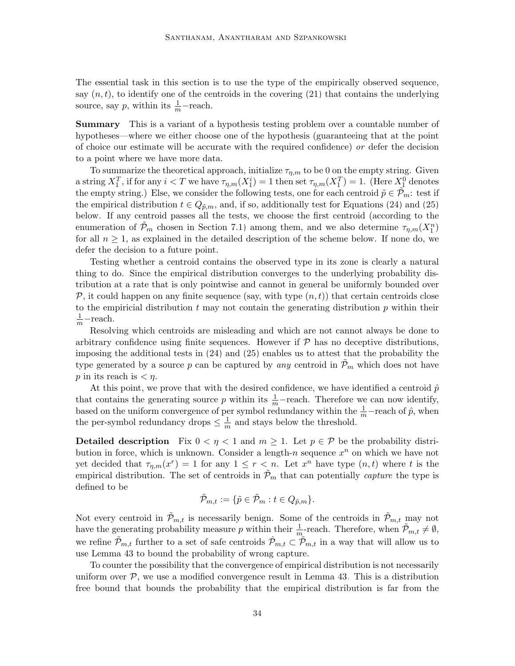The essential task in this section is to use the type of the empirically observed sequence, say  $(n, t)$ , to identify one of the centroids in the covering  $(21)$  that contains the underlying source, say p, within its  $\frac{1}{m}$ -reach.

Summary This is a variant of a hypothesis testing problem over a countable number of hypotheses—where we either choose one of the hypothesis (guaranteeing that at the point of choice our estimate will be accurate with the required confidence) or defer the decision to a point where we have more data.

To summarize the theoretical approach, initialize  $\tau_{\eta,m}$  to be 0 on the empty string. Given a string  $X_1^T$ , if for any  $i < T$  we have  $\tau_{\eta,m}(X_1^i) = 1$  then set  $\tau_{\eta,m}(X_1^T) = 1$ . (Here  $X_1^0$  denotes the empty string.) Else, we consider the following tests, one for each centroid  $\tilde{p} \in \mathcal{P}_m$ : test if the empirical distribution  $t \in Q_{\tilde{p},m}$ , and, if so, additionally test for Equations [\(24\)](#page-34-0) and [\(25\)](#page-34-1) below. If any centroid passes all the tests, we choose the first centroid (according to the enumeration of  $\tilde{\mathcal{P}}_m$  chosen in Section [7.1\)](#page-31-0) among them, and we also determine  $\tau_{\eta,m}(X_1^n)$ for all  $n \geq 1$ , as explained in the detailed description of the scheme below. If none do, we defer the decision to a future point.

Testing whether a centroid contains the observed type in its zone is clearly a natural thing to do. Since the empirical distribution converges to the underlying probability distribution at a rate that is only pointwise and cannot in general be uniformly bounded over  $P$ , it could happen on any finite sequence (say, with type  $(n, t)$ ) that certain centroids close to the empiricial distribution  $t$  may not contain the generating distribution  $p$  within their  $\frac{1}{m}$ -reach.

Resolving which centroids are misleading and which are not cannot always be done to arbitrary confidence using finite sequences. However if  $P$  has no deceptive distributions, imposing the additional tests in [\(24\)](#page-34-0) and [\(25\)](#page-34-1) enables us to attest that the probability the type generated by a source p can be captured by any centroid in  $\mathcal{P}_m$  which does not have p in its reach is  $\lt \eta$ .

At this point, we prove that with the desired confidence, we have identified a centroid  $\hat{p}$ that contains the generating source p within its  $\frac{1}{m}$ -reach. Therefore we can now identify, based on the uniform convergence of per symbol redundancy within the  $\frac{1}{m}$ -reach of  $\hat{p}$ , when the per-symbol redundancy drops  $\leq \frac{1}{m}$  $\frac{1}{m}$  and stays below the threshold.

**Detailed description** Fix  $0 \leq \eta \leq 1$  and  $m > 1$ . Let  $p \in \mathcal{P}$  be the probability distribution in force, which is unknown. Consider a length-n sequence  $x^n$  on which we have not yet decided that  $\tau_{\eta,m}(x^r) = 1$  for any  $1 \leq r < n$ . Let  $x^n$  have type  $(n, t)$  where t is the empirical distribution. The set of centroids in  $\tilde{\mathcal{P}}_m$  that can potentially *capture* the type is defined to be

$$
\tilde{\mathcal{P}}_{m,t} := \{ \tilde{p} \in \tilde{\mathcal{P}}_m : t \in Q_{\tilde{p},m} \}.
$$

Not every centroid in  $\tilde{\mathcal{P}}_{m,t}$  is necessarily benign. Some of the centroids in  $\tilde{\mathcal{P}}_{m,t}$  may not have the generating probability measure p within their  $\frac{1}{m}$ -reach. Therefore, when  $\tilde{\mathcal{P}}_{m,t} \neq \emptyset$ , we refine  $\tilde{\mathcal{P}}_{m,t}$  further to a set of safe centroids  $\hat{\mathcal{P}}_{m,t} \subset \tilde{\mathcal{P}}_{m,t}$  in a way that will allow us to use Lemma [43](#page-51-0) to bound the probability of wrong capture.

To counter the possibility that the convergence of empirical distribution is not necessarily uniform over  $P$ , we use a modified convergence result in Lemma [43.](#page-51-0) This is a distribution free bound that bounds the probability that the empirical distribution is far from the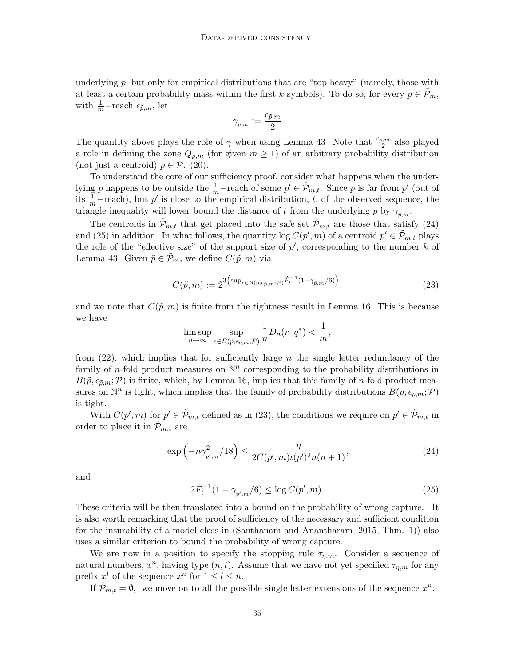underlying  $p$ , but only for empirical distributions that are "top heavy" (namely, those with at least a certain probability mass within the first k symbols). To do so, for every  $\tilde{p} \in \mathcal{P}_m$ , with  $\frac{1}{m}$ -reach  $\epsilon_{\tilde{p},m}$ , let

$$
\gamma_{\tilde p,m}:=\frac{\epsilon_{\tilde p,m}}{2}
$$

The quantity above plays the role of  $\gamma$  when using Lemma [43.](#page-51-0) Note that  $\frac{\epsilon_{p,m}}{2}$  also played a role in defining the zone  $Q_{p,m}$  (for given  $m \geq 1$ ) of an arbitrary probability distribution (not just a centroid)  $p \in \mathcal{P}$ . [\(20\)](#page-31-3).

To understand the core of our sufficiency proof, consider what happens when the underlying p happens to be outside the  $\frac{1}{m}$ -reach of some  $p' \in \tilde{\mathcal{P}}_{m,t}$ . Since p is far from p' (out of its  $\frac{1}{m}$ -reach), but p' is close to the empirical distribution, t, of the observed sequence, the triangle inequality will lower bound the distance of t from the underlying p by  $\gamma_{\tilde{p},m}$ .

The centroids in  $\mathcal{P}_{m,t}$  that get placed into the safe set  $\mathcal{P}_{m,t}$  are those that satisfy [\(24\)](#page-34-0) and [\(25\)](#page-34-1) in addition. In what follows, the quantity  $\log C(p', m)$  of a centroid  $p' \in \tilde{\mathcal{P}}_{m,t}$  plays the role of the "effective size" of the support size of  $p'$ , corresponding to the number k of Lemma [43.](#page-51-0) Given  $\tilde{p} \in \mathcal{P}_m$ , we define  $C(\tilde{p}, m)$  via

<span id="page-34-2"></span>
$$
C(\tilde{p}, m) := 2^{3\left(\sup_{r \in B(\tilde{p}, \epsilon_{\tilde{p}, m}; p)} \dot{F}_r^{-1} (1 - \gamma_{\tilde{p}, m}/6)\right)},\tag{23}
$$

and we note that  $C(\tilde{p}, m)$  is finite from the tightness result in Lemma [16.](#page-14-0) This is because we have

$$
\limsup_{n \to \infty} \sup_{r \in B(\tilde{p}, \epsilon_{\tilde{p},m}; \mathcal{P})} \frac{1}{n} D_n(r || q^*) < \frac{1}{m},
$$

from  $(22)$ , which implies that for sufficiently large n the single letter redundancy of the family of *n*-fold product measures on  $\mathbb{N}^n$  corresponding to the probability distributions in  $B(\tilde{p}, \epsilon_{\tilde{n},m}; \mathcal{P})$  is finite, which, by Lemma [16,](#page-14-0) implies that this family of *n*-fold product measures on  $\mathbb{N}^n$  is tight, which implies that the family of probability distributions  $B(\tilde{p}, \epsilon_{\tilde{p},m}; \mathcal{P})$ is tight.

With  $C(p', m)$  for  $p' \in \tilde{\mathcal{P}}_{m,t}$  defined as in [\(23\)](#page-34-2), the conditions we require on  $p' \in \tilde{\mathcal{P}}_{m,t}$  in order to place it in  $\mathcal{P}_{m,t}$  are

<span id="page-34-0"></span>
$$
\exp\left(-n\gamma_{p',m}^2/18\right) \le \frac{\eta}{2C(p',m)\iota(p')^2n(n+1)},\tag{24}
$$

and

<span id="page-34-1"></span>
$$
2\dot{F}_t^{-1}(1-\gamma_{p',m}/6) \le \log C(p',m). \tag{25}
$$

These criteria will be then translated into a bound on the probability of wrong capture. It is also worth remarking that the proof of sufficiency of the necessary and sufficient condition for the insurability of a model class in [\(Santhanam and Anantharam, 2015,](#page-37-9) Thm. 1)) also uses a similar criterion to bound the probability of wrong capture.

We are now in a position to specify the stopping rule  $\tau_{\eta,m}$ . Consider a sequence of natural numbers,  $x^n$ , having type  $(n, t)$ . Assume that we have not yet specified  $\tau_{\eta,m}$  for any prefix  $x^l$  of the sequence  $x^n$  for  $1 \leq l \leq n$ .

If  $\hat{\mathcal{P}}_{m,t} = \emptyset$ , we move on to all the possible single letter extensions of the sequence  $x^n$ .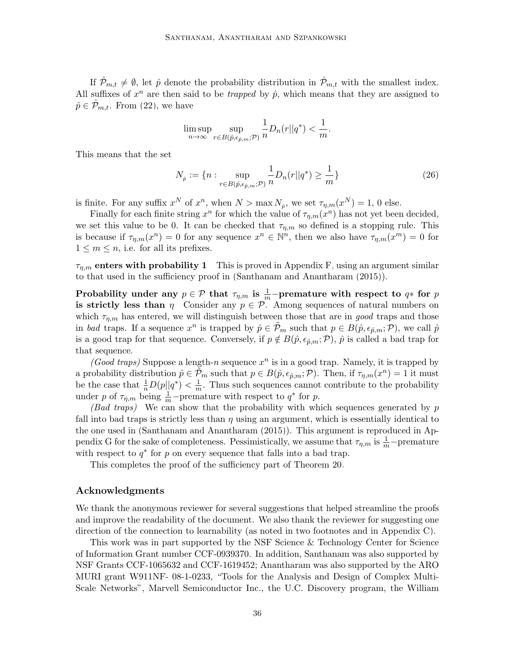If  $\hat{\mathcal{P}}_{m,t} \neq \emptyset$ , let  $\hat{p}$  denote the probability distribution in  $\hat{\mathcal{P}}_{m,t}$  with the smallest index. All suffixes of  $x^n$  are then said to be *trapped* by  $\hat{p}$ , which means that they are assigned to  $\hat{p} \in \mathcal{P}_{m,t}$ . From [\(22\)](#page-32-2), we have

$$
\limsup_{n\to\infty}\sup_{r\in B(\hat{p},\epsilon_{\hat{p},m};\mathcal{P})}\frac{1}{n}D_n(r||q^*)<\frac{1}{m}.
$$

This means that the set

$$
N_{\hat{p}} := \{ n : \sup_{r \in B(\hat{p}, \epsilon_{\hat{p}, m}; \mathcal{P})} \frac{1}{n} D_n(r || q^*) \ge \frac{1}{m} \}
$$
(26)

is finite. For any suffix  $x^N$  of  $x^n$ , when  $N > \max N_{\hat{p}}$ , we set  $\tau_{\eta,m}(x^N) = 1$ , 0 else.

Finally for each finite string  $x^n$  for which the value of  $\tau_{\eta,m}(x^n)$  has not yet been decided, we set this value to be 0. It can be checked that  $\tau_{\eta,m}$  so defined is a stopping rule. This is because if  $\tau_{\eta,m}(x^n) = 0$  for any sequence  $x^n \in \mathbb{N}^n$ , then we also have  $\tau_{\eta,m}(x^m) = 0$  for  $1 \leq m \leq n$ , i.e. for all its prefixes.

 $\tau_{n,m}$  enters with probability 1 This is proved in Appendix [F,](#page-29-0) using an argument similar to that used in the sufficiency proof in [\(Santhanam and Anantharam](#page-37-9) [\(2015\)](#page-37-9)).

Probability under any  $p \in \mathcal{P}$  that  $\tau_{\eta,m}$  is  $\frac{1}{m}-$ premature with respect to  $q*$  for  $p$ is strictly less than  $\eta$  Consider any  $p \in \mathcal{P}$ . Among sequences of natural numbers on which  $\tau_{\eta,m}$  has entered, we will distinguish between those that are in good traps and those in bad traps. If a sequence  $x^n$  is trapped by  $\hat{p} \in \tilde{\mathcal{P}}_m$  such that  $p \in B(\hat{p}, \epsilon_{\hat{p},m}; \mathcal{P})$ , we call  $\hat{p}$ is a good trap for that sequence. Conversely, if  $p \notin B(\hat{p}, \epsilon_{\hat{p},m}; \mathcal{P})$ ,  $\hat{p}$  is called a bad trap for that sequence.

(Good traps) Suppose a length-n sequence  $x^n$  is in a good trap. Namely, it is trapped by a probability distribution  $\hat{p} \in \tilde{\mathcal{P}}_m$  such that  $p \in B(\hat{p}, \epsilon_{\hat{p},m}; \mathcal{P})$ . Then, if  $\tau_{\eta,m}(x^n) = 1$  it must be the case that  $\frac{1}{n}D(p||q^*) < \frac{1}{m}$  $\frac{1}{m}$ . Thus such sequences cannot contribute to the probability under p of  $\tau_{\eta,m}$  being  $\frac{1}{m}$ -premature with respect to  $q^*$  for p.

 $(Bad$  traps) We can show that the probability with which sequences generated by p fall into bad traps is strictly less than  $\eta$  using an argument, which is essentially identical to the one used in [\(Santhanam and Anantharam](#page-37-9) [\(2015\)](#page-37-9)). This argument is reproduced in Ap-pendix [G](#page-30-0) for the sake of completeness. Pessimistically, we assume that  $\tau_{\eta,m}$  is  $\frac{1}{m}$ -premature with respect to  $q^*$  for p on every sequence that falls into a bad trap.

This completes the proof of the sufficiency part of Theorem [20.](#page-16-0)

# Acknowledgments

We thank the anonymous reviewer for several suggestions that helped streamline the proofs and improve the readability of the document. We also thank the reviewer for suggesting one direction of the connection to learnability (as noted in two footnotes and in Appendix [C\)](#page-12-0).

This work was in part supported by the NSF Science & Technology Center for Science of Information Grant number CCF-0939370. In addition, Santhanam was also supported by NSF Grants CCF-1065632 and CCF-1619452; Anantharam was also supported by the ARO MURI grant W911NF- 08-1-0233, "Tools for the Analysis and Design of Complex Multi-Scale Networks", Marvell Semiconductor Inc., the U.C. Discovery program, the William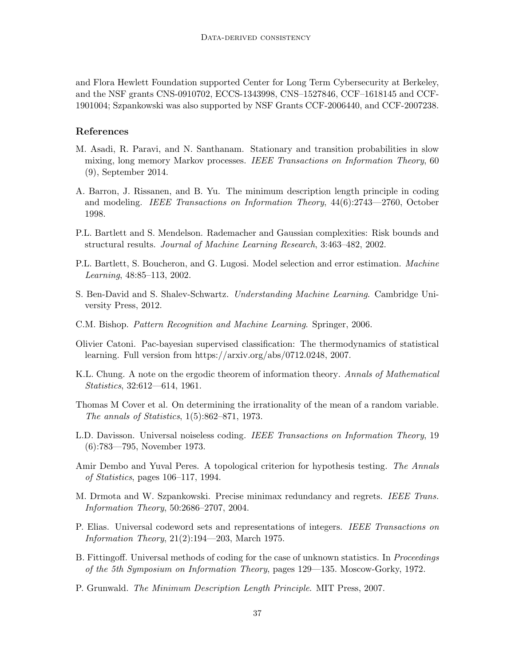and Flora Hewlett Foundation supported Center for Long Term Cybersecurity at Berkeley, and the NSF grants CNS-0910702, ECCS-1343998, CNS–1527846, CCF–1618145 and CCF-1901004; Szpankowski was also supported by NSF Grants CCF-2006440, and CCF-2007238.

# References

- <span id="page-36-10"></span>M. Asadi, R. Paravi, and N. Santhanam. Stationary and transition probabilities in slow mixing, long memory Markov processes. IEEE Transactions on Information Theory, 60 (9), September 2014.
- <span id="page-36-4"></span>A. Barron, J. Rissanen, and B. Yu. The minimum description length principle in coding and modeling. IEEE Transactions on Information Theory, 44(6):2743—2760, October 1998.
- <span id="page-36-2"></span>P.L. Bartlett and S. Mendelson. Rademacher and Gaussian complexities: Risk bounds and structural results. Journal of Machine Learning Research, 3:463–482, 2002.
- <span id="page-36-1"></span>P.L. Bartlett, S. Boucheron, and G. Lugosi. Model selection and error estimation. *Machine* Learning, 48:85–113, 2002.
- <span id="page-36-8"></span>S. Ben-David and S. Shalev-Schwartz. Understanding Machine Learning. Cambridge University Press, 2012.
- <span id="page-36-0"></span>C.M. Bishop. Pattern Recognition and Machine Learning. Springer, 2006.
- <span id="page-36-7"></span>Olivier Catoni. Pac-bayesian supervised classification: The thermodynamics of statistical learning. Full version from https://arxiv.org/abs/0712.0248, 2007.
- <span id="page-36-14"></span>K.L. Chung. A note on the ergodic theorem of information theory. Annals of Mathematical Statistics, 32:612—614, 1961.
- <span id="page-36-11"></span>Thomas M Cover et al. On determining the irrationality of the mean of a random variable. The annals of Statistics, 1(5):862–871, 1973.
- <span id="page-36-6"></span>L.D. Davisson. Universal noiseless coding. IEEE Transactions on Information Theory, 19 (6):783—795, November 1973.
- <span id="page-36-12"></span>Amir Dembo and Yuval Peres. A topological criterion for hypothesis testing. The Annals of Statistics, pages 106–117, 1994.
- <span id="page-36-5"></span>M. Drmota and W. Szpankowski. Precise minimax redundancy and regrets. IEEE Trans. Information Theory, 50:2686–2707, 2004.
- <span id="page-36-13"></span>P. Elias. Universal codeword sets and representations of integers. IEEE Transactions on Information Theory, 21(2):194—203, March 1975.
- <span id="page-36-3"></span>B. Fittingoff. Universal methods of coding for the case of unknown statistics. In *Proceedings* of the 5th Symposium on Information Theory, pages 129—135. Moscow-Gorky, 1972.
- <span id="page-36-9"></span>P. Grunwald. The Minimum Description Length Principle. MIT Press, 2007.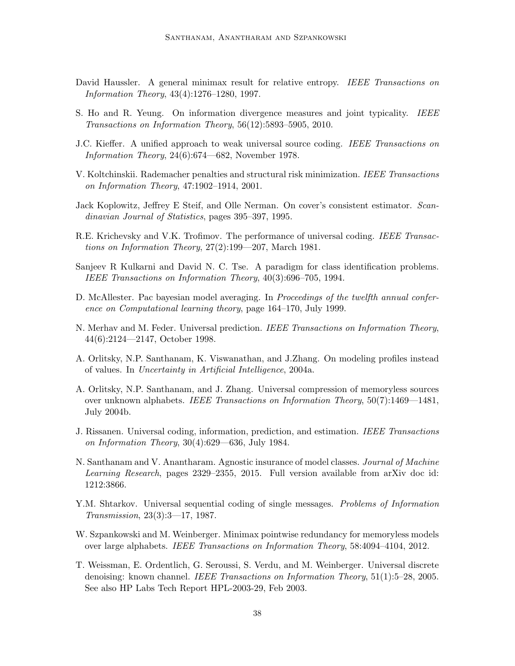- <span id="page-37-11"></span>David Haussler. A general minimax result for relative entropy. IEEE Transactions on Information Theory, 43(4):1276–1280, 1997.
- <span id="page-37-14"></span>S. Ho and R. Yeung. On information divergence measures and joint typicality. IEEE Transactions on Information Theory, 56(12):5893–5905, 2010.
- <span id="page-37-10"></span>J.C. Kieffer. A unified approach to weak universal source coding. IEEE Transactions on Information Theory, 24(6):674—682, November 1978.
- <span id="page-37-0"></span>V. Koltchinskii. Rademacher penalties and structural risk minimization. IEEE Transactions on Information Theory, 47:1902–1914, 2001.
- <span id="page-37-8"></span>Jack Koplowitz, Jeffrey E Steif, and Olle Nerman. On cover's consistent estimator. Scandinavian Journal of Statistics, pages 395–397, 1995.
- <span id="page-37-2"></span>R.E. Krichevsky and V.K. Trofimov. The performance of universal coding. IEEE Transactions on Information Theory, 27(2):199—207, March 1981.
- <span id="page-37-7"></span>Sanjeev R Kulkarni and David N. C. Tse. A paradigm for class identification problems. IEEE Transactions on Information Theory, 40(3):696–705, 1994.
- <span id="page-37-5"></span>D. McAllester. Pac bayesian model averaging. In *Proceedings of the twelfth annual confer*ence on Computational learning theory, page 164–170, July 1999.
- <span id="page-37-6"></span>N. Merhav and M. Feder. Universal prediction. *IEEE Transactions on Information Theory*, 44(6):2124—2147, October 1998.
- <span id="page-37-13"></span>A. Orlitsky, N.P. Santhanam, K. Viswanathan, and J.Zhang. On modeling profiles instead of values. In Uncertainty in Artificial Intelligence, 2004a.
- <span id="page-37-12"></span>A. Orlitsky, N.P. Santhanam, and J. Zhang. Universal compression of memoryless sources over unknown alphabets. IEEE Transactions on Information Theory, 50(7):1469—1481, July 2004b.
- <span id="page-37-3"></span>J. Rissanen. Universal coding, information, prediction, and estimation. IEEE Transactions on Information Theory, 30(4):629—636, July 1984.
- <span id="page-37-9"></span>N. Santhanam and V. Anantharam. Agnostic insurance of model classes. *Journal of Machine* Learning Research, pages 2329–2355, 2015. Full version available from arXiv doc id: 1212:3866.
- <span id="page-37-1"></span>Y.M. Shtarkov. Universal sequential coding of single messages. *Problems of Information* Transmission, 23(3):3—17, 1987.
- <span id="page-37-4"></span>W. Szpankowski and M. Weinberger. Minimax pointwise redundancy for memoryless models over large alphabets. IEEE Transactions on Information Theory, 58:4094–4104, 2012.
- <span id="page-37-15"></span>T. Weissman, E. Ordentlich, G. Seroussi, S. Verdu, and M. Weinberger. Universal discrete denoising: known channel. IEEE Transactions on Information Theory, 51(1):5–28, 2005. See also HP Labs Tech Report HPL-2003-29, Feb 2003.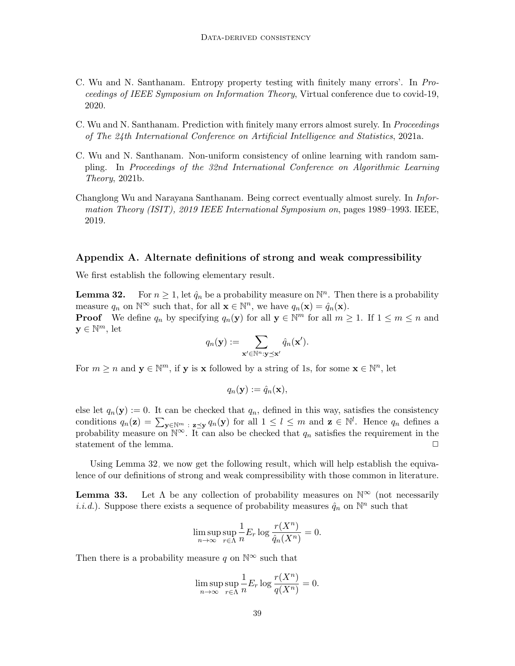- <span id="page-38-1"></span>C. Wu and N. Santhanam. Entropy property testing with finitely many errors'. In Proceedings of IEEE Symposium on Information Theory, Virtual conference due to covid-19, 2020.
- <span id="page-38-3"></span>C. Wu and N. Santhanam. Prediction with finitely many errors almost surely. In *Proceedings* of The 24th International Conference on Artificial Intelligence and Statistics, 2021a.
- <span id="page-38-2"></span>C. Wu and N. Santhanam. Non-uniform consistency of online learning with random sampling. In Proceedings of the 32nd International Conference on Algorithmic Learning Theory, 2021b.
- <span id="page-38-0"></span>Changlong Wu and Narayana Santhanam. Being correct eventually almost surely. In Information Theory (ISIT), 2019 IEEE International Symposium on, pages 1989–1993. IEEE, 2019.

# Appendix A. Alternate definitions of strong and weak compressibility

We first establish the following elementary result.

<span id="page-38-4"></span>**Lemma 32.** For  $n \geq 1$ , let  $\hat{q}_n$  be a probability measure on  $\mathbb{N}^n$ . Then there is a probability measure  $q_n$  on  $\mathbb{N}^{\infty}$  such that, for all  $\mathbf{x} \in \mathbb{N}^n$ , we have  $q_n(\mathbf{x}) = \hat{q}_n(\mathbf{x})$ . **Proof** We define  $q_n$  by specifying  $q_n(\mathbf{y})$  for all  $\mathbf{y} \in \mathbb{N}^m$  for all  $m \geq 1$ . If  $1 \leq m \leq n$  and  $y \in \mathbb{N}^m$ , let

$$
q_n(\mathbf{y}) := \sum_{\mathbf{x}' \in \mathbb{N}^n : \mathbf{y} \preceq \mathbf{x}'} \hat{q}_n(\mathbf{x}').
$$

For  $m \geq n$  and  $y \in \mathbb{N}^m$ , if y is x followed by a string of 1s, for some  $x \in \mathbb{N}^n$ , let

$$
q_n(\mathbf{y}) := \hat{q}_n(\mathbf{x}),
$$

else let  $q_n(\mathbf{y}) := 0$ . It can be checked that  $q_n$ , defined in this way, satisfies the consistency conditions  $q_n(\mathbf{z}) = \sum_{\mathbf{y} \in \mathbb{N}^m : \mathbf{z} \preceq \mathbf{y}} q_n(\mathbf{y})$  for all  $1 \leq l \leq m$  and  $\mathbf{z} \in \mathbb{N}^l$ . Hence  $q_n$  defines a probability measure on  $\mathbb{N}^{\infty}$ . It can also be checked that  $q_n$  satisfies the requirement in the statement of the lemma.  $\Box$ 

Using Lemma [32,](#page-38-4) we now get the following result, which will help establish the equivalence of our definitions of strong and weak compressibility with those common in literature.

<span id="page-38-5"></span>**Lemma 33.** Let  $\Lambda$  be any collection of probability measures on  $\mathbb{N}^{\infty}$  (not necessarily *i.i.d.*). Suppose there exists a sequence of probability measures  $\hat{q}_n$  on  $\mathbb{N}^n$  such that

$$
\limsup_{n \to \infty} \sup_{r \in \Lambda} \frac{1}{n} E_r \log \frac{r(X^n)}{\hat{q}_n(X^n)} = 0.
$$

Then there is a probability measure q on  $\mathbb{N}^{\infty}$  such that

$$
\limsup_{n \to \infty} \sup_{r \in \Lambda} \frac{1}{n} E_r \log \frac{r(X^n)}{q(X^n)} = 0.
$$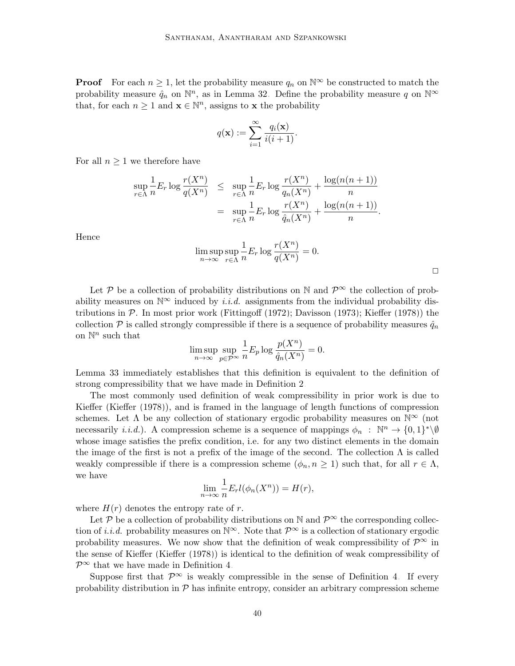**Proof** For each  $n \geq 1$ , let the probability measure  $q_n$  on  $\mathbb{N}^{\infty}$  be constructed to match the probability measure  $\hat{q}_n$  on  $\mathbb{N}^n$ , as in Lemma [32.](#page-38-4) Define the probability measure q on  $\mathbb{N}^\infty$ that, for each  $n \geq 1$  and  $\mathbf{x} \in \mathbb{N}^n$ , assigns to  $\mathbf{x}$  the probability

$$
q(\mathbf{x}) := \sum_{i=1}^{\infty} \frac{q_i(\mathbf{x})}{i(i+1)}.
$$

For all  $n \geq 1$  we therefore have

$$
\sup_{r \in \Lambda} \frac{1}{n} E_r \log \frac{r(X^n)}{q(X^n)} \leq \sup_{r \in \Lambda} \frac{1}{n} E_r \log \frac{r(X^n)}{q_n(X^n)} + \frac{\log(n(n+1))}{n}
$$

$$
= \sup_{r \in \Lambda} \frac{1}{n} E_r \log \frac{r(X^n)}{\hat{q}_n(X^n)} + \frac{\log(n(n+1))}{n}.
$$

Hence

$$
\limsup_{n \to \infty} \sup_{r \in \Lambda} \frac{1}{n} E_r \log \frac{r(X^n)}{q(X^n)} = 0.
$$

Let P be a collection of probability distributions on N and  $\mathcal{P}^{\infty}$  the collection of probability measures on  $\mathbb{N}^{\infty}$  induced by *i.i.d.* assignments from the individual probability distributions in  $\mathcal{P}$ . In most prior work [\(Fittingoff](#page-36-3) [\(1972\)](#page-36-3); [Davisson](#page-36-6) [\(1973\)](#page-36-6); [Kieffer](#page-37-10) [\(1978\)](#page-37-10)) the collection  $P$  is called strongly compressible if there is a sequence of probability measures  $\hat{q}_n$ on  $\mathbb{N}^n$  such that

$$
\limsup_{n\to\infty}\sup_{p\in\mathcal{P}^\infty}\frac{1}{n}E_p\log\frac{p(X^n)}{\hat{q}_n(X^n)}=0.
$$

Lemma [33](#page-38-5) immediately establishes that this definition is equivalent to the definition of strong compressibility that we have made in Definition [2.](#page-6-2)

The most commonly used definition of weak compressibility in prior work is due to Kieffer [\(Kieffer](#page-37-10) [\(1978\)](#page-37-10)), and is framed in the language of length functions of compression schemes. Let  $\Lambda$  be any collection of stationary ergodic probability measures on  $\mathbb{N}^{\infty}$  (not necessarily *i.i.d.*). A compression scheme is a sequence of mappings  $\phi_n : \mathbb{N}^n \to \{0,1\}^*\backslash\emptyset$ whose image satisfies the prefix condition, i.e. for any two distinct elements in the domain the image of the first is not a prefix of the image of the second. The collection  $\Lambda$  is called weakly compressible if there is a compression scheme  $(\phi_n, n \geq 1)$  such that, for all  $r \in \Lambda$ , we have

$$
\lim_{n \to \infty} \frac{1}{n} E_r l(\phi_n(X^n)) = H(r),
$$

where  $H(r)$  denotes the entropy rate of r.

Let P be a collection of probability distributions on N and  $\mathcal{P}^{\infty}$  the corresponding collection of *i.i.d.* probability measures on  $\mathbb{N}^{\infty}$ . Note that  $\mathcal{P}^{\infty}$  is a collection of stationary ergodic probability measures. We now show that the definition of weak compressibility of  $\mathcal{P}^{\infty}$  in the sense of Kieffer [\(Kieffer](#page-37-10) [\(1978\)](#page-37-10)) is identical to the definition of weak compressibility of  $\mathcal{P}^{\infty}$  that we have made in Definition [4.](#page-7-1)

Suppose first that  $\mathcal{P}^{\infty}$  is weakly compressible in the sense of Definition [4.](#page-7-1) If every probability distribution in  $\mathcal P$  has infinite entropy, consider an arbitrary compression scheme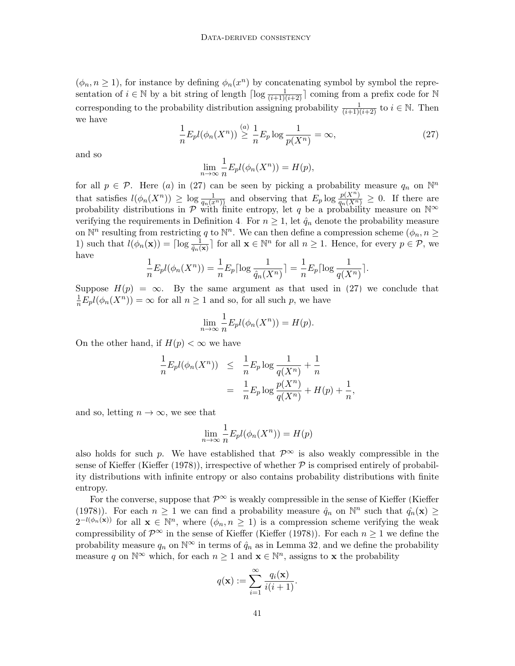$(\phi_n, n \ge 1)$ , for instance by defining  $\phi_n(x^n)$  by concatenating symbol by symbol the representation of  $i \in \mathbb{N}$  by a bit string of length  $\lceil \log \frac{1}{(i+1)(i+2)} \rceil$  coming from a prefix code for  $\mathbb N$ corresponding to the probability distribution assigning probability  $\frac{1}{(i+1)(i+2)}$  to  $i \in \mathbb{N}$ . Then we have

<span id="page-40-0"></span>
$$
\frac{1}{n}E_p l(\phi_n(X^n)) \stackrel{(a)}{\geq} \frac{1}{n}E_p \log \frac{1}{p(X^n)} = \infty,
$$
\n(27)

and so

$$
\lim_{n \to \infty} \frac{1}{n} E_p l(\phi_n(X^n)) = H(p),
$$

for all  $p \in \mathcal{P}$ . Here (a) in [\(27\)](#page-40-0) can be seen by picking a probability measure  $q_n$  on  $\mathbb{N}^n$ that satisfies  $l(\phi_n(X^n)) \geq \log \frac{1}{q_n(x^n)}$  and observing that  $E_p \log \frac{p(X^n)}{q_n(X^n)} \geq 0$ . If there are probability distributions in  $\mathcal P$  with finite entropy, let q be a probability measure on  $\mathbb N^{\infty}$ verifying the requirements in Definition [4.](#page-7-1) For  $n \geq 1$ , let  $\hat{q}_n$  denote the probability measure on  $\mathbb{N}^n$  resulting from restricting q to  $\mathbb{N}^n$ . We can then define a compression scheme  $(\phi_n, n \geq 1)$ 1) such that  $l(\phi_n(\mathbf{x})) = \lceil \log \frac{1}{\hat{q}_n(\mathbf{x})} \rceil$  for all  $\mathbf{x} \in \mathbb{N}^n$  for all  $n \geq 1$ . Hence, for every  $p \in \mathcal{P}$ , we have

$$
\frac{1}{n}E_p l(\phi_n(X^n)) = \frac{1}{n}E_p \lceil \log \frac{1}{\hat{q}_n(X^n)} \rceil = \frac{1}{n}E_p \lceil \log \frac{1}{q(X^n)} \rceil.
$$

Suppose  $H(p) = \infty$ . By the same argument as that used in [\(27\)](#page-40-0) we conclude that  $\frac{1}{n}E_p l(\phi_n(X^n)) = \infty$  for all  $n \ge 1$  and so, for all such p, we have

$$
\lim_{n \to \infty} \frac{1}{n} E_p l(\phi_n(X^n)) = H(p).
$$

On the other hand, if  $H(p) < \infty$  we have

$$
\frac{1}{n} E_p l(\phi_n(X^n)) \leq \frac{1}{n} E_p \log \frac{1}{q(X^n)} + \frac{1}{n} \n= \frac{1}{n} E_p \log \frac{p(X^n)}{q(X^n)} + H(p) + \frac{1}{n},
$$

and so, letting  $n \to \infty$ , we see that

$$
\lim_{n \to \infty} \frac{1}{n} E_p l(\phi_n(X^n)) = H(p)
$$

also holds for such p. We have established that  $\mathcal{P}^{\infty}$  is also weakly compressible in the sense of Kieffer [\(Kieffer](#page-37-10) [\(1978\)](#page-37-10)), irrespective of whether  $P$  is comprised entirely of probability distributions with infinite entropy or also contains probability distributions with finite entropy.

For the converse, suppose that  $\mathcal{P}^{\infty}$  is weakly compressible in the sense of Kieffer [\(Kieffer](#page-37-10) [\(1978\)](#page-37-10)). For each  $n \geq 1$  we can find a probability measure  $\hat{q}_n$  on  $\mathbb{N}^n$  such that  $\hat{q}_n(\mathbf{x}) \geq$  $2^{-l(\phi_n(\mathbf{x}))}$  for all  $\mathbf{x} \in \mathbb{N}^n$ , where  $(\phi_n, n \geq 1)$  is a compression scheme verifying the weak compressibility of  $\mathcal{P}^{\infty}$  in the sense of Kieffer [\(Kieffer](#page-37-10) [\(1978\)](#page-37-10)). For each  $n \geq 1$  we define the probability measure  $q_n$  on  $\mathbb{N}^\infty$  in terms of  $\hat{q}_n$  as in Lemma [32,](#page-38-4) and we define the probability measure q on  $\mathbb{N}^{\infty}$  which, for each  $n \geq 1$  and  $\mathbf{x} \in \mathbb{N}^{n}$ , assigns to x the probability

$$
q(\mathbf{x}) := \sum_{i=1}^{\infty} \frac{q_i(\mathbf{x})}{i(i+1)}.
$$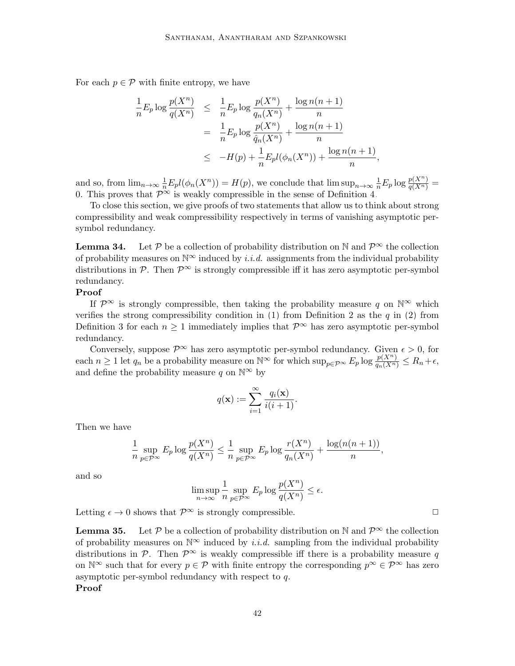For each  $p \in \mathcal{P}$  with finite entropy, we have

$$
\frac{1}{n}E_p \log \frac{p(X^n)}{q(X^n)} \leq \frac{1}{n}E_p \log \frac{p(X^n)}{q_n(X^n)} + \frac{\log n(n+1)}{n} \\
= \frac{1}{n}E_p \log \frac{p(X^n)}{\hat{q}_n(X^n)} + \frac{\log n(n+1)}{n} \\
\leq -H(p) + \frac{1}{n}E_p l(\phi_n(X^n)) + \frac{\log n(n+1)}{n},
$$

and so, from  $\lim_{n\to\infty}\frac{1}{n}E_p l(\phi_n(X^n))=H(p)$ , we conclude that  $\limsup_{n\to\infty}\frac{1}{n}E_p \log \frac{p(X^n)}{q(X^n)}=$ 0. This proves that  $\mathcal{P}^{\infty}$  is weakly compressible in the sense of Definition [4.](#page-7-1)

To close this section, we give proofs of two statements that allow us to think about strong compressibility and weak compressibility respectively in terms of vanishing asymptotic persymbol redundancy.

<span id="page-41-0"></span>**Lemma 34.** Let P be a collection of probability distribution on N and  $\mathcal{P}^{\infty}$  the collection of probability measures on  $\mathbb{N}^{\infty}$  induced by *i.i.d.* assignments from the individual probability distributions in P. Then  $\mathcal{P}^{\infty}$  is strongly compressible iff it has zero asymptotic per-symbol redundancy.

# Proof

If  $\mathcal{P}^{\infty}$  is strongly compressible, then taking the probability measure q on  $\mathbb{N}^{\infty}$  which verifies the strong compressibility condition in  $(1)$  from Definition [2](#page-6-2) as the q in  $(2)$  from Definition [3](#page-6-4) for each  $n \geq 1$  immediately implies that  $\mathcal{P}^{\infty}$  has zero asymptotic per-symbol redundancy.

Conversely, suppose  $\mathcal{P}^{\infty}$  has zero asymptotic per-symbol redundancy. Given  $\epsilon > 0$ , for each  $n \geq 1$  let  $q_n$  be a probability measure on  $\mathbb{N}^{\infty}$  for which  $\sup_{p \in \mathcal{P}^{\infty}} E_p \log \frac{p(X^n)}{q_n(X^n)} \leq R_n + \epsilon$ , and define the probability measure q on  $\mathbb{N}^{\infty}$  by

$$
q(\mathbf{x}) := \sum_{i=1}^{\infty} \frac{q_i(\mathbf{x})}{i(i+1)}.
$$

Then we have

$$
\frac{1}{n}\sup_{p\in\mathcal{P}^\infty} E_p \log \frac{p(X^n)}{q(X^n)} \le \frac{1}{n}\sup_{p\in\mathcal{P}^\infty} E_p \log \frac{r(X^n)}{q_n(X^n)} + \frac{\log(n(n+1))}{n},
$$

and so

$$
\limsup_{n \to \infty} \frac{1}{n} \sup_{p \in \mathcal{P}^{\infty}} E_p \log \frac{p(X^n)}{q(X^n)} \le \epsilon.
$$

Letting  $\epsilon \to 0$  shows that  $\mathcal{P}^{\infty}$  is strongly compressible.

<span id="page-41-1"></span>**Lemma 35.** Let P be a collection of probability distribution on N and  $\mathcal{P}^{\infty}$  the collection of probability measures on  $\mathbb{N}^{\infty}$  induced by *i.i.d.* sampling from the individual probability distributions in P. Then  $\mathcal{P}^{\infty}$  is weakly compressible iff there is a probability measure q on  $\mathbb{N}^{\infty}$  such that for every  $p \in \mathcal{P}$  with finite entropy the corresponding  $p^{\infty} \in \mathcal{P}^{\infty}$  has zero asymptotic per-symbol redundancy with respect to q.

# Proof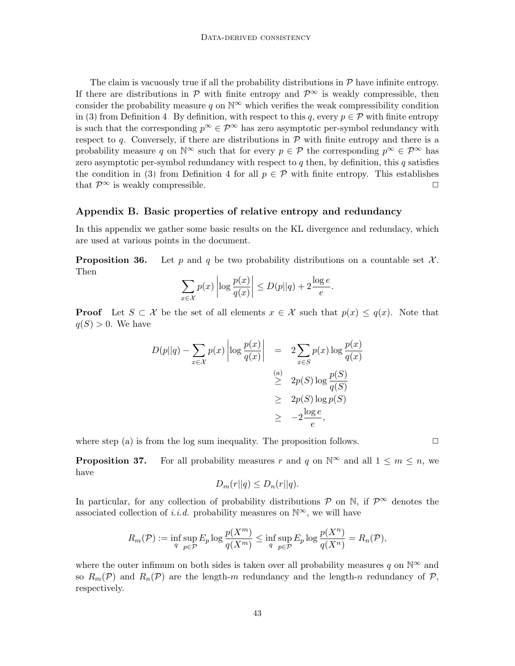The claim is vacuously true if all the probability distributions in  $P$  have infinite entropy. If there are distributions in  $\mathcal P$  with finite entropy and  $\mathcal P^{\infty}$  is weakly compressible, then consider the probability measure q on  $\mathbb{N}^{\infty}$  which verifies the weak compressibility condition in [\(3\)](#page-7-0) from Definition [4.](#page-7-1) By definition, with respect to this q, every  $p \in \mathcal{P}$  with finite entropy is such that the corresponding  $p^{\infty} \in \mathcal{P}^{\infty}$  has zero asymptotic per-symbol redundancy with respect to q. Conversely, if there are distributions in  $\mathcal P$  with finite entropy and there is a probability measure q on  $\mathbb{N}^{\infty}$  such that for every  $p \in \mathcal{P}$  the corresponding  $p^{\infty} \in \mathcal{P}^{\infty}$  has zero asymptotic per-symbol redundancy with respect to  $q$  then, by definition, this  $q$  satisfies the condition in [\(3\)](#page-7-0) from Definition [4](#page-7-1) for all  $p \in \mathcal{P}$  with finite entropy. This establishes that  $\mathcal{P}^{\infty}$  is weakly compressible.

# Appendix B. Basic properties of relative entropy and redundancy

In this appendix we gather some basic results on the KL divergence and redundacy, which are used at various points in the document.

**Proposition 36.** Let p and q be two probability distributions on a countable set  $\mathcal{X}$ . Then

$$
\sum_{x \in \mathcal{X}} p(x) \left| \log \frac{p(x)}{q(x)} \right| \le D(p||q) + 2 \frac{\log e}{e}.
$$

**Proof** Let  $S \subset \mathcal{X}$  be the set of all elements  $x \in \mathcal{X}$  such that  $p(x) \leq q(x)$ . Note that  $q(S) > 0$ . We have

$$
D(p||q) - \sum_{x \in \mathcal{X}} p(x) \left| \log \frac{p(x)}{q(x)} \right| = 2 \sum_{x \in S} p(x) \log \frac{p(x)}{q(x)}
$$
  
\n
$$
\geq 2p(S) \log \frac{p(S)}{q(S)}
$$
  
\n
$$
\geq 2p(S) \log p(S)
$$
  
\n
$$
\geq -2 \frac{\log e}{e},
$$

where step (a) is from the log sum inequality. The proposition follows.  $\Box$ 

<span id="page-42-0"></span>**Proposition 37.** For all probability measures r and q on  $\mathbb{N}^{\infty}$  and all  $1 \leq m \leq n$ , we have

$$
D_m(r||q) \le D_n(r||q).
$$

In particular, for any collection of probability distributions  $\mathcal{P}$  on N, if  $\mathcal{P}^{\infty}$  denotes the associated collection of *i.i.d.* probability measures on  $\mathbb{N}^{\infty}$ , we will have

$$
R_m(\mathcal{P}) := \inf_q \sup_{p \in \mathcal{P}} E_p \log \frac{p(X^m)}{q(X^m)} \le \inf_q \sup_{p \in \mathcal{P}} E_p \log \frac{p(X^n)}{q(X^n)} = R_n(\mathcal{P}),
$$

where the outer infimum on both sides is taken over all probability measures q on  $\mathbb{N}^{\infty}$  and so  $R_m(\mathcal{P})$  and  $R_n(\mathcal{P})$  are the length-m redundancy and the length-m redundancy of  $\mathcal{P}$ , respectively.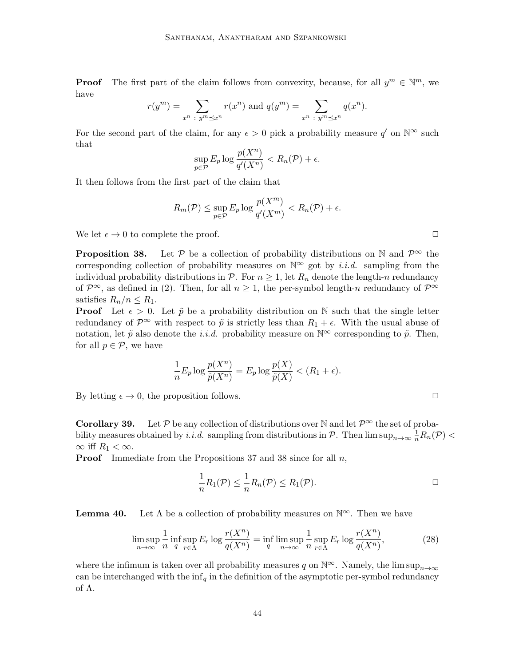**Proof** The first part of the claim follows from convexity, because, for all  $y^m \in \mathbb{N}^m$ , we have

$$
r(y^m) = \sum_{x^n : y^m \preceq x^n} r(x^n)
$$
 and  $q(y^m) = \sum_{x^n : y^m \preceq x^n} q(x^n)$ .

For the second part of the claim, for any  $\epsilon > 0$  pick a probability measure q' on  $\mathbb{N}^{\infty}$  such that

$$
\sup_{p \in \mathcal{P}} E_p \log \frac{p(X^n)}{q'(X^n)} < R_n(\mathcal{P}) + \epsilon.
$$

It then follows from the first part of the claim that

$$
R_m(\mathcal{P}) \le \sup_{p \in \mathcal{P}} E_p \log \frac{p(X^m)}{q'(X^m)} < R_n(\mathcal{P}) + \epsilon.
$$

We let  $\epsilon \to 0$  to complete the proof.

<span id="page-43-1"></span>**Proposition 38.** Let P be a collection of probability distributions on N and  $\mathcal{P}^{\infty}$  the corresponding collection of probability measures on  $\mathbb{N}^{\infty}$  got by *i.i.d.* sampling from the individual probability distributions in  $P$ . For  $n \geq 1$ , let  $R_n$  denote the length-n redundancy of  $\mathcal{P}^{\infty}$ , as defined in [\(2\)](#page-6-3). Then, for all  $n \geq 1$ , the per-symbol length-n redundancy of  $\mathcal{P}^{\infty}$ satisfies  $R_n/n \leq R_1$ .

**Proof** Let  $\epsilon > 0$ . Let  $\tilde{p}$  be a probability distribution on N such that the single letter redundancy of  $\mathcal{P}^{\infty}$  with respect to  $\tilde{p}$  is strictly less than  $R_1 + \epsilon$ . With the usual abuse of notation, let  $\tilde{p}$  also denote the *i.i.d.* probability measure on  $\mathbb{N}^{\infty}$  corresponding to  $\tilde{p}$ . Then, for all  $p \in \mathcal{P}$ , we have

$$
\frac{1}{n}E_p \log \frac{p(X^n)}{\tilde{p}(X^n)} = E_p \log \frac{p(X)}{\tilde{p}(X)} < (R_1 + \epsilon).
$$

By letting  $\epsilon \to 0$ , the proposition follows.

**Corollary 39.** Let P be any collection of distributions over N and let  $\mathcal{P}^{\infty}$  the set of probability measures obtained by *i.i.d.* sampling from distributions in  $\mathcal{P}$ . Then  $\limsup_{n\to\infty}\frac{1}{n}R_n(\mathcal{P})$  <  $\infty$  iff  $R_1 < \infty$ .

**Proof** Immediate from the Propositions [37](#page-42-0) and [38](#page-43-1) since for all  $n$ ,

$$
\frac{1}{n}R_1(\mathcal{P}) \leq \frac{1}{n}R_n(\mathcal{P}) \leq R_1(\mathcal{P}).
$$

<span id="page-43-0"></span>**Lemma 40.** Let  $\Lambda$  be a collection of probability measures on  $\mathbb{N}^{\infty}$ . Then we have

<span id="page-43-2"></span>
$$
\limsup_{n \to \infty} \frac{1}{n} \inf_{q} \sup_{r \in \Lambda} E_r \log \frac{r(X^n)}{q(X^n)} = \inf_{q} \limsup_{n \to \infty} \frac{1}{n} \sup_{r \in \Lambda} E_r \log \frac{r(X^n)}{q(X^n)},
$$
\n(28)

where the infimum is taken over all probability measures q on  $\mathbb{N}^{\infty}$ . Namely, the lim sup $_{n\to\infty}$ can be interchanged with the  $\inf_{q}$  in the definition of the asymptotic per-symbol redundancy of Λ.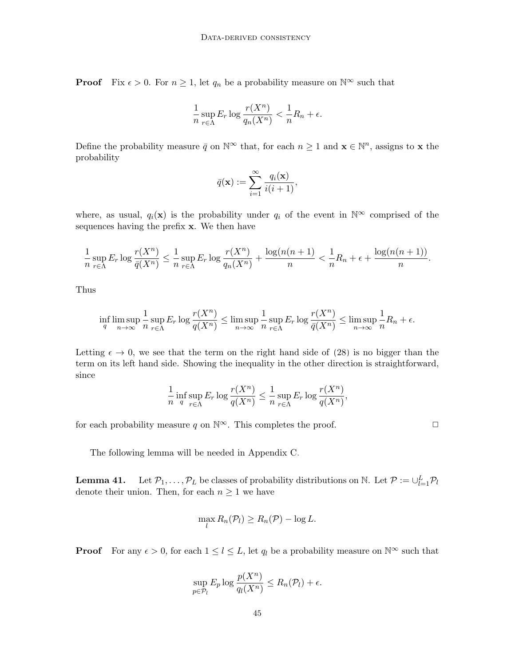**Proof** Fix  $\epsilon > 0$ . For  $n \geq 1$ , let  $q_n$  be a probability measure on  $\mathbb{N}^{\infty}$  such that

$$
\frac{1}{n} \sup_{r \in \Lambda} E_r \log \frac{r(X^n)}{q_n(X^n)} < \frac{1}{n} R_n + \epsilon.
$$

Define the probability measure  $\bar{q}$  on  $\mathbb{N}^{\infty}$  that, for each  $n \geq 1$  and  $\mathbf{x} \in \mathbb{N}^n$ , assigns to  $\mathbf{x}$  the probability

$$
\bar{q}(\mathbf{x}) := \sum_{i=1}^{\infty} \frac{q_i(\mathbf{x})}{i(i+1)},
$$

where, as usual,  $q_i(\mathbf{x})$  is the probability under  $q_i$  of the event in  $\mathbb{N}^\infty$  comprised of the sequences having the prefix x. We then have

$$
\frac{1}{n}\sup_{r\in\Lambda}E_r\log\frac{r(X^n)}{\bar{q}(X^n)}\leq \frac{1}{n}\sup_{r\in\Lambda}E_r\log\frac{r(X^n)}{q_n(X^n)}+\frac{\log(n(n+1)}{n}<\frac{1}{n}R_n+\epsilon+\frac{\log(n(n+1))}{n}.
$$

Thus

$$
\inf_{q} \limsup_{n \to \infty} \frac{1}{n} \sup_{r \in \Lambda} E_r \log \frac{r(X^n)}{q(X^n)} \le \limsup_{n \to \infty} \frac{1}{n} \sup_{r \in \Lambda} E_r \log \frac{r(X^n)}{\overline{q}(X^n)} \le \limsup_{n \to \infty} \frac{1}{n} R_n + \epsilon.
$$

Letting  $\epsilon \to 0$ , we see that the term on the right hand side of [\(28\)](#page-43-2) is no bigger than the term on its left hand side. Showing the inequality in the other direction is straightforward, since

$$
\frac{1}{n} \inf_q \sup_{r \in \Lambda} E_r \log \frac{r(X^n)}{q(X^n)} \le \frac{1}{n} \sup_{r \in \Lambda} E_r \log \frac{r(X^n)}{q(X^n)},
$$

for each probability measure q on  $\mathbb{N}^{\infty}$ . This completes the proof.  $\Box$ 

The following lemma will be needed in Appendix [C.](#page-12-0)

<span id="page-44-0"></span>**Lemma 41.** Let  $\mathcal{P}_1, \ldots, \mathcal{P}_L$  be classes of probability distributions on  $\mathbb{N}$ . Let  $\mathcal{P} := \bigcup_{l=1}^L \mathcal{P}_l$ denote their union. Then, for each  $n \geq 1$  we have

$$
\max_{l} R_n(\mathcal{P}_l) \geq R_n(\mathcal{P}) - \log L.
$$

**Proof** For any  $\epsilon > 0$ , for each  $1 \leq l \leq L$ , let  $q_l$  be a probability measure on  $\mathbb{N}^{\infty}$  such that

$$
\sup_{p \in \mathcal{P}_l} E_p \log \frac{p(X^n)}{q_l(X^n)} \le R_n(\mathcal{P}_l) + \epsilon.
$$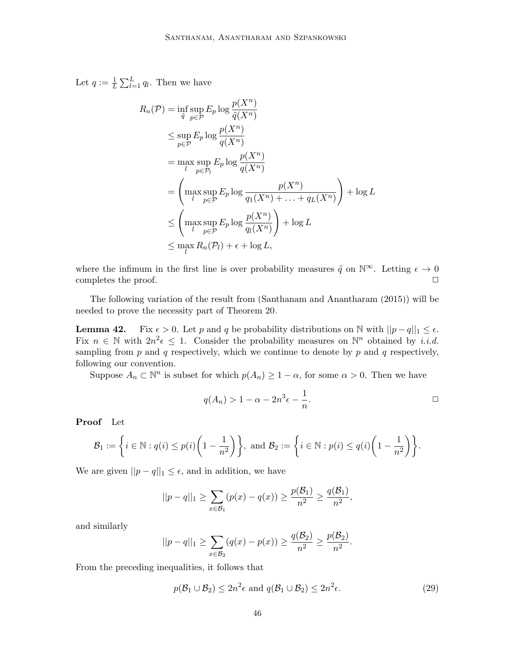Let  $q := \frac{1}{L} \sum_{l=1}^{L} q_l$ . Then we have

$$
R_n(\mathcal{P}) = \inf_{\tilde{q}} \sup_{p \in \mathcal{P}} E_p \log \frac{p(X^n)}{\tilde{q}(X^n)}
$$
  
\n
$$
\leq \sup_{p \in \mathcal{P}} E_p \log \frac{p(X^n)}{q(X^n)}
$$
  
\n
$$
= \max_{l} \sup_{p \in \mathcal{P}_l} E_p \log \frac{p(X^n)}{q(X^n)}
$$
  
\n
$$
= \left(\max_{l} \sup_{p \in \mathcal{P}} E_p \log \frac{p(X^n)}{q_1(X^n) + \dots + q_L(X^n)}\right) + \log L
$$
  
\n
$$
\leq \left(\max_{l} \sup_{p \in \mathcal{P}} E_p \log \frac{p(X^n)}{q_l(X^n)}\right) + \log L
$$
  
\n
$$
\leq \max_{l} R_n(\mathcal{P}_l) + \epsilon + \log L,
$$

where the infimum in the first line is over probability measures  $\tilde{q}$  on  $\mathbb{N}^{\infty}$ . Letting  $\epsilon \to 0$ completes the proof.  $\hfill \Box$ 

The following variation of the result from [\(Santhanam and Anantharam](#page-37-9) [\(2015\)](#page-37-9)) will be needed to prove the necessity part of Theorem [20.](#page-16-0)

<span id="page-45-0"></span>**Lemma 42.** Fix  $\epsilon > 0$ . Let p and q be probability distributions on N with  $||p - q||_1 \leq \epsilon$ . Fix  $n \in \mathbb{N}$  with  $2n^2 \epsilon \leq 1$ . Consider the probability measures on  $\mathbb{N}^n$  obtained by *i.i.d.* sampling from  $p$  and  $q$  respectively, which we continue to denote by  $p$  and  $q$  respectively, following our convention.

Suppose  $A_n \subset \mathbb{N}^n$  is subset for which  $p(A_n) \geq 1 - \alpha$ , for some  $\alpha > 0$ . Then we have

$$
q(A_n) > 1 - \alpha - 2n^3 \epsilon - \frac{1}{n}.
$$

Proof Let

$$
\mathcal{B}_1 := \left\{ i \in \mathbb{N} : q(i) \le p(i) \left( 1 - \frac{1}{n^2} \right) \right\}, \text{ and } \mathcal{B}_2 := \left\{ i \in \mathbb{N} : p(i) \le q(i) \left( 1 - \frac{1}{n^2} \right) \right\}.
$$

We are given  $||p - q||_1 \leq \epsilon$ , and in addition, we have

$$
||p - q||_1 \ge \sum_{x \in \mathcal{B}_1} (p(x) - q(x)) \ge \frac{p(\mathcal{B}_1)}{n^2} \ge \frac{q(\mathcal{B}_1)}{n^2},
$$

and similarly

$$
||p - q||_1 \ge \sum_{x \in \mathcal{B}_2} (q(x) - p(x)) \ge \frac{q(\mathcal{B}_2)}{n^2} \ge \frac{p(\mathcal{B}_2)}{n^2}.
$$

From the preceding inequalities, it follows that

<span id="page-45-1"></span>
$$
p(\mathcal{B}_1 \cup \mathcal{B}_2) \le 2n^2 \epsilon \text{ and } q(\mathcal{B}_1 \cup \mathcal{B}_2) \le 2n^2 \epsilon. \tag{29}
$$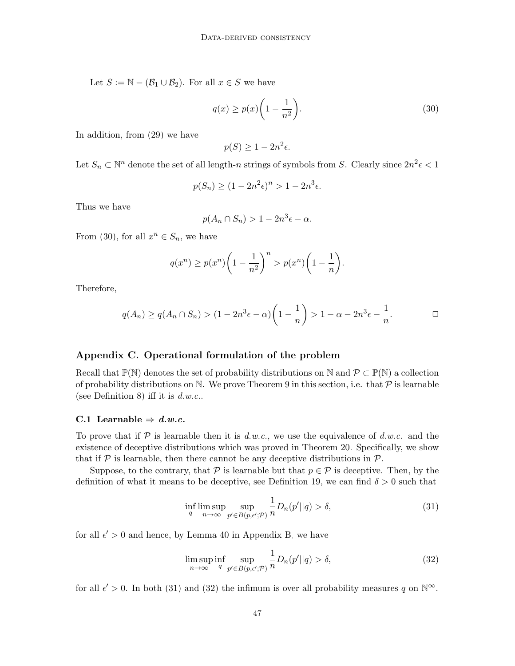Let  $S := \mathbb{N} - (\mathcal{B}_1 \cup \mathcal{B}_2)$ . For all  $x \in S$  we have

<span id="page-46-0"></span>
$$
q(x) \ge p(x) \left( 1 - \frac{1}{n^2} \right). \tag{30}
$$

In addition, from [\(29\)](#page-45-1) we have

$$
p(S) \ge 1 - 2n^2 \epsilon.
$$

Let  $S_n \subset \mathbb{N}^n$  denote the set of all length-n strings of symbols from S. Clearly since  $2n^2 \epsilon < 1$ 

$$
p(S_n) \ge (1 - 2n^2 \epsilon)^n > 1 - 2n^3 \epsilon.
$$

Thus we have

$$
p(A_n \cap S_n) > 1 - 2n^3 \epsilon - \alpha.
$$

From [\(30\)](#page-46-0), for all  $x^n \in S_n$ , we have

$$
q(x^n) \ge p(x^n) \left(1 - \frac{1}{n^2}\right)^n > p(x^n) \left(1 - \frac{1}{n}\right).
$$

Therefore,

$$
q(A_n) \ge q(A_n \cap S_n) > (1 - 2n^3\epsilon - \alpha) \left(1 - \frac{1}{n}\right) > 1 - \alpha - 2n^3\epsilon - \frac{1}{n}.
$$

# Appendix C. Operational formulation of the problem

Recall that  $\mathbb{P}(\mathbb{N})$  denotes the set of probability distributions on N and  $\mathcal{P} \subset \mathbb{P}(\mathbb{N})$  a collection of probability distributions on N. We prove Theorem [9](#page-11-0) in this section, i.e. that  $\mathcal P$  is learnable (see Definition [8\)](#page-11-1) iff it is  $d.w.c..$ 

## C.1 Learnable  $\Rightarrow$  d.w.c.

To prove that if P is learnable then it is d.w.c., we use the equivalence of d.w.c. and the existence of deceptive distributions which was proved in Theorem [20.](#page-16-0) Specifically, we show that if  $P$  is learnable, then there cannot be any deceptive distributions in  $P$ .

Suppose, to the contrary, that  $P$  is learnable but that  $p \in P$  is deceptive. Then, by the definition of what it means to be deceptive, see Definition [19,](#page-16-6) we can find  $\delta > 0$  such that

<span id="page-46-1"></span>
$$
\inf_{q} \limsup_{n \to \infty} \sup_{p' \in B(p,\epsilon';\mathcal{P})} \frac{1}{n} D_n(p'||q) > \delta,
$$
\n(31)

for all  $\epsilon' > 0$  and hence, by Lemma [40](#page-43-0) in Appendix [B,](#page-4-0) we have

<span id="page-46-2"></span>
$$
\limsup_{n \to \infty} \inf_{q} \sup_{p' \in B(p,\epsilon';\mathcal{P})} \frac{1}{n} D_n(p'||q) > \delta,
$$
\n(32)

for all  $\epsilon' > 0$ . In both [\(31\)](#page-46-1) and [\(32\)](#page-46-2) the infimum is over all probability measures q on  $\mathbb{N}^{\infty}$ .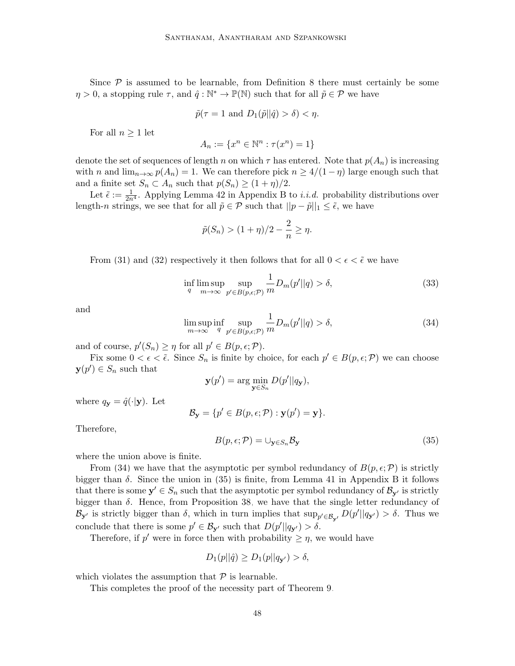Since  $P$  is assumed to be learnable, from Definition [8](#page-11-1) there must certainly be some  $\eta > 0$ , a stopping rule  $\tau$ , and  $\hat{q} : \mathbb{N}^* \to \mathbb{P}(\mathbb{N})$  such that for all  $\tilde{p} \in \mathcal{P}$  we have

$$
\tilde{p}(\tau = 1 \text{ and } D_1(\tilde{p}||\hat{q}) > \delta) < \eta.
$$

For all  $n \geq 1$  let

$$
A_n := \{x^n \in \mathbb{N}^n : \tau(x^n) = 1\}
$$

denote the set of sequences of length n on which  $\tau$  has entered. Note that  $p(A_n)$  is increasing with n and  $\lim_{n\to\infty}p(A_n)=1$ . We can therefore pick  $n\geq 4/(1-\eta)$  large enough such that and a finite set  $S_n \subset A_n$  such that  $p(S_n) \geq (1 + \eta)/2$ .

Let  $\tilde{\epsilon} := \frac{1}{2n^4}$ . Applying Lemma [42](#page-45-0) in Appendix [B](#page-4-0) to *i.i.d.* probability distributions over length-n strings, we see that for all  $\tilde{p} \in \mathcal{P}$  such that  $||p - \tilde{p}||_1 \leq \tilde{\epsilon}$ , we have

$$
\tilde{p}(S_n) > (1 + \eta)/2 - \frac{2}{n} \ge \eta.
$$

From [\(31\)](#page-46-1) and [\(32\)](#page-46-2) respectively it then follows that for all  $0 < \epsilon < \tilde{\epsilon}$  we have

$$
\inf_{q} \limsup_{m \to \infty} \sup_{p' \in B(p,\epsilon;\mathcal{P})} \frac{1}{m} D_m(p'||q) > \delta,
$$
\n(33)

and

<span id="page-47-0"></span>
$$
\limsup_{m \to \infty} \inf_{q} \sup_{p' \in B(p,\epsilon;\mathcal{P})} \frac{1}{m} D_m(p' || q) > \delta,
$$
\n(34)

and of course,  $p'(S_n) \geq \eta$  for all  $p' \in B(p, \epsilon; \mathcal{P})$ .

Fix some  $0 < \epsilon < \tilde{\epsilon}$ . Since  $S_n$  is finite by choice, for each  $p' \in B(p, \epsilon; \mathcal{P})$  we can choose  $y(p') \in S_n$  such that

$$
\mathbf{y}(p') = \arg\min_{\mathbf{y} \in S_n} D(p'||q_{\mathbf{y}}),
$$

where  $q_{\mathbf{y}} = \hat{q}(\cdot | \mathbf{y})$ . Let

$$
\mathcal{B}_{\mathbf{y}} = \{p' \in B(p, \epsilon; \mathcal{P}) : \mathbf{y}(p') = \mathbf{y}\}.
$$

Therefore,

<span id="page-47-1"></span>
$$
B(p, \epsilon; \mathcal{P}) = \cup_{\mathbf{y} \in S_n} \mathcal{B}_{\mathbf{y}} \tag{35}
$$

where the union above is finite.

From [\(34\)](#page-47-0) we have that the asymptotic per symbol redundancy of  $B(p,\epsilon;\mathcal{P})$  is strictly bigger than  $\delta$ . Since the union in [\(35\)](#page-47-1) is finite, from Lemma [41](#page-44-0) in Appendix [B](#page-4-0) it follows that there is some  $y' \in S_n$  such that the asymptotic per symbol redundancy of  $\mathcal{B}_{y'}$  is strictly bigger than  $\delta$ . Hence, from Proposition [38,](#page-43-1) we have that the single letter redundancy of  $\mathcal{B}_{\mathbf{y}'}$  is strictly bigger than  $\delta$ , which in turn implies that  $\sup_{p' \in \mathcal{B}_{\mathbf{y}'}} D(p'||q_{\mathbf{y}'}) > \delta$ . Thus we conclude that there is some  $p' \in \mathcal{B}_{\mathbf{y}'}$  such that  $D(p'||q_{\mathbf{y}'}) > \delta$ .

Therefore, if p' were in force then with probability  $\geq \eta$ , we would have

$$
D_1(p||\hat{q}) \ge D_1(p||q_{\mathbf{y}'}) > \delta,
$$

which violates the assumption that  $P$  is learnable.

This completes the proof of the necessity part of Theorem [9.](#page-11-0)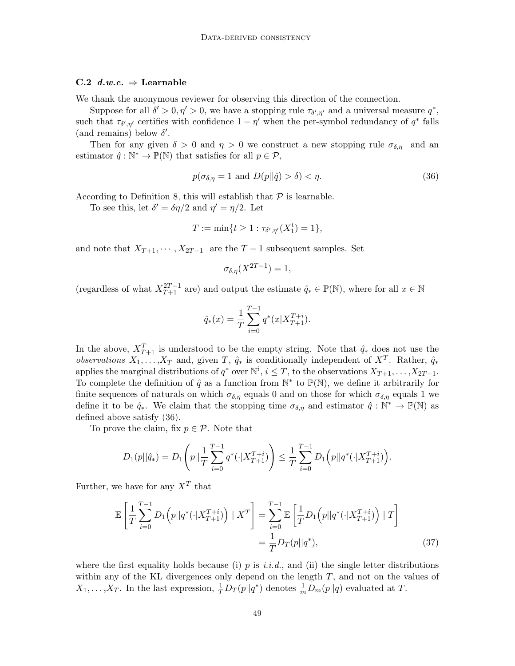# C.2  $d.w.c. \Rightarrow$  Learnable

We thank the anonymous reviewer for observing this direction of the connection.

Suppose for all  $\delta' > 0, \eta' > 0$ , we have a stopping rule  $\tau_{\delta', \eta'}$  and a universal measure  $q^*$ , such that  $\tau_{\delta',\eta'}$  certifies with confidence  $1-\eta'$  when the per-symbol redundancy of  $q^*$  falls (and remains) below  $\delta'$ .

Then for any given  $\delta > 0$  and  $\eta > 0$  we construct a new stopping rule  $\sigma_{\delta,\eta}$  and an estimator  $\hat{q}: \mathbb{N}^* \to \mathbb{P}(\mathbb{N})$  that satisfies for all  $p \in \mathcal{P}$ ,

<span id="page-48-0"></span>
$$
p(\sigma_{\delta,\eta} = 1 \text{ and } D(p||\hat{q}) > \delta) < \eta.
$$
\n(36)

According to Definition [8,](#page-11-1) this will establish that  $P$  is learnable.

To see this, let  $\delta' = \delta \eta/2$  and  $\eta' = \eta/2$ . Let

$$
T := \min\{t \ge 1 : \tau_{\delta', \eta'}(X_1^t) = 1\},\
$$

and note that  $X_{T+1}, \cdots, X_{2T-1}$  are the  $T-1$  subsequent samples. Set

$$
\sigma_{\delta,\eta}(X^{2T-1}) = 1,
$$

(regardless of what  $X_{T+1}^{2T-1}$  are) and output the estimate  $\hat{q}_* \in \mathbb{P}(\mathbb{N})$ , where for all  $x \in \mathbb{N}$ 

$$
\hat{q}_*(x) = \frac{1}{T} \sum_{i=0}^{T-1} q^*(x | X_{T+1}^{T+i}).
$$

In the above,  $X_{T+1}^T$  is understood to be the empty string. Note that  $\hat{q}_*$  does not use the observations  $X_1, \ldots, X_T$  and, given T,  $\hat{q}_*$  is conditionally independent of  $X^T$ . Rather,  $\hat{q}_*$ applies the marginal distributions of  $q^*$  over  $\mathbb{N}^i$ ,  $i \leq T$ , to the observations  $X_{T+1}, \ldots, X_{2T-1}$ . To complete the definition of  $\hat{q}$  as a function from  $\mathbb{N}^*$  to  $\mathbb{P}(\mathbb{N})$ , we define it arbitrarily for finite sequences of naturals on which  $\sigma_{\delta,\eta}$  equals 0 and on those for which  $\sigma_{\delta,\eta}$  equals 1 we define it to be  $\hat{q}_*$ . We claim that the stopping time  $\sigma_{\delta,\eta}$  and estimator  $\hat{q}: \mathbb{N}^* \to \mathbb{P}(\mathbb{N})$  as defined above satisfy [\(36\)](#page-48-0).

To prove the claim, fix  $p \in \mathcal{P}$ . Note that

$$
D_1(p||\hat{q}_*) = D_1\left(p||\frac{1}{T}\sum_{i=0}^{T-1} q^*(\cdot|X_{T+1}^{T+i})\right) \leq \frac{1}{T}\sum_{i=0}^{T-1} D_1\left(p||q^*(\cdot|X_{T+1}^{T+i})\right).
$$

Further, we have for any  $X^T$  that

<span id="page-48-1"></span>
$$
\mathbb{E}\left[\frac{1}{T}\sum_{i=0}^{T-1}D_1\left(p||q^*(\cdot|X_{T+1}^{T+i})\right) \mid X^T\right] = \sum_{i=0}^{T-1}\mathbb{E}\left[\frac{1}{T}D_1\left(p||q^*(\cdot|X_{T+1}^{T+i})\right) \mid T\right] \n= \frac{1}{T}D_T(p||q^*),
$$
\n(37)

where the first equality holds because (i) p is i.i.d., and (ii) the single letter distributions within any of the KL divergences only depend on the length  $T$ , and not on the values of  $X_1, \ldots, X_T$ . In the last expression,  $\frac{1}{T}D_T(p||q^*)$  denotes  $\frac{1}{m}D_m(p||q)$  evaluated at T.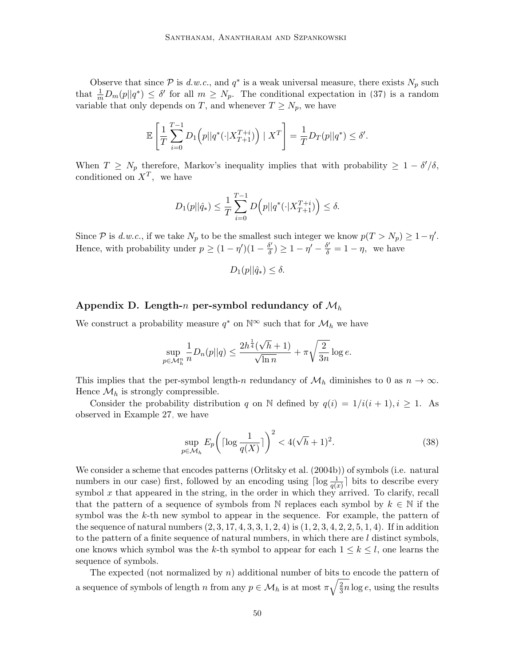Observe that since  $P$  is d.w.c., and  $q^*$  is a weak universal measure, there exists  $N_p$  such that  $\frac{1}{m}D_m(p||q^*) \leq \delta'$  for all  $m \geq N_p$ . The conditional expectation in [\(37\)](#page-48-1) is a random variable that only depends on T, and whenever  $T \geq N_p$ , we have

$$
\mathbb{E}\left[\frac{1}{T}\sum_{i=0}^{T-1}D_1\left(p||q^*(\cdot|X_{T+1}^{T+i})\right) \mid X^T\right] = \frac{1}{T}D_T(p||q^*) \leq \delta'.
$$

When  $T \ge N_p$  therefore, Markov's inequality implies that with probability  $\ge 1 - \delta'/\delta$ , conditioned on  $X^T$ , we have

$$
D_1(p||\hat{q}_*) \le \frac{1}{T} \sum_{i=0}^{T-1} D\left(p||q^*(\cdot|X_{T+1}^{T+i})\right) \le \delta.
$$

Since P is d.w.c., if we take  $N_p$  to be the smallest such integer we know  $p(T > N_p) \geq 1 - \eta'$ . Hence, with probability under  $p \geq (1 - \eta') (1 - \frac{\delta'}{\delta})$  $\frac{\delta'}{\delta}$ )  $\geq 1 - \eta' - \frac{\delta'}{\delta} = 1 - \eta$ , we have

$$
D_1(p||\hat{q}_*) \leq \delta.
$$

# Appendix D. Length-n per-symbol redundancy of  $\mathcal{M}_h$

We construct a probability measure  $q^*$  on  $\mathbb{N}^{\infty}$  such that for  $\mathcal{M}_h$  we have

$$
\sup_{p \in \mathcal{M}_h^n} \frac{1}{n} D_n(p||q) \le \frac{2h^{\frac{1}{4}}(\sqrt{h}+1)}{\sqrt{\ln n}} + \pi \sqrt{\frac{2}{3n}} \log e.
$$

This implies that the per-symbol length-n redundancy of  $\mathcal{M}_h$  diminishes to 0 as  $n \to \infty$ . Hence  $\mathcal{M}_h$  is strongly compressible.

Consider the probability distribution q on N defined by  $q(i) = 1/i(i+1), i \ge 1$ . As observed in Example [27,](#page-21-1) we have

<span id="page-49-0"></span>
$$
\sup_{p \in \mathcal{M}_h} E_p \left( \lceil \log \frac{1}{q(X)} \rceil \right)^2 < 4(\sqrt{h} + 1)^2. \tag{38}
$$

We consider a scheme that encodes patterns [\(Orlitsky et al.](#page-37-12) [\(2004b\)](#page-37-12)) of symbols (i.e. natural numbers in our case) first, followed by an encoding using  $\lceil \log \frac{1}{q(x)} \rceil$  bits to describe every symbol  $x$  that appeared in the string, in the order in which they arrived. To clarify, recall that the pattern of a sequence of symbols from N replaces each symbol by  $k \in \mathbb{N}$  if the symbol was the k-th new symbol to appear in the sequence. For example, the pattern of the sequence of natural numbers  $(2, 3, 17, 4, 3, 3, 1, 2, 4)$  is  $(1, 2, 3, 4, 2, 2, 5, 1, 4)$ . If in addition to the pattern of a finite sequence of natural numbers, in which there are  $l$  distinct symbols, one knows which symbol was the k-th symbol to appear for each  $1 \leq k \leq l$ , one learns the sequence of symbols.

The expected (not normalized by  $n$ ) additional number of bits to encode the pattern of a sequence of symbols of length n from any  $p \in \mathcal{M}_h$  is at most  $\pi \sqrt{\frac{2}{3}}$  $\frac{2}{3}n\log e$ , using the results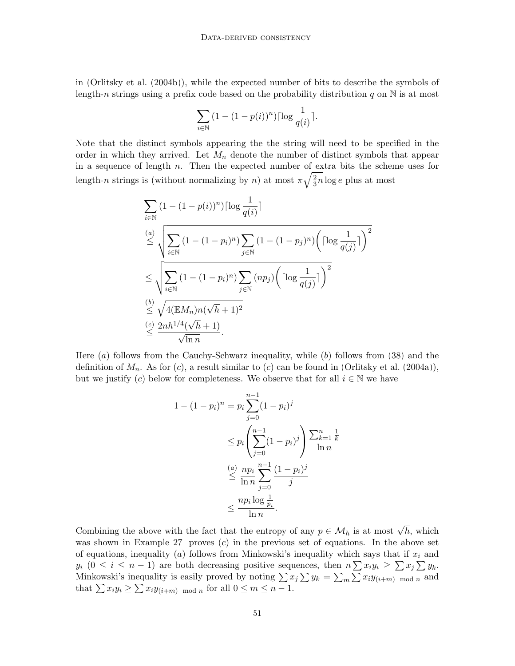in [\(Orlitsky et al.](#page-37-12) [\(2004b\)](#page-37-12)), while the expected number of bits to describe the symbols of length-n strings using a prefix code based on the probability distribution  $q$  on  $\mathbb N$  is at most

$$
\sum_{i\in\mathbb{N}}\left(1-(1-p(i))^n\right)\lceil\log\frac{1}{q(i)}\rceil.
$$

Note that the distinct symbols appearing the the string will need to be specified in the order in which they arrived. Let  $M_n$  denote the number of distinct symbols that appear in a sequence of length n. Then the expected number of extra bits the scheme uses for length-n strings is (without normalizing by n) at most  $\pi\sqrt{\frac{2}{3}}$  $\frac{2}{3}n\log e$  plus at most

$$
\sum_{i \in \mathbb{N}} (1 - (1 - p(i))^n) \lceil \log \frac{1}{q(i)} \rceil
$$
\n
$$
\leq \sqrt{\sum_{i \in \mathbb{N}} (1 - (1 - p_i)^n) \sum_{j \in \mathbb{N}} (1 - (1 - p_j)^n) \left( \lceil \log \frac{1}{q(j)} \rceil \right)^2}
$$
\n
$$
\leq \sqrt{\sum_{i \in \mathbb{N}} (1 - (1 - p_i)^n) \sum_{j \in \mathbb{N}} (np_j) \left( \lceil \log \frac{1}{q(j)} \rceil \right)^2}
$$
\n
$$
\leq \sqrt{4 (\mathbb{E}M_n) n (\sqrt{h} + 1)^2}
$$
\n
$$
\leq \frac{2nh^{1/4}(\sqrt{h} + 1)}{\sqrt{\ln n}}.
$$

Here  $(a)$  follows from the Cauchy-Schwarz inequality, while  $(b)$  follows from  $(38)$  and the definition of  $M_n$ . As for  $(c)$ , a result similar to  $(c)$  can be found in [\(Orlitsky et al.](#page-37-13) [\(2004a\)](#page-37-13)), but we justify (c) below for completeness. We observe that for all  $i \in \mathbb{N}$  we have

$$
1 - (1 - p_i)^n = p_i \sum_{j=0}^{n-1} (1 - p_i)^j
$$
  
\n
$$
\leq p_i \left( \sum_{j=0}^{n-1} (1 - p_i)^j \right) \frac{\sum_{k=1}^{n} \frac{1}{k}}{\ln n}
$$
  
\n
$$
\leq \frac{(a)}{\ln n} \sum_{j=0}^{n-1} \frac{(1 - p_i)^j}{j}
$$
  
\n
$$
\leq \frac{np_i \log \frac{1}{p_i}}{\ln n}.
$$

Combining the above with the fact that the entropy of any  $p \in \mathcal{M}_h$  is at most  $\sqrt{h}$ , which was shown in Example [27,](#page-21-1) proves  $(c)$  in the previous set of equations. In the above set of equations, inequality (a) follows from Minkowski's inequality which says that if  $x_i$  and  $y_i$   $(0 \le i \le n-1)$  are both decreasing positive sequences, then  $n \sum x_i y_i \ge \sum x_j \sum y_k$ . Minkowski's inequality is easily proved by noting  $\sum x_j \sum y_k = \sum_m \sum x_i y_{(i+m)}$  mod n and that  $\sum x_i y_i \geq \sum x_i y_{(i+m) \mod n}$  for all  $0 \leq m \leq n-1$ .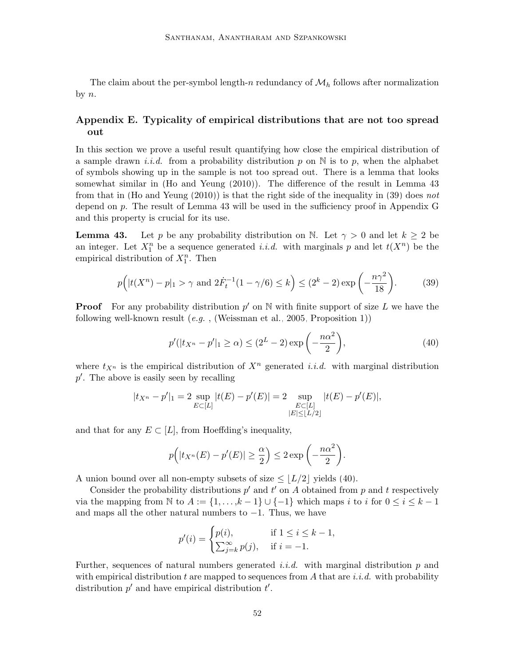The claim about the per-symbol length-n redundancy of  $\mathcal{M}_h$  follows after normalization by  $n$ .

# Appendix E. Typicality of empirical distributions that are not too spread out

In this section we prove a useful result quantifying how close the empirical distribution of a sample drawn *i.i.d.* from a probability distribution p on  $\mathbb N$  is to p, when the alphabet of symbols showing up in the sample is not too spread out. There is a lemma that looks somewhat similar in [\(Ho and Yeung](#page-37-14) [\(2010\)](#page-37-14)). The difference of the result in Lemma [43](#page-51-0) from that in [\(Ho and Yeung](#page-37-14)  $(2010)$ ) is that the right side of the inequality in [\(39\)](#page-51-1) does not depend on  $p$ . The result of Lemma [43](#page-51-0) will be used in the sufficiency proof in Appendix [G](#page-30-0) and this property is crucial for its use.

<span id="page-51-0"></span>**Lemma 43.** Let p be any probability distribution on N. Let  $\gamma > 0$  and let  $k \geq 2$  be an integer. Let  $X_1^n$  be a sequence generated *i.i.d.* with marginals p and let  $t(X^n)$  be the empirical distribution of  $X_1^n$ . Then

<span id="page-51-1"></span>
$$
p(|t(X^n) - p|_1 > \gamma \text{ and } 2\dot{F}_t^{-1}(1 - \gamma/6) \le k) \le (2^k - 2)\exp\left(-\frac{n\gamma^2}{18}\right).
$$
 (39)

**Proof** For any probability distribution  $p'$  on  $\mathbb N$  with finite support of size L we have the following well-known result  $(e.g.,$  [\(Weissman et al., 2005,](#page-37-15) Proposition 1))

<span id="page-51-2"></span>
$$
p'(|t_{X^n} - p'|_1 \ge \alpha) \le (2^L - 2) \exp\left(-\frac{n\alpha^2}{2}\right),
$$
 (40)

where  $t_{X^n}$  is the empirical distribution of  $X^n$  generated *i.i.d.* with marginal distribution  $p'$ . The above is easily seen by recalling

$$
|t_{X^n} - p'|_1 = 2 \sup_{E \subset [L]} |t(E) - p'(E)| = 2 \sup_{\substack{E \subset [L] \\ |E| \le \lfloor L/2 \rfloor}} |t(E) - p'(E)|,
$$

and that for any  $E \subset [L]$ , from Hoeffding's inequality,

$$
p(|t_{X^n}(E) - p'(E)| \ge \frac{\alpha}{2}) \le 2 \exp\left(-\frac{n\alpha^2}{2}\right).
$$

A union bound over all non-empty subsets of size  $\leq |L/2|$  yields [\(40\)](#page-51-2).

Consider the probability distributions  $p'$  and  $t'$  on A obtained from p and t respectively via the mapping from N to  $A := \{1, \ldots, k-1\} \cup \{-1\}$  which maps i to i for  $0 \le i \le k-1$ and maps all the other natural numbers to  $-1$ . Thus, we have

$$
p'(i) = \begin{cases} p(i), & \text{if } 1 \le i \le k - 1, \\ \sum_{j=k}^{\infty} p(j), & \text{if } i = -1. \end{cases}
$$

Further, sequences of natural numbers generated *i.i.d.* with marginal distribution  $p$  and with empirical distribution t are mapped to sequences from A that are i.i.d. with probability distribution  $p'$  and have empirical distribution  $t'$ .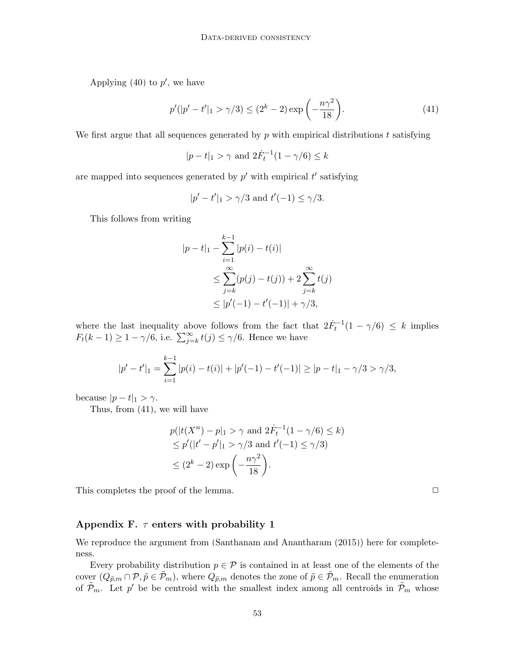Applying  $(40)$  to  $p'$ , we have

<span id="page-52-0"></span>
$$
p'(|p'-t'|_1 > \gamma/3) \le (2^k - 2) \exp\left(-\frac{n\gamma^2}{18}\right).
$$
 (41)

We first argue that all sequences generated by  $p$  with empirical distributions  $t$  satisfying

$$
|p-t|_1 > \gamma
$$
 and  $2\dot{F}_t^{-1}(1-\gamma/6) \le k$ 

are mapped into sequences generated by  $p'$  with empirical  $t'$  satisfying

$$
|p'-t'|_1 > \gamma/3
$$
 and  $t'(-1) \le \gamma/3$ .

This follows from writing

$$
|p - t|_1 - \sum_{i=1}^{k-1} |p(i) - t(i)|
$$
  
\n
$$
\leq \sum_{j=k}^{\infty} (p(j) - t(j)) + 2 \sum_{j=k}^{\infty} t(j)
$$
  
\n
$$
\leq |p'(-1) - t'(-1)| + \gamma/3,
$$

where the last inequality above follows from the fact that  $2\dot{F}^{-1}_t(1-\gamma/6) \leq k$  implies  $F_t(k-1) \geq 1 - \gamma/6$ , i.e.  $\sum_{j=k}^{\infty} t(j) \leq \gamma/6$ . Hence we have

$$
|p'-t'|_1 = \sum_{i=1}^{k-1} |p(i) - t(i)| + |p'(-1) - t'(-1)| \ge |p - t|_1 - \gamma/3 > \gamma/3,
$$

because  $|p-t|_1 > \gamma$ .

Thus, from [\(41\)](#page-52-0), we will have

$$
p(|t(X^{n}) - p|_{1} > \gamma \text{ and } 2\dot{F}_{t}^{-1}(1 - \gamma/6) \le k)
$$
  
\n
$$
\le p'(|t' - p'|_{1} > \gamma/3 \text{ and } t'(-1) \le \gamma/3)
$$
  
\n
$$
\le (2^{k} - 2) \exp\left(-\frac{n\gamma^{2}}{18}\right).
$$

This completes the proof of the lemma.  $\Box$ 

# Appendix F.  $\tau$  enters with probability 1

We reproduce the argument from [\(Santhanam and Anantharam](#page-37-9) [\(2015\)](#page-37-9)) here for completeness.

Every probability distribution  $p \in \mathcal{P}$  is contained in at least one of the elements of the cover  $(Q_{\tilde{p},m}\cap \mathcal{P},\tilde{p}\in \tilde{\mathcal{P}}_m)$ , where  $Q_{\tilde{p},m}$  denotes the zone of  $\tilde{p}\in \tilde{\mathcal{P}}_m$ . Recall the enumeration of  $\tilde{\mathcal{P}}_m$ . Let p' be be centroid with the smallest index among all centroids in  $\tilde{\mathcal{P}}_m$  whose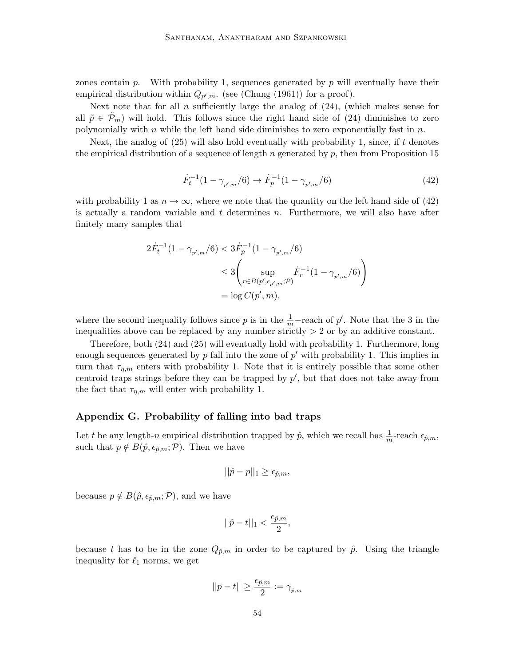zones contain  $p$ . With probability 1, sequences generated by  $p$  will eventually have their empirical distribution within  $Q_{p',m}$ . (see [\(Chung](#page-36-14) [\(1961\)](#page-36-14)) for a proof).

Next note that for all n sufficiently large the analog of  $(24)$ , (which makes sense for all  $\tilde{p} \in \mathcal{P}_m$ ) will hold. This follows since the right hand side of [\(24\)](#page-34-0) diminishes to zero polynomially with  $n$  while the left hand side diminishes to zero exponentially fast in  $n$ .

Next, the analog of [\(25\)](#page-34-1) will also hold eventually with probability 1, since, if t denotes the empirical distribution of a sequence of length n generated by  $p$ , then from Proposition [15](#page-14-1)

<span id="page-53-0"></span>
$$
\dot{F}_t^{-1}(1 - \gamma_{p',m}/6) \to \dot{F}_p^{-1}(1 - \gamma_{p',m}/6) \tag{42}
$$

with probability 1 as  $n \to \infty$ , where we note that the quantity on the left hand side of [\(42\)](#page-53-0) is actually a random variable and  $t$  determines  $n$ . Furthermore, we will also have after finitely many samples that

$$
2\dot{F}_{t}^{-1}(1-\gamma_{p',m}/6) < 3\dot{F}_{p}^{-1}(1-\gamma_{p',m}/6)
$$
  

$$
\leq 3\left(\sup_{r\in B(p',\epsilon_{p',m};\mathcal{P})}\dot{F}_{r}^{-1}(1-\gamma_{p',m}/6)\right)
$$
  

$$
= \log C(p',m),
$$

where the second inequality follows since p is in the  $\frac{1}{m}$ -reach of p'. Note that the 3 in the inequalities above can be replaced by any number strictly  $> 2$  or by an additive constant.

Therefore, both [\(24\)](#page-34-0) and [\(25\)](#page-34-1) will eventually hold with probability 1. Furthermore, long enough sequences generated by  $p$  fall into the zone of  $p'$  with probability 1. This implies in turn that  $\tau_{n,m}$  enters with probability 1. Note that it is entirely possible that some other centroid traps strings before they can be trapped by  $p'$ , but that does not take away from the fact that  $\tau_{n,m}$  will enter with probability 1.

# Appendix G. Probability of falling into bad traps

Let t be any length-n empirical distribution trapped by  $\hat{p}$ , which we recall has  $\frac{1}{m}$ -reach  $\epsilon_{\hat{p},m}$ , such that  $p \notin B(\hat{p}, \epsilon_{\hat{p},m}; \mathcal{P})$ . Then we have

$$
||\hat{p} - p||_1 \ge \epsilon_{\hat{p},m},
$$

because  $p \notin B(\hat{p}, \epsilon_{\hat{p},m}; \mathcal{P})$ , and we have

$$
||\hat{p}-t||_1 < \frac{\epsilon_{\hat{p},m}}{2},
$$

because t has to be in the zone  $Q_{\hat{p},m}$  in order to be captured by  $\hat{p}$ . Using the triangle inequality for  $\ell_1$  norms, we get

$$
||p-t||\geq \frac{\epsilon_{\hat{p},m}}{2}:=\gamma_{\hat{p},m}
$$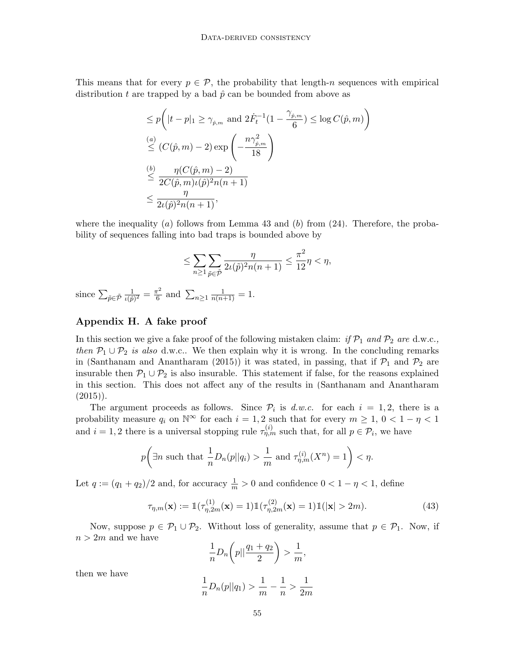This means that for every  $p \in \mathcal{P}$ , the probability that length-n sequences with empirical distribution t are trapped by a bad  $\hat{p}$  can be bounded from above as

$$
\leq p\left(|t-p|_1 \geq \gamma_{\hat{p},m} \text{ and } 2\dot{F}_t^{-1}(1-\frac{\gamma_{\hat{p},m}}{6}) \leq \log C(\hat{p},m)\right)
$$
  
\n
$$
\stackrel{(a)}{\leq} (C(\hat{p},m)-2) \exp\left(-\frac{n\gamma_{\hat{p},m}^2}{18}\right)
$$
  
\n
$$
\stackrel{(b)}{\leq} \frac{\eta(C(\hat{p},m)-2)}{2C(\hat{p},m)\iota(\hat{p})^2n(n+1)}
$$
  
\n
$$
\leq \frac{\eta}{2\iota(\hat{p})^2n(n+1)},
$$

where the inequality (a) follows from Lemma [43](#page-51-0) and (b) from [\(24\)](#page-34-0). Therefore, the probability of sequences falling into bad traps is bounded above by

$$
\leq \sum_{n\geq 1}\sum_{\tilde{p}\in \tilde{\mathcal{P}}} \frac{\eta}{2\iota(\tilde{p})^2n(n+1)} \leq \frac{\pi^2}{12}\eta < \eta,
$$

since  $\sum_{\tilde{p}\in\tilde{\mathcal{P}}} \frac{1}{\iota(\hat{p})}$  $\frac{1}{\iota(\hat{p})^2} = \frac{\pi^2}{6}$  $\frac{\pi^2}{6}$  and  $\sum_{n\geq 1} \frac{1}{n(n+1)} = 1$ .

# <span id="page-54-0"></span>Appendix H. A fake proof

In this section we give a fake proof of the following mistaken claim: if  $\mathcal{P}_1$  and  $\mathcal{P}_2$  are d.w.c., then  $P_1 \cup P_2$  is also d.w.c.. We then explain why it is wrong. In the concluding remarks in [\(Santhanam and Anantharam](#page-37-9) [\(2015\)](#page-37-9)) it was stated, in passing, that if  $\mathcal{P}_1$  and  $\mathcal{P}_2$  are insurable then  $P_1 \cup P_2$  is also insurable. This statement if false, for the reasons explained in this section. This does not affect any of the results in [\(Santhanam and Anantharam](#page-37-9)  $(2015)$ .

The argument proceeds as follows. Since  $P_i$  is d.w.c. for each  $i = 1, 2$ , there is a probability measure  $q_i$  on  $\mathbb{N}^\infty$  for each  $i = 1, 2$  such that for every  $m \geq 1, 0 < 1 - \eta < 1$ and  $i = 1, 2$  there is a universal stopping rule  $\tau_{\eta,m}^{(i)}$  such that, for all  $p \in \mathcal{P}_i$ , we have

$$
p\left(\exists n \text{ such that } \frac{1}{n}D_n(p||q_i) > \frac{1}{m} \text{ and } \tau_{\eta,m}^{(i)}(X^n) = 1\right) < \eta.
$$

Let  $q := (q_1 + q_2)/2$  and, for accuracy  $\frac{1}{m} > 0$  and confidence  $0 < 1 - \eta < 1$ , define

<span id="page-54-1"></span>
$$
\tau_{\eta,m}(\mathbf{x}) := \mathbb{1}(\tau_{\eta,2m}^{(1)}(\mathbf{x}) = 1) \mathbb{1}(\tau_{\eta,2m}^{(2)}(\mathbf{x}) = 1) \mathbb{1}(|\mathbf{x}| > 2m). \tag{43}
$$

Now, suppose  $p \in \mathcal{P}_1 \cup \mathcal{P}_2$ . Without loss of generality, assume that  $p \in \mathcal{P}_1$ . Now, if  $n > 2m$  and we have

$$
\frac{1}{n}D_n\bigg(p\big|\big|\frac{q_1+q_2}{2}\bigg|>\frac{1}{m},\,
$$

then we have

$$
\frac{1}{n}D_n(p||q_1) > \frac{1}{m} - \frac{1}{n} > \frac{1}{2m}
$$